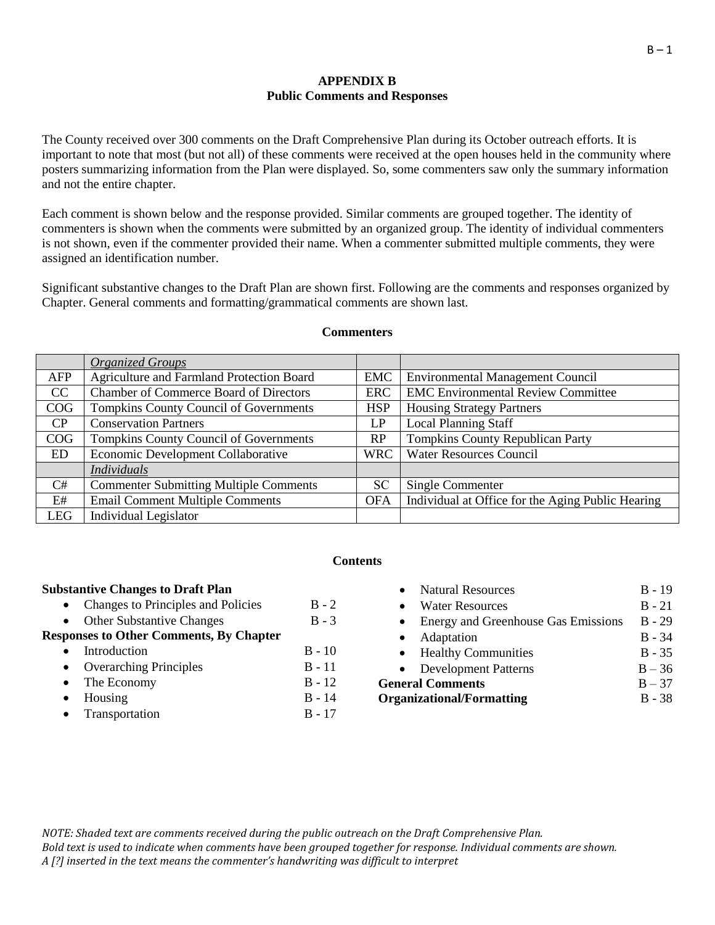## **APPENDIX B Public Comments and Responses**

The County received over 300 comments on the Draft Comprehensive Plan during its October outreach efforts. It is important to note that most (but not all) of these comments were received at the open houses held in the community where posters summarizing information from the Plan were displayed. So, some commenters saw only the summary information and not the entire chapter.

Each comment is shown below and the response provided. Similar comments are grouped together. The identity of commenters is shown when the comments were submitted by an organized group. The identity of individual commenters is not shown, even if the commenter provided their name. When a commenter submitted multiple comments, they were assigned an identification number.

Significant substantive changes to the Draft Plan are shown first. Following are the comments and responses organized by Chapter. General comments and formatting/grammatical comments are shown last.

|            | <b>Organized Groups</b>                       |            |                                                   |
|------------|-----------------------------------------------|------------|---------------------------------------------------|
| AFP        | Agriculture and Farmland Protection Board     | <b>EMC</b> | <b>Environmental Management Council</b>           |
| CC         | <b>Chamber of Commerce Board of Directors</b> | <b>ERC</b> | <b>EMC Environmental Review Committee</b>         |
| COG        | <b>Tompkins County Council of Governments</b> | <b>HSP</b> | <b>Housing Strategy Partners</b>                  |
| CP         | <b>Conservation Partners</b>                  | LP         | <b>Local Planning Staff</b>                       |
| COG        | Tompkins County Council of Governments        | RP         | <b>Tompkins County Republican Party</b>           |
| <b>ED</b>  | Economic Development Collaborative            | <b>WRC</b> | <b>Water Resources Council</b>                    |
|            | <b>Individuals</b>                            |            |                                                   |
| C#         | <b>Commenter Submitting Multiple Comments</b> | <b>SC</b>  | Single Commenter                                  |
| E#         | <b>Email Comment Multiple Comments</b>        | <b>OFA</b> | Individual at Office for the Aging Public Hearing |
| <b>LEG</b> | Individual Legislator                         |            |                                                   |

#### **Commenters**

### **Contents**

### **Substantive Changes to Draft Plan**

- Changes to Principles and Policies  $\overline{B} 2$
- Other Substantive Changes B 3

# **Responses to Other Comments, By Chapter**

- Introduction B 10
- Overarching Principles B 11
- The Economy B 12
- $\bullet$  Housing  $B 14$
- Transportation B 17

| <b>Natural Resources</b>            | $B - 19$ |
|-------------------------------------|----------|
| <b>Water Resources</b>              | $B - 21$ |
| Energy and Greenhouse Gas Emissions | $B - 29$ |
| Adaptation                          | $B - 34$ |
| • Healthy Communities               | $B - 35$ |
| <b>Development Patterns</b>         | $B - 36$ |
| <b>General Comments</b>             | $B - 37$ |
| <b>Organizational/Formatting</b>    | $B - 38$ |
|                                     |          |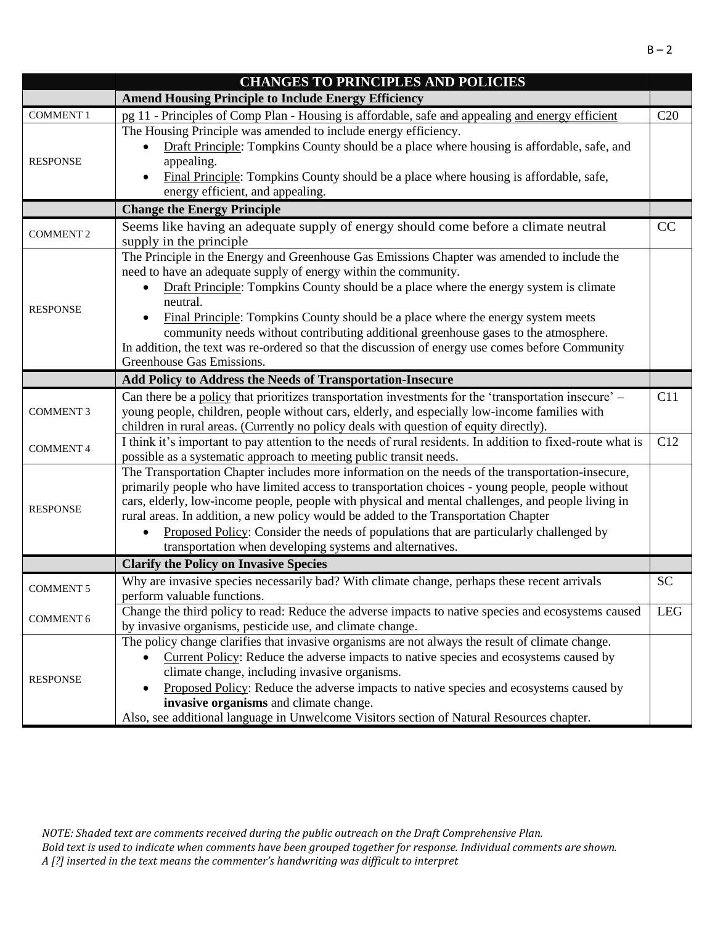|                  | <b>CHANGES TO PRINCIPLES AND POLICIES</b>                                                                                                                               |            |
|------------------|-------------------------------------------------------------------------------------------------------------------------------------------------------------------------|------------|
|                  | <b>Amend Housing Principle to Include Energy Efficiency</b>                                                                                                             |            |
| <b>COMMENT 1</b> | pg 11 - Principles of Comp Plan - Housing is affordable, safe and appealing and energy efficient                                                                        | C20        |
|                  | The Housing Principle was amended to include energy efficiency.                                                                                                         |            |
|                  | Draft Principle: Tompkins County should be a place where housing is affordable, safe, and                                                                               |            |
| <b>RESPONSE</b>  | appealing.                                                                                                                                                              |            |
|                  | Final Principle: Tompkins County should be a place where housing is affordable, safe,                                                                                   |            |
|                  | energy efficient, and appealing.                                                                                                                                        |            |
|                  | <b>Change the Energy Principle</b>                                                                                                                                      |            |
| <b>COMMENT 2</b> | Seems like having an adequate supply of energy should come before a climate neutral<br>supply in the principle                                                          | CC         |
|                  | The Principle in the Energy and Greenhouse Gas Emissions Chapter was amended to include the                                                                             |            |
|                  | need to have an adequate supply of energy within the community.                                                                                                         |            |
|                  | Draft Principle: Tompkins County should be a place where the energy system is climate                                                                                   |            |
| <b>RESPONSE</b>  | neutral.                                                                                                                                                                |            |
|                  | Final Principle: Tompkins County should be a place where the energy system meets<br>community needs without contributing additional greenhouse gases to the atmosphere. |            |
|                  | In addition, the text was re-ordered so that the discussion of energy use comes before Community                                                                        |            |
|                  | Greenhouse Gas Emissions.                                                                                                                                               |            |
|                  | Add Policy to Address the Needs of Transportation-Insecure                                                                                                              |            |
|                  | Can there be a policy that prioritizes transportation investments for the 'transportation insecure' –                                                                   | C11        |
| <b>COMMENT 3</b> | young people, children, people without cars, elderly, and especially low-income families with                                                                           |            |
|                  | children in rural areas. (Currently no policy deals with question of equity directly).                                                                                  |            |
|                  | I think it's important to pay attention to the needs of rural residents. In addition to fixed-route what is                                                             | C12        |
| <b>COMMENT 4</b> | possible as a systematic approach to meeting public transit needs.                                                                                                      |            |
|                  | The Transportation Chapter includes more information on the needs of the transportation-insecure,                                                                       |            |
|                  | primarily people who have limited access to transportation choices - young people, people without                                                                       |            |
| <b>RESPONSE</b>  | cars, elderly, low-income people, people with physical and mental challenges, and people living in                                                                      |            |
|                  | rural areas. In addition, a new policy would be added to the Transportation Chapter                                                                                     |            |
|                  | Proposed Policy: Consider the needs of populations that are particularly challenged by                                                                                  |            |
|                  | transportation when developing systems and alternatives.                                                                                                                |            |
|                  | <b>Clarify the Policy on Invasive Species</b>                                                                                                                           |            |
| <b>COMMENT 5</b> | Why are invasive species necessarily bad? With climate change, perhaps these recent arrivals                                                                            | <b>SC</b>  |
|                  | perform valuable functions.                                                                                                                                             |            |
| <b>COMMENT 6</b> | Change the third policy to read: Reduce the adverse impacts to native species and ecosystems caused                                                                     | <b>LEG</b> |
|                  | by invasive organisms, pesticide use, and climate change.                                                                                                               |            |
|                  | The policy change clarifies that invasive organisms are not always the result of climate change.                                                                        |            |
|                  | Current Policy: Reduce the adverse impacts to native species and ecosystems caused by                                                                                   |            |
| <b>RESPONSE</b>  | climate change, including invasive organisms.                                                                                                                           |            |
|                  | Proposed Policy: Reduce the adverse impacts to native species and ecosystems caused by<br>invasive organisms and climate change.                                        |            |
|                  | Also, see additional language in Unwelcome Visitors section of Natural Resources chapter.                                                                               |            |
|                  |                                                                                                                                                                         |            |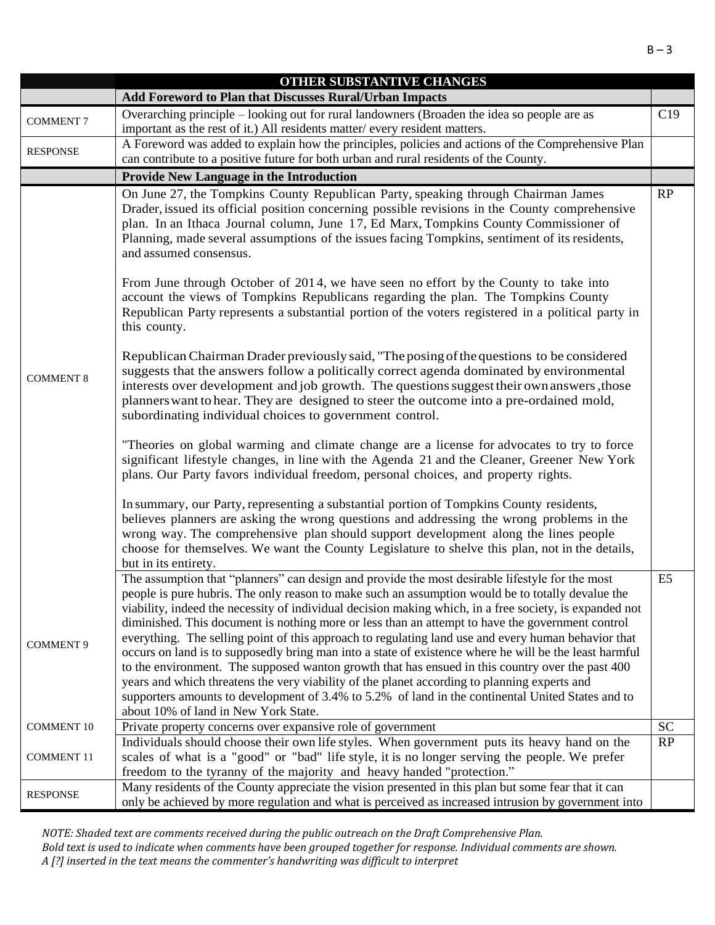|                   | OTHER SUBSTANTIVE CHANGES                                                                                                                                                                                                                                                                                                                                                                                                                                                                                                                                                                                                                                                                                                             |                |
|-------------------|---------------------------------------------------------------------------------------------------------------------------------------------------------------------------------------------------------------------------------------------------------------------------------------------------------------------------------------------------------------------------------------------------------------------------------------------------------------------------------------------------------------------------------------------------------------------------------------------------------------------------------------------------------------------------------------------------------------------------------------|----------------|
|                   | Add Foreword to Plan that Discusses Rural/Urban Impacts                                                                                                                                                                                                                                                                                                                                                                                                                                                                                                                                                                                                                                                                               |                |
| <b>COMMENT 7</b>  | Overarching principle - looking out for rural landowners (Broaden the idea so people are as<br>important as the rest of it.) All residents matter/every resident matters.                                                                                                                                                                                                                                                                                                                                                                                                                                                                                                                                                             | C19            |
| <b>RESPONSE</b>   | A Foreword was added to explain how the principles, policies and actions of the Comprehensive Plan<br>can contribute to a positive future for both urban and rural residents of the County.                                                                                                                                                                                                                                                                                                                                                                                                                                                                                                                                           |                |
|                   |                                                                                                                                                                                                                                                                                                                                                                                                                                                                                                                                                                                                                                                                                                                                       |                |
|                   | <b>Provide New Language in the Introduction</b>                                                                                                                                                                                                                                                                                                                                                                                                                                                                                                                                                                                                                                                                                       |                |
|                   | On June 27, the Tompkins County Republican Party, speaking through Chairman James<br>Drader, issued its official position concerning possible revisions in the County comprehensive<br>plan. In an Ithaca Journal column, June 17, Ed Marx, Tompkins County Commissioner of<br>Planning, made several assumptions of the issues facing Tompkins, sentiment of its residents,<br>and assumed consensus.                                                                                                                                                                                                                                                                                                                                | RP             |
|                   | From June through October of 2014, we have seen no effort by the County to take into<br>account the views of Tompkins Republicans regarding the plan. The Tompkins County<br>Republican Party represents a substantial portion of the voters registered in a political party in<br>this county.                                                                                                                                                                                                                                                                                                                                                                                                                                       |                |
| <b>COMMENT 8</b>  | Republican Chairman Drader previously said, "The posing of the questions to be considered<br>suggests that the answers follow a politically correct agenda dominated by environmental<br>interests over development and job growth. The questions suggest their own answers, those<br>planners want to hear. They are designed to steer the outcome into a pre-ordained mold,<br>subordinating individual choices to government control.                                                                                                                                                                                                                                                                                              |                |
|                   | "Theories on global warming and climate change are a license for advocates to try to force<br>significant lifestyle changes, in line with the Agenda 21 and the Cleaner, Greener New York<br>plans. Our Party favors individual freedom, personal choices, and property rights.                                                                                                                                                                                                                                                                                                                                                                                                                                                       |                |
|                   | In summary, our Party, representing a substantial portion of Tompkins County residents,<br>believes planners are asking the wrong questions and addressing the wrong problems in the<br>wrong way. The comprehensive plan should support development along the lines people<br>choose for themselves. We want the County Legislature to shelve this plan, not in the details,<br>but in its entirety.                                                                                                                                                                                                                                                                                                                                 |                |
|                   | The assumption that "planners" can design and provide the most desirable lifestyle for the most                                                                                                                                                                                                                                                                                                                                                                                                                                                                                                                                                                                                                                       | E <sub>5</sub> |
| <b>COMMENT 9</b>  | people is pure hubris. The only reason to make such an assumption would be to totally devalue the<br>viability, indeed the necessity of individual decision making which, in a free society, is expanded not<br>diminished. This document is nothing more or less than an attempt to have the government control<br>everything. The selling point of this approach to regulating land use and every human behavior that<br>occurs on land is to supposedly bring man into a state of existence where he will be the least harmful<br>to the environment. The supposed wanton growth that has ensued in this country over the past 400<br>years and which threatens the very viability of the planet according to planning experts and |                |
|                   | supporters amounts to development of 3.4% to 5.2% of land in the continental United States and to                                                                                                                                                                                                                                                                                                                                                                                                                                                                                                                                                                                                                                     |                |
|                   | about 10% of land in New York State.                                                                                                                                                                                                                                                                                                                                                                                                                                                                                                                                                                                                                                                                                                  |                |
| <b>COMMENT 10</b> | Private property concerns over expansive role of government                                                                                                                                                                                                                                                                                                                                                                                                                                                                                                                                                                                                                                                                           | <b>SC</b>      |
| <b>COMMENT 11</b> | Individuals should choose their own life styles. When government puts its heavy hand on the<br>scales of what is a "good" or "bad" life style, it is no longer serving the people. We prefer                                                                                                                                                                                                                                                                                                                                                                                                                                                                                                                                          | RP             |
|                   | freedom to the tyranny of the majority and heavy handed "protection."<br>Many residents of the County appreciate the vision presented in this plan but some fear that it can                                                                                                                                                                                                                                                                                                                                                                                                                                                                                                                                                          |                |
| <b>RESPONSE</b>   | only be achieved by more regulation and what is perceived as increased intrusion by government into                                                                                                                                                                                                                                                                                                                                                                                                                                                                                                                                                                                                                                   |                |

*NOTE: Shaded text are comments received during the public outreach on the Draft Comprehensive Plan.* 

*Bold text is used to indicate when comments have been grouped together for response. Individual comments are shown. A [?] inserted in the text means the commenter's handwriting was difficult to interpret*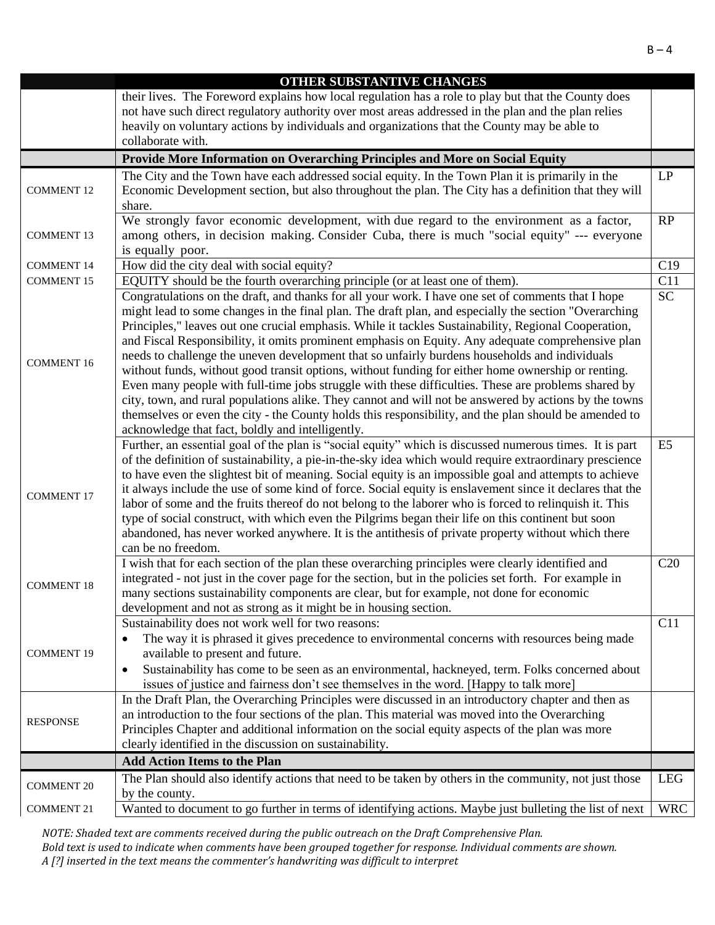|                   | <b>OTHER SUBSTANTIVE CHANGES</b>                                                                                                                                                                      |                 |
|-------------------|-------------------------------------------------------------------------------------------------------------------------------------------------------------------------------------------------------|-----------------|
|                   | their lives. The Foreword explains how local regulation has a role to play but that the County does                                                                                                   |                 |
|                   | not have such direct regulatory authority over most areas addressed in the plan and the plan relies                                                                                                   |                 |
|                   | heavily on voluntary actions by individuals and organizations that the County may be able to                                                                                                          |                 |
|                   | collaborate with.                                                                                                                                                                                     |                 |
|                   | Provide More Information on Overarching Principles and More on Social Equity                                                                                                                          |                 |
|                   | The City and the Town have each addressed social equity. In the Town Plan it is primarily in the                                                                                                      | LP              |
| <b>COMMENT 12</b> | Economic Development section, but also throughout the plan. The City has a definition that they will                                                                                                  |                 |
|                   | share.                                                                                                                                                                                                |                 |
|                   | We strongly favor economic development, with due regard to the environment as a factor,                                                                                                               | RP              |
| <b>COMMENT 13</b> | among others, in decision making. Consider Cuba, there is much "social equity" --- everyone                                                                                                           |                 |
|                   | is equally poor.                                                                                                                                                                                      |                 |
| <b>COMMENT 14</b> | How did the city deal with social equity?                                                                                                                                                             | C19             |
| <b>COMMENT 15</b> | EQUITY should be the fourth overarching principle (or at least one of them).                                                                                                                          | C11             |
|                   | Congratulations on the draft, and thanks for all your work. I have one set of comments that I hope                                                                                                    | $\overline{SC}$ |
|                   | might lead to some changes in the final plan. The draft plan, and especially the section "Overarching                                                                                                 |                 |
|                   | Principles," leaves out one crucial emphasis. While it tackles Sustainability, Regional Cooperation,                                                                                                  |                 |
|                   | and Fiscal Responsibility, it omits prominent emphasis on Equity. Any adequate comprehensive plan                                                                                                     |                 |
| <b>COMMENT 16</b> | needs to challenge the uneven development that so unfairly burdens households and individuals<br>without funds, without good transit options, without funding for either home ownership or renting.   |                 |
|                   | Even many people with full-time jobs struggle with these difficulties. These are problems shared by                                                                                                   |                 |
|                   | city, town, and rural populations alike. They cannot and will not be answered by actions by the towns                                                                                                 |                 |
|                   | themselves or even the city - the County holds this responsibility, and the plan should be amended to                                                                                                 |                 |
|                   | acknowledge that fact, boldly and intelligently.                                                                                                                                                      |                 |
|                   | Further, an essential goal of the plan is "social equity" which is discussed numerous times. It is part                                                                                               | E5              |
|                   | of the definition of sustainability, a pie-in-the-sky idea which would require extraordinary prescience                                                                                               |                 |
|                   | to have even the slightest bit of meaning. Social equity is an impossible goal and attempts to achieve                                                                                                |                 |
|                   | it always include the use of some kind of force. Social equity is enslavement since it declares that the                                                                                              |                 |
| <b>COMMENT 17</b> | labor of some and the fruits thereof do not belong to the laborer who is forced to relinquish it. This                                                                                                |                 |
|                   | type of social construct, with which even the Pilgrims began their life on this continent but soon                                                                                                    |                 |
|                   | abandoned, has never worked anywhere. It is the antithesis of private property without which there                                                                                                    |                 |
|                   | can be no freedom.                                                                                                                                                                                    |                 |
|                   | I wish that for each section of the plan these overarching principles were clearly identified and                                                                                                     | C20             |
| <b>COMMENT 18</b> | integrated - not just in the cover page for the section, but in the policies set forth. For example in                                                                                                |                 |
|                   | many sections sustainability components are clear, but for example, not done for economic                                                                                                             |                 |
|                   | development and not as strong as it might be in housing section.                                                                                                                                      |                 |
|                   | Sustainability does not work well for two reasons:                                                                                                                                                    | C11             |
|                   | The way it is phrased it gives precedence to environmental concerns with resources being made                                                                                                         |                 |
| <b>COMMENT 19</b> | available to present and future.                                                                                                                                                                      |                 |
|                   | Sustainability has come to be seen as an environmental, hackneyed, term. Folks concerned about<br>$\bullet$                                                                                           |                 |
|                   | issues of justice and fairness don't see themselves in the word. [Happy to talk more]                                                                                                                 |                 |
|                   | In the Draft Plan, the Overarching Principles were discussed in an introductory chapter and then as<br>an introduction to the four sections of the plan. This material was moved into the Overarching |                 |
| <b>RESPONSE</b>   | Principles Chapter and additional information on the social equity aspects of the plan was more                                                                                                       |                 |
|                   | clearly identified in the discussion on sustainability.                                                                                                                                               |                 |
|                   | <b>Add Action Items to the Plan</b>                                                                                                                                                                   |                 |
|                   | The Plan should also identify actions that need to be taken by others in the community, not just those                                                                                                | <b>LEG</b>      |
| <b>COMMENT 20</b> | by the county.                                                                                                                                                                                        |                 |
| <b>COMMENT 21</b> | Wanted to document to go further in terms of identifying actions. Maybe just bulleting the list of next                                                                                               | <b>WRC</b>      |
|                   |                                                                                                                                                                                                       |                 |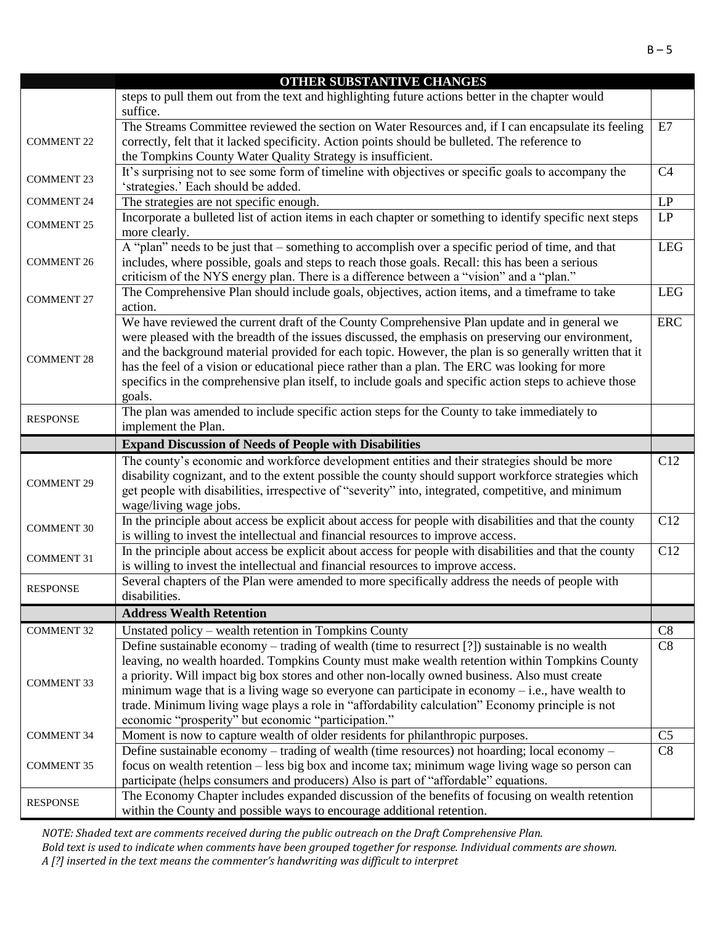|                   | OTHER SUBSTANTIVE CHANGES                                                                                                                                                                                                                                                                                                                                                                                                                                                                                                           |                |
|-------------------|-------------------------------------------------------------------------------------------------------------------------------------------------------------------------------------------------------------------------------------------------------------------------------------------------------------------------------------------------------------------------------------------------------------------------------------------------------------------------------------------------------------------------------------|----------------|
|                   | steps to pull them out from the text and highlighting future actions better in the chapter would<br>suffice.                                                                                                                                                                                                                                                                                                                                                                                                                        |                |
| <b>COMMENT 22</b> | The Streams Committee reviewed the section on Water Resources and, if I can encapsulate its feeling<br>correctly, felt that it lacked specificity. Action points should be bulleted. The reference to<br>the Tompkins County Water Quality Strategy is insufficient.                                                                                                                                                                                                                                                                | E7             |
| <b>COMMENT 23</b> | It's surprising not to see some form of timeline with objectives or specific goals to accompany the<br>'strategies.' Each should be added.                                                                                                                                                                                                                                                                                                                                                                                          | C <sub>4</sub> |
| <b>COMMENT 24</b> | The strategies are not specific enough.                                                                                                                                                                                                                                                                                                                                                                                                                                                                                             | $\mathrm{LP}$  |
| <b>COMMENT 25</b> | Incorporate a bulleted list of action items in each chapter or something to identify specific next steps<br>more clearly.                                                                                                                                                                                                                                                                                                                                                                                                           | LP             |
| <b>COMMENT 26</b> | A "plan" needs to be just that – something to accomplish over a specific period of time, and that<br>includes, where possible, goals and steps to reach those goals. Recall: this has been a serious<br>criticism of the NYS energy plan. There is a difference between a "vision" and a "plan."                                                                                                                                                                                                                                    | <b>LEG</b>     |
| <b>COMMENT 27</b> | The Comprehensive Plan should include goals, objectives, action items, and a timeframe to take<br>action.                                                                                                                                                                                                                                                                                                                                                                                                                           | <b>LEG</b>     |
| <b>COMMENT 28</b> | We have reviewed the current draft of the County Comprehensive Plan update and in general we<br>were pleased with the breadth of the issues discussed, the emphasis on preserving our environment,<br>and the background material provided for each topic. However, the plan is so generally written that it<br>has the feel of a vision or educational piece rather than a plan. The ERC was looking for more<br>specifics in the comprehensive plan itself, to include goals and specific action steps to achieve those<br>goals. | <b>ERC</b>     |
| <b>RESPONSE</b>   | The plan was amended to include specific action steps for the County to take immediately to<br>implement the Plan.                                                                                                                                                                                                                                                                                                                                                                                                                  |                |
|                   | <b>Expand Discussion of Needs of People with Disabilities</b>                                                                                                                                                                                                                                                                                                                                                                                                                                                                       |                |
| <b>COMMENT 29</b> | The county's economic and workforce development entities and their strategies should be more<br>disability cognizant, and to the extent possible the county should support workforce strategies which<br>get people with disabilities, irrespective of "severity" into, integrated, competitive, and minimum<br>wage/living wage jobs.                                                                                                                                                                                              | C12            |
| <b>COMMENT 30</b> | In the principle about access be explicit about access for people with disabilities and that the county<br>is willing to invest the intellectual and financial resources to improve access.                                                                                                                                                                                                                                                                                                                                         | C12            |
| <b>COMMENT 31</b> | In the principle about access be explicit about access for people with disabilities and that the county<br>is willing to invest the intellectual and financial resources to improve access.                                                                                                                                                                                                                                                                                                                                         | C12            |
| <b>RESPONSE</b>   | Several chapters of the Plan were amended to more specifically address the needs of people with<br>disabilities.                                                                                                                                                                                                                                                                                                                                                                                                                    |                |
|                   | <b>Address Wealth Retention</b>                                                                                                                                                                                                                                                                                                                                                                                                                                                                                                     |                |
| <b>COMMENT 32</b> | Unstated policy – wealth retention in Tompkins County                                                                                                                                                                                                                                                                                                                                                                                                                                                                               | C8             |
| <b>COMMENT 33</b> | Define sustainable economy – trading of wealth (time to resurrect [?]) sustainable is no wealth<br>leaving, no wealth hoarded. Tompkins County must make wealth retention within Tompkins County<br>a priority. Will impact big box stores and other non-locally owned business. Also must create<br>minimum wage that is a living wage so everyone can participate in economy $-$ i.e., have wealth to<br>trade. Minimum living wage plays a role in "affordability calculation" Economy principle is not                          | C8             |
| <b>COMMENT 34</b> | economic "prosperity" but economic "participation."<br>Moment is now to capture wealth of older residents for philanthropic purposes.                                                                                                                                                                                                                                                                                                                                                                                               | C <sub>5</sub> |
| <b>COMMENT 35</b> | Define sustainable economy – trading of wealth (time resources) not hoarding; local economy –<br>focus on wealth retention – less big box and income tax; minimum wage living wage so person can<br>participate (helps consumers and producers) Also is part of "affordable" equations.                                                                                                                                                                                                                                             | C8             |
| <b>RESPONSE</b>   | The Economy Chapter includes expanded discussion of the benefits of focusing on wealth retention<br>within the County and possible ways to encourage additional retention.                                                                                                                                                                                                                                                                                                                                                          |                |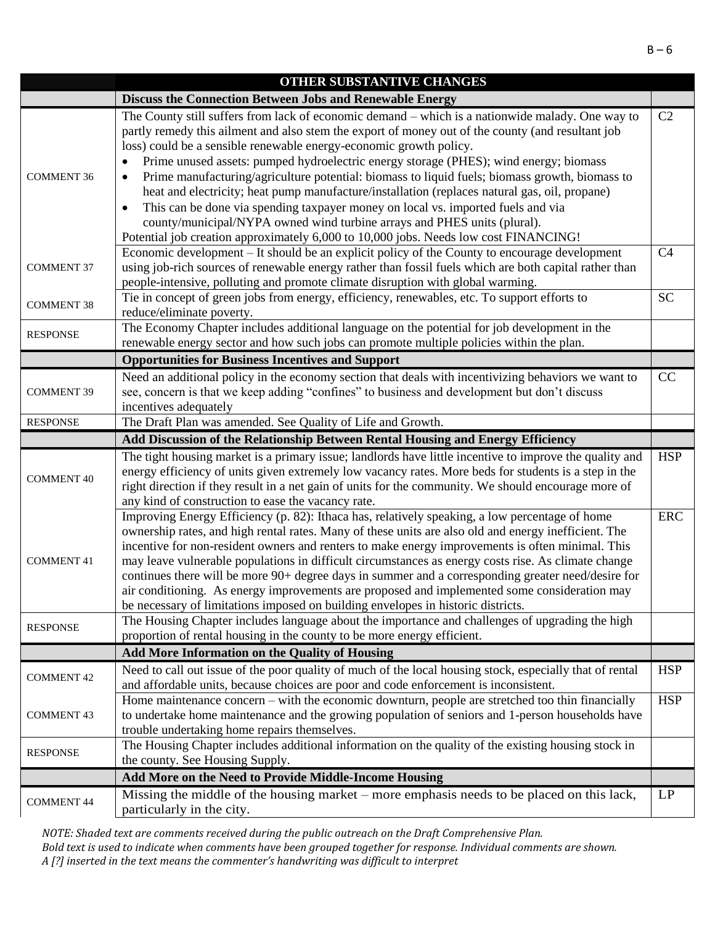| The County still suffers from lack of economic demand – which is a nationwide malady. One way to<br>C2<br>partly remedy this ailment and also stem the export of money out of the county (and resultant job<br>loss) could be a sensible renewable energy-economic growth policy.<br>Prime unused assets: pumped hydroelectric energy storage (PHES); wind energy; biomass<br>$\bullet$<br>Prime manufacturing/agriculture potential: biomass to liquid fuels; biomass growth, biomass to<br><b>COMMENT 36</b><br>$\bullet$<br>heat and electricity; heat pump manufacture/installation (replaces natural gas, oil, propane)<br>This can be done via spending taxpayer money on local vs. imported fuels and via<br>$\bullet$<br>county/municipal/NYPA owned wind turbine arrays and PHES units (plural).<br>Potential job creation approximately 6,000 to 10,000 jobs. Needs low cost FINANCING!<br>Economic development – It should be an explicit policy of the County to encourage development<br>C <sub>4</sub><br>using job-rich sources of renewable energy rather than fossil fuels which are both capital rather than<br><b>COMMENT 37</b><br>people-intensive, polluting and promote climate disruption with global warming.<br><b>SC</b><br>Tie in concept of green jobs from energy, efficiency, renewables, etc. To support efforts to<br><b>COMMENT 38</b><br>reduce/eliminate poverty.<br>The Economy Chapter includes additional language on the potential for job development in the<br><b>RESPONSE</b><br>renewable energy sector and how such jobs can promote multiple policies within the plan.<br><b>Opportunities for Business Incentives and Support</b><br>Need an additional policy in the economy section that deals with incentivizing behaviors we want to<br>CC<br>see, concern is that we keep adding "confines" to business and development but don't discuss<br><b>COMMENT 39</b><br>incentives adequately<br>The Draft Plan was amended. See Quality of Life and Growth.<br><b>RESPONSE</b><br>Add Discussion of the Relationship Between Rental Housing and Energy Efficiency<br>The tight housing market is a primary issue; landlords have little incentive to improve the quality and<br><b>HSP</b><br>energy efficiency of units given extremely low vacancy rates. More beds for students is a step in the<br><b>COMMENT 40</b><br>right direction if they result in a net gain of units for the community. We should encourage more of<br>any kind of construction to ease the vacancy rate.<br>Improving Energy Efficiency (p. 82): Ithaca has, relatively speaking, a low percentage of home<br>ERC<br>ownership rates, and high rental rates. Many of these units are also old and energy inefficient. The<br>incentive for non-resident owners and renters to make energy improvements is often minimal. This<br>may leave vulnerable populations in difficult circumstances as energy costs rise. As climate change<br><b>COMMENT 41</b><br>continues there will be more 90+ degree days in summer and a corresponding greater need/desire for<br>air conditioning. As energy improvements are proposed and implemented some consideration may<br>be necessary of limitations imposed on building envelopes in historic districts.<br>The Housing Chapter includes language about the importance and challenges of upgrading the high<br><b>RESPONSE</b><br>proportion of rental housing in the county to be more energy efficient.<br>Add More Information on the Quality of Housing<br>Need to call out issue of the poor quality of much of the local housing stock, especially that of rental<br><b>HSP</b><br><b>COMMENT 42</b><br>and affordable units, because choices are poor and code enforcement is inconsistent.<br><b>HSP</b><br>Home maintenance concern – with the economic downturn, people are stretched too thin financially<br>to undertake home maintenance and the growing population of seniors and 1-person households have<br><b>COMMENT 43</b><br>trouble undertaking home repairs themselves.<br>The Housing Chapter includes additional information on the quality of the existing housing stock in<br><b>RESPONSE</b><br>the county. See Housing Supply.<br>Add More on the Need to Provide Middle-Income Housing<br>Missing the middle of the housing market – more emphasis needs to be placed on this lack,<br>LP<br><b>COMMENT 44</b><br>particularly in the city. | UTHEK SUBSTANTIVE CHANGES                                       |  |
|--------------------------------------------------------------------------------------------------------------------------------------------------------------------------------------------------------------------------------------------------------------------------------------------------------------------------------------------------------------------------------------------------------------------------------------------------------------------------------------------------------------------------------------------------------------------------------------------------------------------------------------------------------------------------------------------------------------------------------------------------------------------------------------------------------------------------------------------------------------------------------------------------------------------------------------------------------------------------------------------------------------------------------------------------------------------------------------------------------------------------------------------------------------------------------------------------------------------------------------------------------------------------------------------------------------------------------------------------------------------------------------------------------------------------------------------------------------------------------------------------------------------------------------------------------------------------------------------------------------------------------------------------------------------------------------------------------------------------------------------------------------------------------------------------------------------------------------------------------------------------------------------------------------------------------------------------------------------------------------------------------------------------------------------------------------------------------------------------------------------------------------------------------------------------------------------------------------------------------------------------------------------------------------------------------------------------------------------------------------------------------------------------------------------------------------------------------------------------------------------------------------------------------------------------------------------------------------------------------------------------------------------------------------------------------------------------------------------------------------------------------------------------------------------------------------------------------------------------------------------------------------------------------------------------------------------------------------------------------------------------------------------------------------------------------------------------------------------------------------------------------------------------------------------------------------------------------------------------------------------------------------------------------------------------------------------------------------------------------------------------------------------------------------------------------------------------------------------------------------------------------------------------------------------------------------------------------------------------------------------------------------------------------------------------------------------------------------------------------------------------------------------------------------------------------------------------------------------------------------------------------------------------------------------------------------------------------------------------------------------------------------------------------------------------------------------------------------------------------------------------------------------------------------------------------------------------------------------------------------------------------------------------------------------------------------------------------------------------------------------------------------------------------------------------------------------------|-----------------------------------------------------------------|--|
|                                                                                                                                                                                                                                                                                                                                                                                                                                                                                                                                                                                                                                                                                                                                                                                                                                                                                                                                                                                                                                                                                                                                                                                                                                                                                                                                                                                                                                                                                                                                                                                                                                                                                                                                                                                                                                                                                                                                                                                                                                                                                                                                                                                                                                                                                                                                                                                                                                                                                                                                                                                                                                                                                                                                                                                                                                                                                                                                                                                                                                                                                                                                                                                                                                                                                                                                                                                                                                                                                                                                                                                                                                                                                                                                                                                                                                                                                                                                                                                                                                                                                                                                                                                                                                                                                                                                                                                                                                                  | <b>Discuss the Connection Between Jobs and Renewable Energy</b> |  |
|                                                                                                                                                                                                                                                                                                                                                                                                                                                                                                                                                                                                                                                                                                                                                                                                                                                                                                                                                                                                                                                                                                                                                                                                                                                                                                                                                                                                                                                                                                                                                                                                                                                                                                                                                                                                                                                                                                                                                                                                                                                                                                                                                                                                                                                                                                                                                                                                                                                                                                                                                                                                                                                                                                                                                                                                                                                                                                                                                                                                                                                                                                                                                                                                                                                                                                                                                                                                                                                                                                                                                                                                                                                                                                                                                                                                                                                                                                                                                                                                                                                                                                                                                                                                                                                                                                                                                                                                                                                  |                                                                 |  |
|                                                                                                                                                                                                                                                                                                                                                                                                                                                                                                                                                                                                                                                                                                                                                                                                                                                                                                                                                                                                                                                                                                                                                                                                                                                                                                                                                                                                                                                                                                                                                                                                                                                                                                                                                                                                                                                                                                                                                                                                                                                                                                                                                                                                                                                                                                                                                                                                                                                                                                                                                                                                                                                                                                                                                                                                                                                                                                                                                                                                                                                                                                                                                                                                                                                                                                                                                                                                                                                                                                                                                                                                                                                                                                                                                                                                                                                                                                                                                                                                                                                                                                                                                                                                                                                                                                                                                                                                                                                  |                                                                 |  |
|                                                                                                                                                                                                                                                                                                                                                                                                                                                                                                                                                                                                                                                                                                                                                                                                                                                                                                                                                                                                                                                                                                                                                                                                                                                                                                                                                                                                                                                                                                                                                                                                                                                                                                                                                                                                                                                                                                                                                                                                                                                                                                                                                                                                                                                                                                                                                                                                                                                                                                                                                                                                                                                                                                                                                                                                                                                                                                                                                                                                                                                                                                                                                                                                                                                                                                                                                                                                                                                                                                                                                                                                                                                                                                                                                                                                                                                                                                                                                                                                                                                                                                                                                                                                                                                                                                                                                                                                                                                  |                                                                 |  |
|                                                                                                                                                                                                                                                                                                                                                                                                                                                                                                                                                                                                                                                                                                                                                                                                                                                                                                                                                                                                                                                                                                                                                                                                                                                                                                                                                                                                                                                                                                                                                                                                                                                                                                                                                                                                                                                                                                                                                                                                                                                                                                                                                                                                                                                                                                                                                                                                                                                                                                                                                                                                                                                                                                                                                                                                                                                                                                                                                                                                                                                                                                                                                                                                                                                                                                                                                                                                                                                                                                                                                                                                                                                                                                                                                                                                                                                                                                                                                                                                                                                                                                                                                                                                                                                                                                                                                                                                                                                  |                                                                 |  |
|                                                                                                                                                                                                                                                                                                                                                                                                                                                                                                                                                                                                                                                                                                                                                                                                                                                                                                                                                                                                                                                                                                                                                                                                                                                                                                                                                                                                                                                                                                                                                                                                                                                                                                                                                                                                                                                                                                                                                                                                                                                                                                                                                                                                                                                                                                                                                                                                                                                                                                                                                                                                                                                                                                                                                                                                                                                                                                                                                                                                                                                                                                                                                                                                                                                                                                                                                                                                                                                                                                                                                                                                                                                                                                                                                                                                                                                                                                                                                                                                                                                                                                                                                                                                                                                                                                                                                                                                                                                  |                                                                 |  |
|                                                                                                                                                                                                                                                                                                                                                                                                                                                                                                                                                                                                                                                                                                                                                                                                                                                                                                                                                                                                                                                                                                                                                                                                                                                                                                                                                                                                                                                                                                                                                                                                                                                                                                                                                                                                                                                                                                                                                                                                                                                                                                                                                                                                                                                                                                                                                                                                                                                                                                                                                                                                                                                                                                                                                                                                                                                                                                                                                                                                                                                                                                                                                                                                                                                                                                                                                                                                                                                                                                                                                                                                                                                                                                                                                                                                                                                                                                                                                                                                                                                                                                                                                                                                                                                                                                                                                                                                                                                  |                                                                 |  |
|                                                                                                                                                                                                                                                                                                                                                                                                                                                                                                                                                                                                                                                                                                                                                                                                                                                                                                                                                                                                                                                                                                                                                                                                                                                                                                                                                                                                                                                                                                                                                                                                                                                                                                                                                                                                                                                                                                                                                                                                                                                                                                                                                                                                                                                                                                                                                                                                                                                                                                                                                                                                                                                                                                                                                                                                                                                                                                                                                                                                                                                                                                                                                                                                                                                                                                                                                                                                                                                                                                                                                                                                                                                                                                                                                                                                                                                                                                                                                                                                                                                                                                                                                                                                                                                                                                                                                                                                                                                  |                                                                 |  |
|                                                                                                                                                                                                                                                                                                                                                                                                                                                                                                                                                                                                                                                                                                                                                                                                                                                                                                                                                                                                                                                                                                                                                                                                                                                                                                                                                                                                                                                                                                                                                                                                                                                                                                                                                                                                                                                                                                                                                                                                                                                                                                                                                                                                                                                                                                                                                                                                                                                                                                                                                                                                                                                                                                                                                                                                                                                                                                                                                                                                                                                                                                                                                                                                                                                                                                                                                                                                                                                                                                                                                                                                                                                                                                                                                                                                                                                                                                                                                                                                                                                                                                                                                                                                                                                                                                                                                                                                                                                  |                                                                 |  |
|                                                                                                                                                                                                                                                                                                                                                                                                                                                                                                                                                                                                                                                                                                                                                                                                                                                                                                                                                                                                                                                                                                                                                                                                                                                                                                                                                                                                                                                                                                                                                                                                                                                                                                                                                                                                                                                                                                                                                                                                                                                                                                                                                                                                                                                                                                                                                                                                                                                                                                                                                                                                                                                                                                                                                                                                                                                                                                                                                                                                                                                                                                                                                                                                                                                                                                                                                                                                                                                                                                                                                                                                                                                                                                                                                                                                                                                                                                                                                                                                                                                                                                                                                                                                                                                                                                                                                                                                                                                  |                                                                 |  |
|                                                                                                                                                                                                                                                                                                                                                                                                                                                                                                                                                                                                                                                                                                                                                                                                                                                                                                                                                                                                                                                                                                                                                                                                                                                                                                                                                                                                                                                                                                                                                                                                                                                                                                                                                                                                                                                                                                                                                                                                                                                                                                                                                                                                                                                                                                                                                                                                                                                                                                                                                                                                                                                                                                                                                                                                                                                                                                                                                                                                                                                                                                                                                                                                                                                                                                                                                                                                                                                                                                                                                                                                                                                                                                                                                                                                                                                                                                                                                                                                                                                                                                                                                                                                                                                                                                                                                                                                                                                  |                                                                 |  |
|                                                                                                                                                                                                                                                                                                                                                                                                                                                                                                                                                                                                                                                                                                                                                                                                                                                                                                                                                                                                                                                                                                                                                                                                                                                                                                                                                                                                                                                                                                                                                                                                                                                                                                                                                                                                                                                                                                                                                                                                                                                                                                                                                                                                                                                                                                                                                                                                                                                                                                                                                                                                                                                                                                                                                                                                                                                                                                                                                                                                                                                                                                                                                                                                                                                                                                                                                                                                                                                                                                                                                                                                                                                                                                                                                                                                                                                                                                                                                                                                                                                                                                                                                                                                                                                                                                                                                                                                                                                  |                                                                 |  |
|                                                                                                                                                                                                                                                                                                                                                                                                                                                                                                                                                                                                                                                                                                                                                                                                                                                                                                                                                                                                                                                                                                                                                                                                                                                                                                                                                                                                                                                                                                                                                                                                                                                                                                                                                                                                                                                                                                                                                                                                                                                                                                                                                                                                                                                                                                                                                                                                                                                                                                                                                                                                                                                                                                                                                                                                                                                                                                                                                                                                                                                                                                                                                                                                                                                                                                                                                                                                                                                                                                                                                                                                                                                                                                                                                                                                                                                                                                                                                                                                                                                                                                                                                                                                                                                                                                                                                                                                                                                  |                                                                 |  |
|                                                                                                                                                                                                                                                                                                                                                                                                                                                                                                                                                                                                                                                                                                                                                                                                                                                                                                                                                                                                                                                                                                                                                                                                                                                                                                                                                                                                                                                                                                                                                                                                                                                                                                                                                                                                                                                                                                                                                                                                                                                                                                                                                                                                                                                                                                                                                                                                                                                                                                                                                                                                                                                                                                                                                                                                                                                                                                                                                                                                                                                                                                                                                                                                                                                                                                                                                                                                                                                                                                                                                                                                                                                                                                                                                                                                                                                                                                                                                                                                                                                                                                                                                                                                                                                                                                                                                                                                                                                  |                                                                 |  |
|                                                                                                                                                                                                                                                                                                                                                                                                                                                                                                                                                                                                                                                                                                                                                                                                                                                                                                                                                                                                                                                                                                                                                                                                                                                                                                                                                                                                                                                                                                                                                                                                                                                                                                                                                                                                                                                                                                                                                                                                                                                                                                                                                                                                                                                                                                                                                                                                                                                                                                                                                                                                                                                                                                                                                                                                                                                                                                                                                                                                                                                                                                                                                                                                                                                                                                                                                                                                                                                                                                                                                                                                                                                                                                                                                                                                                                                                                                                                                                                                                                                                                                                                                                                                                                                                                                                                                                                                                                                  |                                                                 |  |
|                                                                                                                                                                                                                                                                                                                                                                                                                                                                                                                                                                                                                                                                                                                                                                                                                                                                                                                                                                                                                                                                                                                                                                                                                                                                                                                                                                                                                                                                                                                                                                                                                                                                                                                                                                                                                                                                                                                                                                                                                                                                                                                                                                                                                                                                                                                                                                                                                                                                                                                                                                                                                                                                                                                                                                                                                                                                                                                                                                                                                                                                                                                                                                                                                                                                                                                                                                                                                                                                                                                                                                                                                                                                                                                                                                                                                                                                                                                                                                                                                                                                                                                                                                                                                                                                                                                                                                                                                                                  |                                                                 |  |
|                                                                                                                                                                                                                                                                                                                                                                                                                                                                                                                                                                                                                                                                                                                                                                                                                                                                                                                                                                                                                                                                                                                                                                                                                                                                                                                                                                                                                                                                                                                                                                                                                                                                                                                                                                                                                                                                                                                                                                                                                                                                                                                                                                                                                                                                                                                                                                                                                                                                                                                                                                                                                                                                                                                                                                                                                                                                                                                                                                                                                                                                                                                                                                                                                                                                                                                                                                                                                                                                                                                                                                                                                                                                                                                                                                                                                                                                                                                                                                                                                                                                                                                                                                                                                                                                                                                                                                                                                                                  |                                                                 |  |
|                                                                                                                                                                                                                                                                                                                                                                                                                                                                                                                                                                                                                                                                                                                                                                                                                                                                                                                                                                                                                                                                                                                                                                                                                                                                                                                                                                                                                                                                                                                                                                                                                                                                                                                                                                                                                                                                                                                                                                                                                                                                                                                                                                                                                                                                                                                                                                                                                                                                                                                                                                                                                                                                                                                                                                                                                                                                                                                                                                                                                                                                                                                                                                                                                                                                                                                                                                                                                                                                                                                                                                                                                                                                                                                                                                                                                                                                                                                                                                                                                                                                                                                                                                                                                                                                                                                                                                                                                                                  |                                                                 |  |
|                                                                                                                                                                                                                                                                                                                                                                                                                                                                                                                                                                                                                                                                                                                                                                                                                                                                                                                                                                                                                                                                                                                                                                                                                                                                                                                                                                                                                                                                                                                                                                                                                                                                                                                                                                                                                                                                                                                                                                                                                                                                                                                                                                                                                                                                                                                                                                                                                                                                                                                                                                                                                                                                                                                                                                                                                                                                                                                                                                                                                                                                                                                                                                                                                                                                                                                                                                                                                                                                                                                                                                                                                                                                                                                                                                                                                                                                                                                                                                                                                                                                                                                                                                                                                                                                                                                                                                                                                                                  |                                                                 |  |
|                                                                                                                                                                                                                                                                                                                                                                                                                                                                                                                                                                                                                                                                                                                                                                                                                                                                                                                                                                                                                                                                                                                                                                                                                                                                                                                                                                                                                                                                                                                                                                                                                                                                                                                                                                                                                                                                                                                                                                                                                                                                                                                                                                                                                                                                                                                                                                                                                                                                                                                                                                                                                                                                                                                                                                                                                                                                                                                                                                                                                                                                                                                                                                                                                                                                                                                                                                                                                                                                                                                                                                                                                                                                                                                                                                                                                                                                                                                                                                                                                                                                                                                                                                                                                                                                                                                                                                                                                                                  |                                                                 |  |
|                                                                                                                                                                                                                                                                                                                                                                                                                                                                                                                                                                                                                                                                                                                                                                                                                                                                                                                                                                                                                                                                                                                                                                                                                                                                                                                                                                                                                                                                                                                                                                                                                                                                                                                                                                                                                                                                                                                                                                                                                                                                                                                                                                                                                                                                                                                                                                                                                                                                                                                                                                                                                                                                                                                                                                                                                                                                                                                                                                                                                                                                                                                                                                                                                                                                                                                                                                                                                                                                                                                                                                                                                                                                                                                                                                                                                                                                                                                                                                                                                                                                                                                                                                                                                                                                                                                                                                                                                                                  |                                                                 |  |
|                                                                                                                                                                                                                                                                                                                                                                                                                                                                                                                                                                                                                                                                                                                                                                                                                                                                                                                                                                                                                                                                                                                                                                                                                                                                                                                                                                                                                                                                                                                                                                                                                                                                                                                                                                                                                                                                                                                                                                                                                                                                                                                                                                                                                                                                                                                                                                                                                                                                                                                                                                                                                                                                                                                                                                                                                                                                                                                                                                                                                                                                                                                                                                                                                                                                                                                                                                                                                                                                                                                                                                                                                                                                                                                                                                                                                                                                                                                                                                                                                                                                                                                                                                                                                                                                                                                                                                                                                                                  |                                                                 |  |
|                                                                                                                                                                                                                                                                                                                                                                                                                                                                                                                                                                                                                                                                                                                                                                                                                                                                                                                                                                                                                                                                                                                                                                                                                                                                                                                                                                                                                                                                                                                                                                                                                                                                                                                                                                                                                                                                                                                                                                                                                                                                                                                                                                                                                                                                                                                                                                                                                                                                                                                                                                                                                                                                                                                                                                                                                                                                                                                                                                                                                                                                                                                                                                                                                                                                                                                                                                                                                                                                                                                                                                                                                                                                                                                                                                                                                                                                                                                                                                                                                                                                                                                                                                                                                                                                                                                                                                                                                                                  |                                                                 |  |
|                                                                                                                                                                                                                                                                                                                                                                                                                                                                                                                                                                                                                                                                                                                                                                                                                                                                                                                                                                                                                                                                                                                                                                                                                                                                                                                                                                                                                                                                                                                                                                                                                                                                                                                                                                                                                                                                                                                                                                                                                                                                                                                                                                                                                                                                                                                                                                                                                                                                                                                                                                                                                                                                                                                                                                                                                                                                                                                                                                                                                                                                                                                                                                                                                                                                                                                                                                                                                                                                                                                                                                                                                                                                                                                                                                                                                                                                                                                                                                                                                                                                                                                                                                                                                                                                                                                                                                                                                                                  |                                                                 |  |
|                                                                                                                                                                                                                                                                                                                                                                                                                                                                                                                                                                                                                                                                                                                                                                                                                                                                                                                                                                                                                                                                                                                                                                                                                                                                                                                                                                                                                                                                                                                                                                                                                                                                                                                                                                                                                                                                                                                                                                                                                                                                                                                                                                                                                                                                                                                                                                                                                                                                                                                                                                                                                                                                                                                                                                                                                                                                                                                                                                                                                                                                                                                                                                                                                                                                                                                                                                                                                                                                                                                                                                                                                                                                                                                                                                                                                                                                                                                                                                                                                                                                                                                                                                                                                                                                                                                                                                                                                                                  |                                                                 |  |
|                                                                                                                                                                                                                                                                                                                                                                                                                                                                                                                                                                                                                                                                                                                                                                                                                                                                                                                                                                                                                                                                                                                                                                                                                                                                                                                                                                                                                                                                                                                                                                                                                                                                                                                                                                                                                                                                                                                                                                                                                                                                                                                                                                                                                                                                                                                                                                                                                                                                                                                                                                                                                                                                                                                                                                                                                                                                                                                                                                                                                                                                                                                                                                                                                                                                                                                                                                                                                                                                                                                                                                                                                                                                                                                                                                                                                                                                                                                                                                                                                                                                                                                                                                                                                                                                                                                                                                                                                                                  |                                                                 |  |
|                                                                                                                                                                                                                                                                                                                                                                                                                                                                                                                                                                                                                                                                                                                                                                                                                                                                                                                                                                                                                                                                                                                                                                                                                                                                                                                                                                                                                                                                                                                                                                                                                                                                                                                                                                                                                                                                                                                                                                                                                                                                                                                                                                                                                                                                                                                                                                                                                                                                                                                                                                                                                                                                                                                                                                                                                                                                                                                                                                                                                                                                                                                                                                                                                                                                                                                                                                                                                                                                                                                                                                                                                                                                                                                                                                                                                                                                                                                                                                                                                                                                                                                                                                                                                                                                                                                                                                                                                                                  |                                                                 |  |
|                                                                                                                                                                                                                                                                                                                                                                                                                                                                                                                                                                                                                                                                                                                                                                                                                                                                                                                                                                                                                                                                                                                                                                                                                                                                                                                                                                                                                                                                                                                                                                                                                                                                                                                                                                                                                                                                                                                                                                                                                                                                                                                                                                                                                                                                                                                                                                                                                                                                                                                                                                                                                                                                                                                                                                                                                                                                                                                                                                                                                                                                                                                                                                                                                                                                                                                                                                                                                                                                                                                                                                                                                                                                                                                                                                                                                                                                                                                                                                                                                                                                                                                                                                                                                                                                                                                                                                                                                                                  |                                                                 |  |
|                                                                                                                                                                                                                                                                                                                                                                                                                                                                                                                                                                                                                                                                                                                                                                                                                                                                                                                                                                                                                                                                                                                                                                                                                                                                                                                                                                                                                                                                                                                                                                                                                                                                                                                                                                                                                                                                                                                                                                                                                                                                                                                                                                                                                                                                                                                                                                                                                                                                                                                                                                                                                                                                                                                                                                                                                                                                                                                                                                                                                                                                                                                                                                                                                                                                                                                                                                                                                                                                                                                                                                                                                                                                                                                                                                                                                                                                                                                                                                                                                                                                                                                                                                                                                                                                                                                                                                                                                                                  |                                                                 |  |
|                                                                                                                                                                                                                                                                                                                                                                                                                                                                                                                                                                                                                                                                                                                                                                                                                                                                                                                                                                                                                                                                                                                                                                                                                                                                                                                                                                                                                                                                                                                                                                                                                                                                                                                                                                                                                                                                                                                                                                                                                                                                                                                                                                                                                                                                                                                                                                                                                                                                                                                                                                                                                                                                                                                                                                                                                                                                                                                                                                                                                                                                                                                                                                                                                                                                                                                                                                                                                                                                                                                                                                                                                                                                                                                                                                                                                                                                                                                                                                                                                                                                                                                                                                                                                                                                                                                                                                                                                                                  |                                                                 |  |
|                                                                                                                                                                                                                                                                                                                                                                                                                                                                                                                                                                                                                                                                                                                                                                                                                                                                                                                                                                                                                                                                                                                                                                                                                                                                                                                                                                                                                                                                                                                                                                                                                                                                                                                                                                                                                                                                                                                                                                                                                                                                                                                                                                                                                                                                                                                                                                                                                                                                                                                                                                                                                                                                                                                                                                                                                                                                                                                                                                                                                                                                                                                                                                                                                                                                                                                                                                                                                                                                                                                                                                                                                                                                                                                                                                                                                                                                                                                                                                                                                                                                                                                                                                                                                                                                                                                                                                                                                                                  |                                                                 |  |
|                                                                                                                                                                                                                                                                                                                                                                                                                                                                                                                                                                                                                                                                                                                                                                                                                                                                                                                                                                                                                                                                                                                                                                                                                                                                                                                                                                                                                                                                                                                                                                                                                                                                                                                                                                                                                                                                                                                                                                                                                                                                                                                                                                                                                                                                                                                                                                                                                                                                                                                                                                                                                                                                                                                                                                                                                                                                                                                                                                                                                                                                                                                                                                                                                                                                                                                                                                                                                                                                                                                                                                                                                                                                                                                                                                                                                                                                                                                                                                                                                                                                                                                                                                                                                                                                                                                                                                                                                                                  |                                                                 |  |
|                                                                                                                                                                                                                                                                                                                                                                                                                                                                                                                                                                                                                                                                                                                                                                                                                                                                                                                                                                                                                                                                                                                                                                                                                                                                                                                                                                                                                                                                                                                                                                                                                                                                                                                                                                                                                                                                                                                                                                                                                                                                                                                                                                                                                                                                                                                                                                                                                                                                                                                                                                                                                                                                                                                                                                                                                                                                                                                                                                                                                                                                                                                                                                                                                                                                                                                                                                                                                                                                                                                                                                                                                                                                                                                                                                                                                                                                                                                                                                                                                                                                                                                                                                                                                                                                                                                                                                                                                                                  |                                                                 |  |
|                                                                                                                                                                                                                                                                                                                                                                                                                                                                                                                                                                                                                                                                                                                                                                                                                                                                                                                                                                                                                                                                                                                                                                                                                                                                                                                                                                                                                                                                                                                                                                                                                                                                                                                                                                                                                                                                                                                                                                                                                                                                                                                                                                                                                                                                                                                                                                                                                                                                                                                                                                                                                                                                                                                                                                                                                                                                                                                                                                                                                                                                                                                                                                                                                                                                                                                                                                                                                                                                                                                                                                                                                                                                                                                                                                                                                                                                                                                                                                                                                                                                                                                                                                                                                                                                                                                                                                                                                                                  |                                                                 |  |
|                                                                                                                                                                                                                                                                                                                                                                                                                                                                                                                                                                                                                                                                                                                                                                                                                                                                                                                                                                                                                                                                                                                                                                                                                                                                                                                                                                                                                                                                                                                                                                                                                                                                                                                                                                                                                                                                                                                                                                                                                                                                                                                                                                                                                                                                                                                                                                                                                                                                                                                                                                                                                                                                                                                                                                                                                                                                                                                                                                                                                                                                                                                                                                                                                                                                                                                                                                                                                                                                                                                                                                                                                                                                                                                                                                                                                                                                                                                                                                                                                                                                                                                                                                                                                                                                                                                                                                                                                                                  |                                                                 |  |
|                                                                                                                                                                                                                                                                                                                                                                                                                                                                                                                                                                                                                                                                                                                                                                                                                                                                                                                                                                                                                                                                                                                                                                                                                                                                                                                                                                                                                                                                                                                                                                                                                                                                                                                                                                                                                                                                                                                                                                                                                                                                                                                                                                                                                                                                                                                                                                                                                                                                                                                                                                                                                                                                                                                                                                                                                                                                                                                                                                                                                                                                                                                                                                                                                                                                                                                                                                                                                                                                                                                                                                                                                                                                                                                                                                                                                                                                                                                                                                                                                                                                                                                                                                                                                                                                                                                                                                                                                                                  |                                                                 |  |
|                                                                                                                                                                                                                                                                                                                                                                                                                                                                                                                                                                                                                                                                                                                                                                                                                                                                                                                                                                                                                                                                                                                                                                                                                                                                                                                                                                                                                                                                                                                                                                                                                                                                                                                                                                                                                                                                                                                                                                                                                                                                                                                                                                                                                                                                                                                                                                                                                                                                                                                                                                                                                                                                                                                                                                                                                                                                                                                                                                                                                                                                                                                                                                                                                                                                                                                                                                                                                                                                                                                                                                                                                                                                                                                                                                                                                                                                                                                                                                                                                                                                                                                                                                                                                                                                                                                                                                                                                                                  |                                                                 |  |
|                                                                                                                                                                                                                                                                                                                                                                                                                                                                                                                                                                                                                                                                                                                                                                                                                                                                                                                                                                                                                                                                                                                                                                                                                                                                                                                                                                                                                                                                                                                                                                                                                                                                                                                                                                                                                                                                                                                                                                                                                                                                                                                                                                                                                                                                                                                                                                                                                                                                                                                                                                                                                                                                                                                                                                                                                                                                                                                                                                                                                                                                                                                                                                                                                                                                                                                                                                                                                                                                                                                                                                                                                                                                                                                                                                                                                                                                                                                                                                                                                                                                                                                                                                                                                                                                                                                                                                                                                                                  |                                                                 |  |
|                                                                                                                                                                                                                                                                                                                                                                                                                                                                                                                                                                                                                                                                                                                                                                                                                                                                                                                                                                                                                                                                                                                                                                                                                                                                                                                                                                                                                                                                                                                                                                                                                                                                                                                                                                                                                                                                                                                                                                                                                                                                                                                                                                                                                                                                                                                                                                                                                                                                                                                                                                                                                                                                                                                                                                                                                                                                                                                                                                                                                                                                                                                                                                                                                                                                                                                                                                                                                                                                                                                                                                                                                                                                                                                                                                                                                                                                                                                                                                                                                                                                                                                                                                                                                                                                                                                                                                                                                                                  |                                                                 |  |
|                                                                                                                                                                                                                                                                                                                                                                                                                                                                                                                                                                                                                                                                                                                                                                                                                                                                                                                                                                                                                                                                                                                                                                                                                                                                                                                                                                                                                                                                                                                                                                                                                                                                                                                                                                                                                                                                                                                                                                                                                                                                                                                                                                                                                                                                                                                                                                                                                                                                                                                                                                                                                                                                                                                                                                                                                                                                                                                                                                                                                                                                                                                                                                                                                                                                                                                                                                                                                                                                                                                                                                                                                                                                                                                                                                                                                                                                                                                                                                                                                                                                                                                                                                                                                                                                                                                                                                                                                                                  |                                                                 |  |
|                                                                                                                                                                                                                                                                                                                                                                                                                                                                                                                                                                                                                                                                                                                                                                                                                                                                                                                                                                                                                                                                                                                                                                                                                                                                                                                                                                                                                                                                                                                                                                                                                                                                                                                                                                                                                                                                                                                                                                                                                                                                                                                                                                                                                                                                                                                                                                                                                                                                                                                                                                                                                                                                                                                                                                                                                                                                                                                                                                                                                                                                                                                                                                                                                                                                                                                                                                                                                                                                                                                                                                                                                                                                                                                                                                                                                                                                                                                                                                                                                                                                                                                                                                                                                                                                                                                                                                                                                                                  |                                                                 |  |
|                                                                                                                                                                                                                                                                                                                                                                                                                                                                                                                                                                                                                                                                                                                                                                                                                                                                                                                                                                                                                                                                                                                                                                                                                                                                                                                                                                                                                                                                                                                                                                                                                                                                                                                                                                                                                                                                                                                                                                                                                                                                                                                                                                                                                                                                                                                                                                                                                                                                                                                                                                                                                                                                                                                                                                                                                                                                                                                                                                                                                                                                                                                                                                                                                                                                                                                                                                                                                                                                                                                                                                                                                                                                                                                                                                                                                                                                                                                                                                                                                                                                                                                                                                                                                                                                                                                                                                                                                                                  |                                                                 |  |
|                                                                                                                                                                                                                                                                                                                                                                                                                                                                                                                                                                                                                                                                                                                                                                                                                                                                                                                                                                                                                                                                                                                                                                                                                                                                                                                                                                                                                                                                                                                                                                                                                                                                                                                                                                                                                                                                                                                                                                                                                                                                                                                                                                                                                                                                                                                                                                                                                                                                                                                                                                                                                                                                                                                                                                                                                                                                                                                                                                                                                                                                                                                                                                                                                                                                                                                                                                                                                                                                                                                                                                                                                                                                                                                                                                                                                                                                                                                                                                                                                                                                                                                                                                                                                                                                                                                                                                                                                                                  |                                                                 |  |
|                                                                                                                                                                                                                                                                                                                                                                                                                                                                                                                                                                                                                                                                                                                                                                                                                                                                                                                                                                                                                                                                                                                                                                                                                                                                                                                                                                                                                                                                                                                                                                                                                                                                                                                                                                                                                                                                                                                                                                                                                                                                                                                                                                                                                                                                                                                                                                                                                                                                                                                                                                                                                                                                                                                                                                                                                                                                                                                                                                                                                                                                                                                                                                                                                                                                                                                                                                                                                                                                                                                                                                                                                                                                                                                                                                                                                                                                                                                                                                                                                                                                                                                                                                                                                                                                                                                                                                                                                                                  |                                                                 |  |
|                                                                                                                                                                                                                                                                                                                                                                                                                                                                                                                                                                                                                                                                                                                                                                                                                                                                                                                                                                                                                                                                                                                                                                                                                                                                                                                                                                                                                                                                                                                                                                                                                                                                                                                                                                                                                                                                                                                                                                                                                                                                                                                                                                                                                                                                                                                                                                                                                                                                                                                                                                                                                                                                                                                                                                                                                                                                                                                                                                                                                                                                                                                                                                                                                                                                                                                                                                                                                                                                                                                                                                                                                                                                                                                                                                                                                                                                                                                                                                                                                                                                                                                                                                                                                                                                                                                                                                                                                                                  |                                                                 |  |
|                                                                                                                                                                                                                                                                                                                                                                                                                                                                                                                                                                                                                                                                                                                                                                                                                                                                                                                                                                                                                                                                                                                                                                                                                                                                                                                                                                                                                                                                                                                                                                                                                                                                                                                                                                                                                                                                                                                                                                                                                                                                                                                                                                                                                                                                                                                                                                                                                                                                                                                                                                                                                                                                                                                                                                                                                                                                                                                                                                                                                                                                                                                                                                                                                                                                                                                                                                                                                                                                                                                                                                                                                                                                                                                                                                                                                                                                                                                                                                                                                                                                                                                                                                                                                                                                                                                                                                                                                                                  |                                                                 |  |
|                                                                                                                                                                                                                                                                                                                                                                                                                                                                                                                                                                                                                                                                                                                                                                                                                                                                                                                                                                                                                                                                                                                                                                                                                                                                                                                                                                                                                                                                                                                                                                                                                                                                                                                                                                                                                                                                                                                                                                                                                                                                                                                                                                                                                                                                                                                                                                                                                                                                                                                                                                                                                                                                                                                                                                                                                                                                                                                                                                                                                                                                                                                                                                                                                                                                                                                                                                                                                                                                                                                                                                                                                                                                                                                                                                                                                                                                                                                                                                                                                                                                                                                                                                                                                                                                                                                                                                                                                                                  |                                                                 |  |
|                                                                                                                                                                                                                                                                                                                                                                                                                                                                                                                                                                                                                                                                                                                                                                                                                                                                                                                                                                                                                                                                                                                                                                                                                                                                                                                                                                                                                                                                                                                                                                                                                                                                                                                                                                                                                                                                                                                                                                                                                                                                                                                                                                                                                                                                                                                                                                                                                                                                                                                                                                                                                                                                                                                                                                                                                                                                                                                                                                                                                                                                                                                                                                                                                                                                                                                                                                                                                                                                                                                                                                                                                                                                                                                                                                                                                                                                                                                                                                                                                                                                                                                                                                                                                                                                                                                                                                                                                                                  |                                                                 |  |

**OTHER SUBSTANTIVE CHANGE**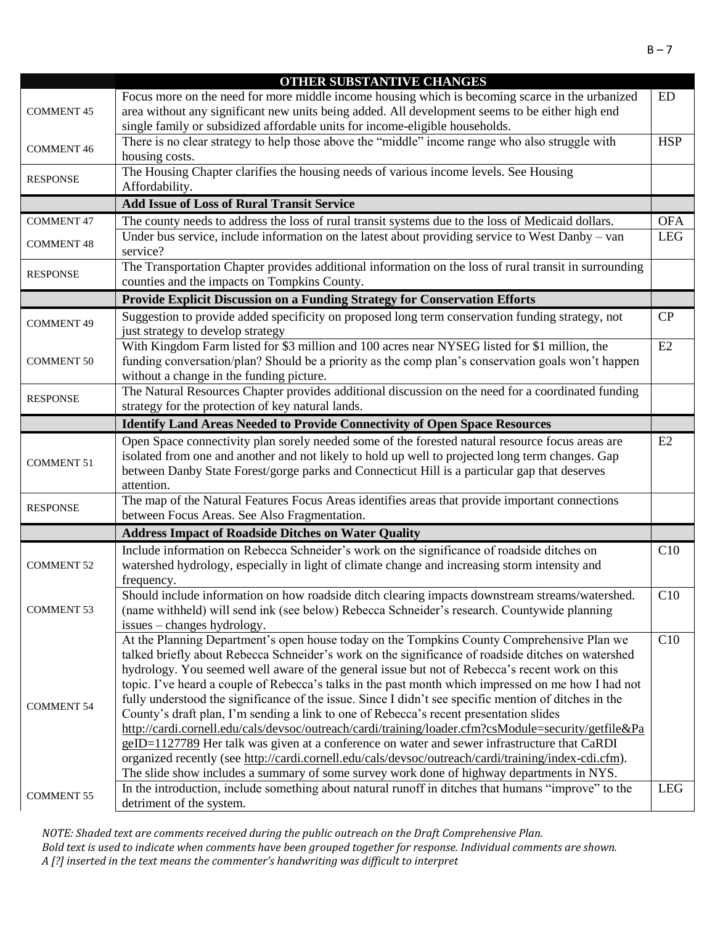|                   | OTHER SUBSTANTIVE CHANGES                                                                                                       |            |
|-------------------|---------------------------------------------------------------------------------------------------------------------------------|------------|
|                   | Focus more on the need for more middle income housing which is becoming scarce in the urbanized                                 | <b>ED</b>  |
| <b>COMMENT 45</b> | area without any significant new units being added. All development seems to be either high end                                 |            |
|                   | single family or subsidized affordable units for income-eligible households.                                                    |            |
|                   | There is no clear strategy to help those above the "middle" income range who also struggle with                                 | <b>HSP</b> |
| <b>COMMENT 46</b> | housing costs.                                                                                                                  |            |
|                   | The Housing Chapter clarifies the housing needs of various income levels. See Housing                                           |            |
| <b>RESPONSE</b>   | Affordability.                                                                                                                  |            |
|                   | <b>Add Issue of Loss of Rural Transit Service</b>                                                                               |            |
|                   |                                                                                                                                 |            |
| <b>COMMENT 47</b> | The county needs to address the loss of rural transit systems due to the loss of Medicaid dollars.                              | <b>OFA</b> |
| <b>COMMENT 48</b> | Under bus service, include information on the latest about providing service to West Danby - van                                | <b>LEG</b> |
|                   | service?                                                                                                                        |            |
| <b>RESPONSE</b>   | The Transportation Chapter provides additional information on the loss of rural transit in surrounding                          |            |
|                   | counties and the impacts on Tompkins County.                                                                                    |            |
|                   | Provide Explicit Discussion on a Funding Strategy for Conservation Efforts                                                      |            |
|                   | Suggestion to provide added specificity on proposed long term conservation funding strategy, not                                | CP         |
| <b>COMMENT 49</b> | just strategy to develop strategy                                                                                               |            |
|                   | With Kingdom Farm listed for \$3 million and 100 acres near NYSEG listed for \$1 million, the                                   | E2         |
| <b>COMMENT 50</b> | funding conversation/plan? Should be a priority as the comp plan's conservation goals won't happen                              |            |
|                   | without a change in the funding picture.                                                                                        |            |
|                   | The Natural Resources Chapter provides additional discussion on the need for a coordinated funding                              |            |
| <b>RESPONSE</b>   | strategy for the protection of key natural lands.                                                                               |            |
|                   | <b>Identify Land Areas Needed to Provide Connectivity of Open Space Resources</b>                                               |            |
|                   |                                                                                                                                 | E2         |
|                   |                                                                                                                                 |            |
|                   | Open Space connectivity plan sorely needed some of the forested natural resource focus areas are                                |            |
| <b>COMMENT 51</b> | isolated from one and another and not likely to hold up well to projected long term changes. Gap                                |            |
|                   | between Danby State Forest/gorge parks and Connecticut Hill is a particular gap that deserves                                   |            |
|                   | attention.                                                                                                                      |            |
| <b>RESPONSE</b>   | The map of the Natural Features Focus Areas identifies areas that provide important connections                                 |            |
|                   | between Focus Areas. See Also Fragmentation.                                                                                    |            |
|                   | <b>Address Impact of Roadside Ditches on Water Quality</b>                                                                      |            |
|                   | Include information on Rebecca Schneider's work on the significance of roadside ditches on                                      | C10        |
| <b>COMMENT 52</b> | watershed hydrology, especially in light of climate change and increasing storm intensity and                                   |            |
|                   | frequency.                                                                                                                      |            |
|                   | Should include information on how roadside ditch clearing impacts downstream streams/watershed.                                 | C10        |
| <b>COMMENT 53</b> | (name withheld) will send ink (see below) Rebecca Schneider's research. Countywide planning                                     |            |
|                   | issues – changes hydrology.                                                                                                     |            |
|                   | At the Planning Department's open house today on the Tompkins County Comprehensive Plan we                                      | C10        |
|                   | talked briefly about Rebecca Schneider's work on the significance of roadside ditches on watershed                              |            |
|                   | hydrology. You seemed well aware of the general issue but not of Rebecca's recent work on this                                  |            |
|                   | topic. I've heard a couple of Rebecca's talks in the past month which impressed on me how I had not                             |            |
| <b>COMMENT 54</b> | fully understood the significance of the issue. Since I didn't see specific mention of ditches in the                           |            |
|                   | County's draft plan, I'm sending a link to one of Rebecca's recent presentation slides                                          |            |
|                   | http://cardi.cornell.edu/cals/devsoc/outreach/cardi/training/loader.cfm?csModule=security/getfile&Pa                            |            |
|                   | geID=1127789 Her talk was given at a conference on water and sewer infrastructure that CaRDI                                    |            |
|                   | organized recently (see http://cardi.cornell.edu/cals/devsoc/outreach/cardi/training/index-cdi.cfm).                            |            |
|                   | The slide show includes a summary of some survey work done of highway departments in NYS.                                       |            |
| <b>COMMENT 55</b> | In the introduction, include something about natural runoff in ditches that humans "improve" to the<br>detriment of the system. | <b>LEG</b> |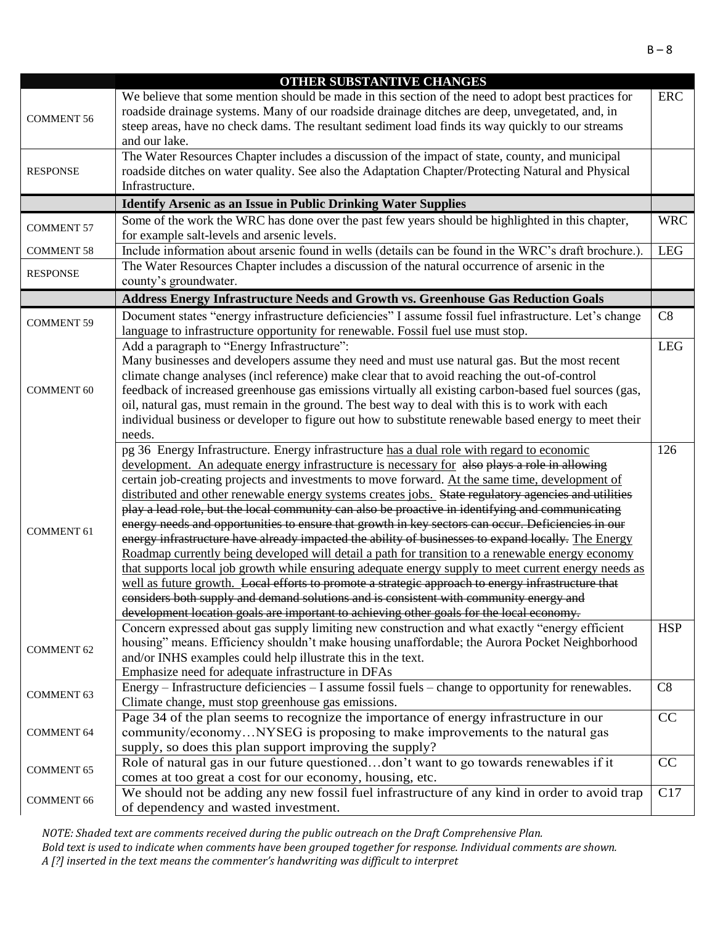|                   | OTHER SUBSTANTIVE CHANGES                                                                              |            |
|-------------------|--------------------------------------------------------------------------------------------------------|------------|
|                   | We believe that some mention should be made in this section of the need to adopt best practices for    | <b>ERC</b> |
|                   | roadside drainage systems. Many of our roadside drainage ditches are deep, unvegetated, and, in        |            |
| <b>COMMENT 56</b> | steep areas, have no check dams. The resultant sediment load finds its way quickly to our streams      |            |
|                   | and our lake.                                                                                          |            |
|                   | The Water Resources Chapter includes a discussion of the impact of state, county, and municipal        |            |
| <b>RESPONSE</b>   | roadside ditches on water quality. See also the Adaptation Chapter/Protecting Natural and Physical     |            |
|                   | Infrastructure.                                                                                        |            |
|                   | <b>Identify Arsenic as an Issue in Public Drinking Water Supplies</b>                                  |            |
|                   |                                                                                                        | <b>WRC</b> |
| <b>COMMENT 57</b> | Some of the work the WRC has done over the past few years should be highlighted in this chapter,       |            |
|                   | for example salt-levels and arsenic levels.                                                            | <b>LEG</b> |
| <b>COMMENT 58</b> | Include information about arsenic found in wells (details can be found in the WRC's draft brochure.).  |            |
| <b>RESPONSE</b>   | The Water Resources Chapter includes a discussion of the natural occurrence of arsenic in the          |            |
|                   | county's groundwater.                                                                                  |            |
|                   | Address Energy Infrastructure Needs and Growth vs. Greenhouse Gas Reduction Goals                      |            |
| <b>COMMENT 59</b> | Document states "energy infrastructure deficiencies" I assume fossil fuel infrastructure. Let's change | C8         |
|                   | language to infrastructure opportunity for renewable. Fossil fuel use must stop.                       |            |
|                   | Add a paragraph to "Energy Infrastructure":                                                            | <b>LEG</b> |
|                   | Many businesses and developers assume they need and must use natural gas. But the most recent          |            |
|                   | climate change analyses (incl reference) make clear that to avoid reaching the out-of-control          |            |
| <b>COMMENT 60</b> | feedback of increased greenhouse gas emissions virtually all existing carbon-based fuel sources (gas,  |            |
|                   | oil, natural gas, must remain in the ground. The best way to deal with this is to work with each       |            |
|                   | individual business or developer to figure out how to substitute renewable based energy to meet their  |            |
|                   | needs.                                                                                                 |            |
|                   | pg 36 Energy Infrastructure. Energy infrastructure has a dual role with regard to economic             | 126        |
|                   | development. An adequate energy infrastructure is necessary for also plays a role in allowing          |            |
|                   | certain job-creating projects and investments to move forward. At the same time, development of        |            |
|                   | distributed and other renewable energy systems creates jobs. State regulatory agencies and utilities   |            |
|                   | play a lead role, but the local community can also be proactive in identifying and communicating       |            |
| <b>COMMENT 61</b> | energy needs and opportunities to ensure that growth in key sectors can occur. Deficiencies in our     |            |
|                   | energy infrastructure have already impacted the ability of businesses to expand locally. The Energy    |            |
|                   | Roadmap currently being developed will detail a path for transition to a renewable energy economy      |            |
|                   | that supports local job growth while ensuring adequate energy supply to meet current energy needs as   |            |
|                   | well as future growth. Local efforts to promote a strategic approach to energy infrastructure that     |            |
|                   | considers both supply and demand solutions and is consistent with community energy and                 |            |
|                   | development location goals are important to achieving other goals for the local economy.               |            |
|                   | Concern expressed about gas supply limiting new construction and what exactly "energy efficient        | <b>HSP</b> |
| <b>COMMENT 62</b> | housing" means. Efficiency shouldn't make housing unaffordable; the Aurora Pocket Neighborhood         |            |
|                   | and/or INHS examples could help illustrate this in the text.                                           |            |
|                   | Emphasize need for adequate infrastructure in DFAs                                                     |            |
| <b>COMMENT 63</b> | Energy – Infrastructure deficiencies – I assume fossil fuels – change to opportunity for renewables.   | C8         |
|                   | Climate change, must stop greenhouse gas emissions.                                                    |            |
|                   | Page 34 of the plan seems to recognize the importance of energy infrastructure in our                  | CC         |
| <b>COMMENT 64</b> | community/economyNYSEG is proposing to make improvements to the natural gas                            |            |
|                   | supply, so does this plan support improving the supply?                                                |            |
| <b>COMMENT 65</b> | Role of natural gas in our future questioneddon't want to go towards renewables if it                  | CC         |
|                   | comes at too great a cost for our economy, housing, etc.                                               |            |
| <b>COMMENT 66</b> | We should not be adding any new fossil fuel infrastructure of any kind in order to avoid trap          | C17        |
|                   | of dependency and wasted investment.                                                                   |            |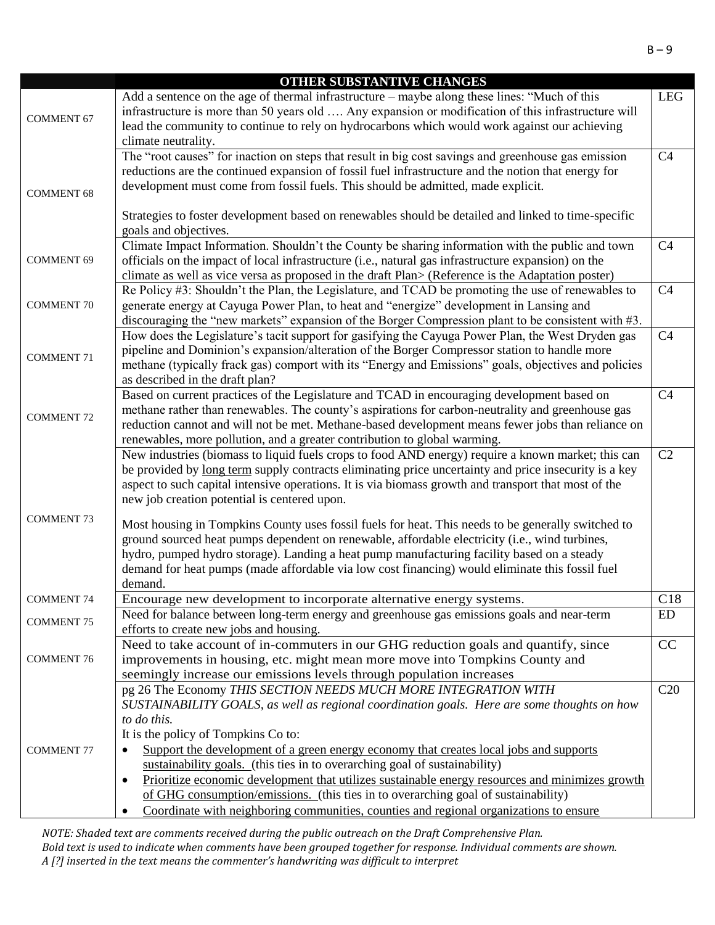|                   | OTHER SUBSTANTIVE CHANGES                                                                                                                                                                               |                |
|-------------------|---------------------------------------------------------------------------------------------------------------------------------------------------------------------------------------------------------|----------------|
| <b>COMMENT 67</b> | Add a sentence on the age of thermal infrastructure – maybe along these lines: "Much of this<br>infrastructure is more than 50 years old  Any expansion or modification of this infrastructure will     | <b>LEG</b>     |
|                   | lead the community to continue to rely on hydrocarbons which would work against our achieving<br>climate neutrality.                                                                                    |                |
|                   | The "root causes" for inaction on steps that result in big cost savings and greenhouse gas emission                                                                                                     | C <sub>4</sub> |
|                   | reductions are the continued expansion of fossil fuel infrastructure and the notion that energy for                                                                                                     |                |
| <b>COMMENT 68</b> | development must come from fossil fuels. This should be admitted, made explicit.                                                                                                                        |                |
|                   |                                                                                                                                                                                                         |                |
|                   | Strategies to foster development based on renewables should be detailed and linked to time-specific                                                                                                     |                |
|                   | goals and objectives.                                                                                                                                                                                   |                |
| <b>COMMENT 69</b> | Climate Impact Information. Shouldn't the County be sharing information with the public and town<br>officials on the impact of local infrastructure (i.e., natural gas infrastructure expansion) on the | C <sub>4</sub> |
|                   | climate as well as vice versa as proposed in the draft Plan> (Reference is the Adaptation poster)                                                                                                       |                |
|                   | Re Policy #3: Shouldn't the Plan, the Legislature, and TCAD be promoting the use of renewables to                                                                                                       | C <sub>4</sub> |
| <b>COMMENT 70</b> | generate energy at Cayuga Power Plan, to heat and "energize" development in Lansing and                                                                                                                 |                |
|                   | discouraging the "new markets" expansion of the Borger Compression plant to be consistent with #3.                                                                                                      |                |
|                   | How does the Legislature's tacit support for gasifying the Cayuga Power Plan, the West Dryden gas                                                                                                       | C <sub>4</sub> |
| <b>COMMENT 71</b> | pipeline and Dominion's expansion/alteration of the Borger Compressor station to handle more                                                                                                            |                |
|                   | methane (typically frack gas) comport with its "Energy and Emissions" goals, objectives and policies                                                                                                    |                |
|                   | as described in the draft plan?<br>Based on current practices of the Legislature and TCAD in encouraging development based on                                                                           | C <sub>4</sub> |
|                   | methane rather than renewables. The county's aspirations for carbon-neutrality and greenhouse gas                                                                                                       |                |
| <b>COMMENT 72</b> | reduction cannot and will not be met. Methane-based development means fewer jobs than reliance on                                                                                                       |                |
|                   | renewables, more pollution, and a greater contribution to global warming.                                                                                                                               |                |
|                   | New industries (biomass to liquid fuels crops to food AND energy) require a known market; this can                                                                                                      | C2             |
|                   | be provided by long term supply contracts eliminating price uncertainty and price insecurity is a key                                                                                                   |                |
|                   | aspect to such capital intensive operations. It is via biomass growth and transport that most of the                                                                                                    |                |
|                   | new job creation potential is centered upon.                                                                                                                                                            |                |
| <b>COMMENT 73</b> | Most housing in Tompkins County uses fossil fuels for heat. This needs to be generally switched to                                                                                                      |                |
|                   | ground sourced heat pumps dependent on renewable, affordable electricity (i.e., wind turbines,                                                                                                          |                |
|                   | hydro, pumped hydro storage). Landing a heat pump manufacturing facility based on a steady                                                                                                              |                |
|                   | demand for heat pumps (made affordable via low cost financing) would eliminate this fossil fuel                                                                                                         |                |
|                   | demand.                                                                                                                                                                                                 |                |
| <b>COMMENT 74</b> | Encourage new development to incorporate alternative energy systems.                                                                                                                                    | C18<br>ED      |
| <b>COMMENT 75</b> | Need for balance between long-term energy and greenhouse gas emissions goals and near-term<br>efforts to create new jobs and housing.                                                                   |                |
|                   | Need to take account of in-commuters in our GHG reduction goals and quantify, since                                                                                                                     | CC             |
| <b>COMMENT 76</b> | improvements in housing, etc. might mean more move into Tompkins County and                                                                                                                             |                |
|                   | seemingly increase our emissions levels through population increases                                                                                                                                    |                |
|                   | pg 26 The Economy THIS SECTION NEEDS MUCH MORE INTEGRATION WITH                                                                                                                                         | C20            |
|                   | SUSTAINABILITY GOALS, as well as regional coordination goals. Here are some thoughts on how                                                                                                             |                |
|                   | to do this.                                                                                                                                                                                             |                |
|                   | It is the policy of Tompkins Co to:                                                                                                                                                                     |                |
| <b>COMMENT 77</b> | Support the development of a green energy economy that creates local jobs and supports<br>sustainability goals. (this ties in to overarching goal of sustainability)                                    |                |
|                   | Prioritize economic development that utilizes sustainable energy resources and minimizes growth<br>$\bullet$                                                                                            |                |
|                   | of GHG consumption/emissions. (this ties in to overarching goal of sustainability)                                                                                                                      |                |
|                   | Coordinate with neighboring communities, counties and regional organizations to ensure                                                                                                                  |                |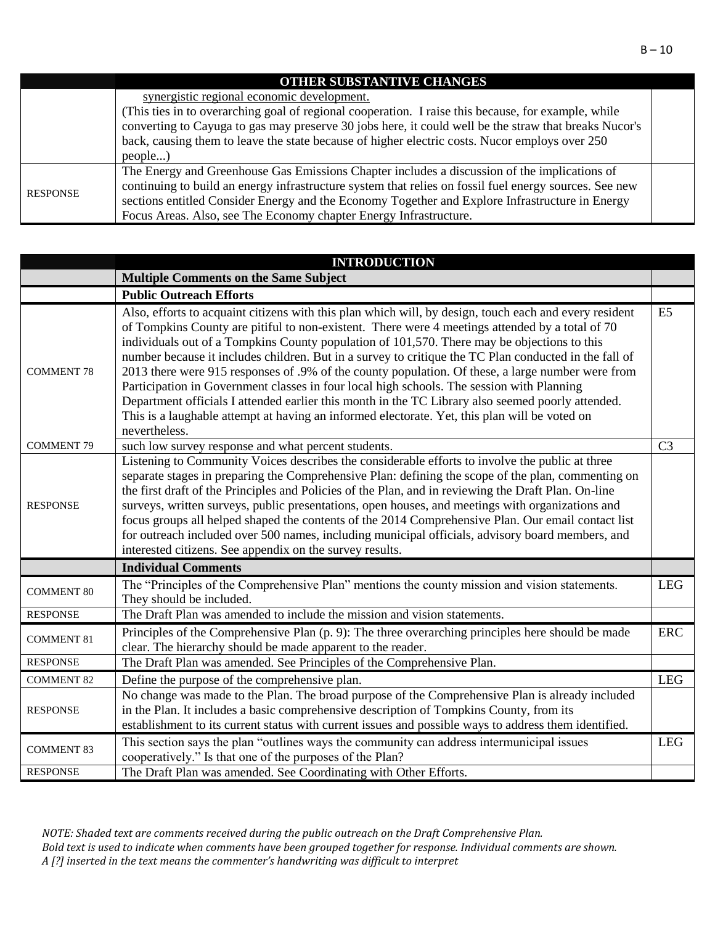### synergistic regional economic development. (This ties in to overarching goal of regional cooperation. I raise this because, for example, while converting to Cayuga to gas may preserve 30 jobs here, it could well be the straw that breaks Nucor's back, causing them to leave the state because of higher electric costs. Nucor employs over 250 people...) RESPONSE The Energy and Greenhouse Gas Emissions Chapter includes a discussion of the implications of continuing to build an energy infrastructure system that relies on fossil fuel energy sources. See new sections entitled Consider Energy and the Economy Together and Explore Infrastructure in Energy Focus Areas. Also, see The Economy chapter Energy Infrastructure.

|                   | <b>INTRODUCTION</b>                                                                                                                                                                                                                                                                                                                                                                                                                                                                                                                                                                                                                                                                                                                                                                                                                        |                |
|-------------------|--------------------------------------------------------------------------------------------------------------------------------------------------------------------------------------------------------------------------------------------------------------------------------------------------------------------------------------------------------------------------------------------------------------------------------------------------------------------------------------------------------------------------------------------------------------------------------------------------------------------------------------------------------------------------------------------------------------------------------------------------------------------------------------------------------------------------------------------|----------------|
|                   | <b>Multiple Comments on the Same Subject</b>                                                                                                                                                                                                                                                                                                                                                                                                                                                                                                                                                                                                                                                                                                                                                                                               |                |
|                   | <b>Public Outreach Efforts</b>                                                                                                                                                                                                                                                                                                                                                                                                                                                                                                                                                                                                                                                                                                                                                                                                             |                |
| <b>COMMENT 78</b> | Also, efforts to acquaint citizens with this plan which will, by design, touch each and every resident<br>of Tompkins County are pitiful to non-existent. There were 4 meetings attended by a total of 70<br>individuals out of a Tompkins County population of 101,570. There may be objections to this<br>number because it includes children. But in a survey to critique the TC Plan conducted in the fall of<br>2013 there were 915 responses of .9% of the county population. Of these, a large number were from<br>Participation in Government classes in four local high schools. The session with Planning<br>Department officials I attended earlier this month in the TC Library also seemed poorly attended.<br>This is a laughable attempt at having an informed electorate. Yet, this plan will be voted on<br>nevertheless. | E <sub>5</sub> |
| <b>COMMENT 79</b> | such low survey response and what percent students.                                                                                                                                                                                                                                                                                                                                                                                                                                                                                                                                                                                                                                                                                                                                                                                        | C <sub>3</sub> |
| <b>RESPONSE</b>   | Listening to Community Voices describes the considerable efforts to involve the public at three<br>separate stages in preparing the Comprehensive Plan: defining the scope of the plan, commenting on<br>the first draft of the Principles and Policies of the Plan, and in reviewing the Draft Plan. On-line<br>surveys, written surveys, public presentations, open houses, and meetings with organizations and<br>focus groups all helped shaped the contents of the 2014 Comprehensive Plan. Our email contact list<br>for outreach included over 500 names, including municipal officials, advisory board members, and<br>interested citizens. See appendix on the survey results.                                                                                                                                                    |                |
|                   | <b>Individual Comments</b>                                                                                                                                                                                                                                                                                                                                                                                                                                                                                                                                                                                                                                                                                                                                                                                                                 |                |
| <b>COMMENT 80</b> | The "Principles of the Comprehensive Plan" mentions the county mission and vision statements.<br>They should be included.                                                                                                                                                                                                                                                                                                                                                                                                                                                                                                                                                                                                                                                                                                                  | <b>LEG</b>     |
| <b>RESPONSE</b>   | The Draft Plan was amended to include the mission and vision statements.                                                                                                                                                                                                                                                                                                                                                                                                                                                                                                                                                                                                                                                                                                                                                                   |                |
| <b>COMMENT 81</b> | Principles of the Comprehensive Plan (p. 9): The three overarching principles here should be made<br>clear. The hierarchy should be made apparent to the reader.                                                                                                                                                                                                                                                                                                                                                                                                                                                                                                                                                                                                                                                                           | <b>ERC</b>     |
| <b>RESPONSE</b>   | The Draft Plan was amended. See Principles of the Comprehensive Plan.                                                                                                                                                                                                                                                                                                                                                                                                                                                                                                                                                                                                                                                                                                                                                                      |                |
| <b>COMMENT 82</b> | Define the purpose of the comprehensive plan.                                                                                                                                                                                                                                                                                                                                                                                                                                                                                                                                                                                                                                                                                                                                                                                              | <b>LEG</b>     |
| <b>RESPONSE</b>   | No change was made to the Plan. The broad purpose of the Comprehensive Plan is already included<br>in the Plan. It includes a basic comprehensive description of Tompkins County, from its<br>establishment to its current status with current issues and possible ways to address them identified.                                                                                                                                                                                                                                                                                                                                                                                                                                                                                                                                        |                |
| <b>COMMENT 83</b> | This section says the plan "outlines ways the community can address intermunicipal issues<br>cooperatively." Is that one of the purposes of the Plan?                                                                                                                                                                                                                                                                                                                                                                                                                                                                                                                                                                                                                                                                                      | <b>LEG</b>     |
| <b>RESPONSE</b>   | The Draft Plan was amended. See Coordinating with Other Efforts.                                                                                                                                                                                                                                                                                                                                                                                                                                                                                                                                                                                                                                                                                                                                                                           |                |

*NOTE: Shaded text are comments received during the public outreach on the Draft Comprehensive Plan. Bold text is used to indicate when comments have been grouped together for response. Individual comments are shown. A [?] inserted in the text means the commenter's handwriting was difficult to interpret*

#### **OTHER SUBSTANTIVE CHANGES**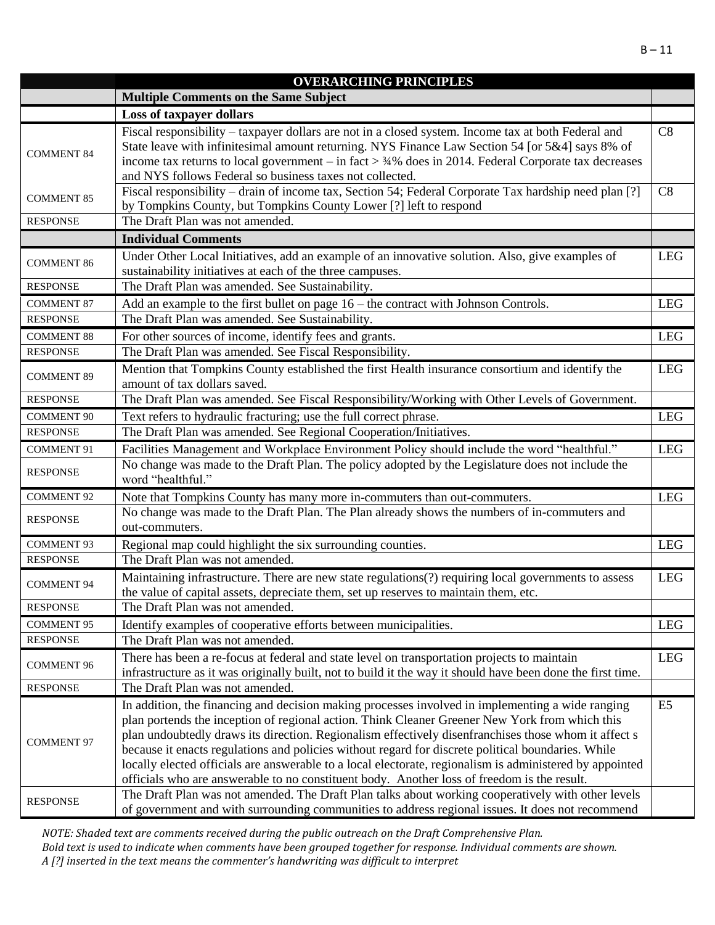|                   | <b>OVERARCHING PRINCIPLES</b>                                                                                                                                                                                                                                                                                                                                                                                                                                                                                                                                                                                               |                |
|-------------------|-----------------------------------------------------------------------------------------------------------------------------------------------------------------------------------------------------------------------------------------------------------------------------------------------------------------------------------------------------------------------------------------------------------------------------------------------------------------------------------------------------------------------------------------------------------------------------------------------------------------------------|----------------|
|                   | <b>Multiple Comments on the Same Subject</b>                                                                                                                                                                                                                                                                                                                                                                                                                                                                                                                                                                                |                |
|                   | Loss of taxpayer dollars                                                                                                                                                                                                                                                                                                                                                                                                                                                                                                                                                                                                    |                |
| <b>COMMENT 84</b> | Fiscal responsibility - taxpayer dollars are not in a closed system. Income tax at both Federal and<br>State leave with infinitesimal amount returning. NYS Finance Law Section 54 [or 5&4] says 8% of<br>income tax returns to local government – in fact $>$ 34% does in 2014. Federal Corporate tax decreases<br>and NYS follows Federal so business taxes not collected.                                                                                                                                                                                                                                                | C8             |
| <b>COMMENT 85</b> | Fiscal responsibility – drain of income tax, Section 54; Federal Corporate Tax hardship need plan [?]<br>by Tompkins County, but Tompkins County Lower [?] left to respond                                                                                                                                                                                                                                                                                                                                                                                                                                                  | C8             |
| <b>RESPONSE</b>   | The Draft Plan was not amended.                                                                                                                                                                                                                                                                                                                                                                                                                                                                                                                                                                                             |                |
|                   | <b>Individual Comments</b>                                                                                                                                                                                                                                                                                                                                                                                                                                                                                                                                                                                                  |                |
| <b>COMMENT 86</b> | Under Other Local Initiatives, add an example of an innovative solution. Also, give examples of<br>sustainability initiatives at each of the three campuses.                                                                                                                                                                                                                                                                                                                                                                                                                                                                | <b>LEG</b>     |
| <b>RESPONSE</b>   | The Draft Plan was amended. See Sustainability.                                                                                                                                                                                                                                                                                                                                                                                                                                                                                                                                                                             |                |
| <b>COMMENT 87</b> | Add an example to the first bullet on page $16$ – the contract with Johnson Controls.                                                                                                                                                                                                                                                                                                                                                                                                                                                                                                                                       | <b>LEG</b>     |
| <b>RESPONSE</b>   | The Draft Plan was amended. See Sustainability.                                                                                                                                                                                                                                                                                                                                                                                                                                                                                                                                                                             |                |
| <b>COMMENT 88</b> | For other sources of income, identify fees and grants.                                                                                                                                                                                                                                                                                                                                                                                                                                                                                                                                                                      | <b>LEG</b>     |
| <b>RESPONSE</b>   | The Draft Plan was amended. See Fiscal Responsibility.                                                                                                                                                                                                                                                                                                                                                                                                                                                                                                                                                                      |                |
| <b>COMMENT 89</b> | Mention that Tompkins County established the first Health insurance consortium and identify the<br>amount of tax dollars saved.                                                                                                                                                                                                                                                                                                                                                                                                                                                                                             | <b>LEG</b>     |
| <b>RESPONSE</b>   | The Draft Plan was amended. See Fiscal Responsibility/Working with Other Levels of Government.                                                                                                                                                                                                                                                                                                                                                                                                                                                                                                                              |                |
| <b>COMMENT 90</b> | Text refers to hydraulic fracturing; use the full correct phrase.                                                                                                                                                                                                                                                                                                                                                                                                                                                                                                                                                           | <b>LEG</b>     |
| <b>RESPONSE</b>   | The Draft Plan was amended. See Regional Cooperation/Initiatives.                                                                                                                                                                                                                                                                                                                                                                                                                                                                                                                                                           |                |
| <b>COMMENT 91</b> | Facilities Management and Workplace Environment Policy should include the word "healthful."                                                                                                                                                                                                                                                                                                                                                                                                                                                                                                                                 | <b>LEG</b>     |
| <b>RESPONSE</b>   | No change was made to the Draft Plan. The policy adopted by the Legislature does not include the<br>word "healthful."                                                                                                                                                                                                                                                                                                                                                                                                                                                                                                       |                |
| <b>COMMENT 92</b> | Note that Tompkins County has many more in-commuters than out-commuters.                                                                                                                                                                                                                                                                                                                                                                                                                                                                                                                                                    | <b>LEG</b>     |
| <b>RESPONSE</b>   | No change was made to the Draft Plan. The Plan already shows the numbers of in-commuters and<br>out-commuters.                                                                                                                                                                                                                                                                                                                                                                                                                                                                                                              |                |
| <b>COMMENT 93</b> | Regional map could highlight the six surrounding counties.                                                                                                                                                                                                                                                                                                                                                                                                                                                                                                                                                                  | <b>LEG</b>     |
| <b>RESPONSE</b>   | The Draft Plan was not amended.                                                                                                                                                                                                                                                                                                                                                                                                                                                                                                                                                                                             |                |
| <b>COMMENT 94</b> | Maintaining infrastructure. There are new state regulations(?) requiring local governments to assess<br>the value of capital assets, depreciate them, set up reserves to maintain them, etc.                                                                                                                                                                                                                                                                                                                                                                                                                                | <b>LEG</b>     |
| <b>RESPONSE</b>   | The Draft Plan was not amended.                                                                                                                                                                                                                                                                                                                                                                                                                                                                                                                                                                                             |                |
| <b>COMMENT 95</b> | Identify examples of cooperative efforts between municipalities.                                                                                                                                                                                                                                                                                                                                                                                                                                                                                                                                                            | <b>LEG</b>     |
| <b>RESPONSE</b>   | The Draft Plan was not amended.                                                                                                                                                                                                                                                                                                                                                                                                                                                                                                                                                                                             |                |
| <b>COMMENT 96</b> | There has been a re-focus at federal and state level on transportation projects to maintain<br>infrastructure as it was originally built, not to build it the way it should have been done the first time.                                                                                                                                                                                                                                                                                                                                                                                                                  | <b>LEG</b>     |
| <b>RESPONSE</b>   | The Draft Plan was not amended.                                                                                                                                                                                                                                                                                                                                                                                                                                                                                                                                                                                             |                |
| <b>COMMENT 97</b> | In addition, the financing and decision making processes involved in implementing a wide ranging<br>plan portends the inception of regional action. Think Cleaner Greener New York from which this<br>plan undoubtedly draws its direction. Regionalism effectively disenfranchises those whom it affect s<br>because it enacts regulations and policies without regard for discrete political boundaries. While<br>locally elected officials are answerable to a local electorate, regionalism is administered by appointed<br>officials who are answerable to no constituent body. Another loss of freedom is the result. | E <sub>5</sub> |
| <b>RESPONSE</b>   | The Draft Plan was not amended. The Draft Plan talks about working cooperatively with other levels<br>of government and with surrounding communities to address regional issues. It does not recommend                                                                                                                                                                                                                                                                                                                                                                                                                      |                |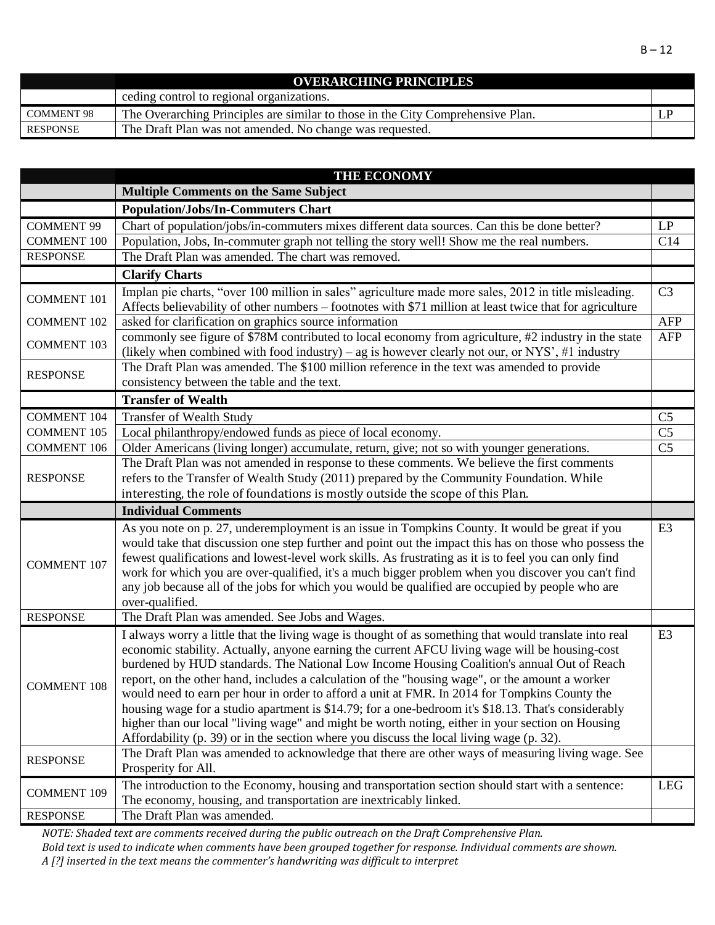|                   | <b>OVERARCHING PRINCIPLES</b>                                                   |  |
|-------------------|---------------------------------------------------------------------------------|--|
|                   | ceding control to regional organizations.                                       |  |
| <b>COMMENT 98</b> | The Overarching Principles are similar to those in the City Comprehensive Plan. |  |
| <b>RESPONSE</b>   | The Draft Plan was not amended. No change was requested.                        |  |

|                    | <b>THE ECONOMY</b>                                                                                                                                                                                                                                                                                                                                                                                                                                                                                                                                                                                                                                                                                                                                                                                                     |                 |
|--------------------|------------------------------------------------------------------------------------------------------------------------------------------------------------------------------------------------------------------------------------------------------------------------------------------------------------------------------------------------------------------------------------------------------------------------------------------------------------------------------------------------------------------------------------------------------------------------------------------------------------------------------------------------------------------------------------------------------------------------------------------------------------------------------------------------------------------------|-----------------|
|                    | <b>Multiple Comments on the Same Subject</b>                                                                                                                                                                                                                                                                                                                                                                                                                                                                                                                                                                                                                                                                                                                                                                           |                 |
|                    | <b>Population/Jobs/In-Commuters Chart</b>                                                                                                                                                                                                                                                                                                                                                                                                                                                                                                                                                                                                                                                                                                                                                                              |                 |
| <b>COMMENT 99</b>  | Chart of population/jobs/in-commuters mixes different data sources. Can this be done better?                                                                                                                                                                                                                                                                                                                                                                                                                                                                                                                                                                                                                                                                                                                           | LP              |
| <b>COMMENT 100</b> | Population, Jobs, In-commuter graph not telling the story well! Show me the real numbers.                                                                                                                                                                                                                                                                                                                                                                                                                                                                                                                                                                                                                                                                                                                              | C14             |
| <b>RESPONSE</b>    | The Draft Plan was amended. The chart was removed.                                                                                                                                                                                                                                                                                                                                                                                                                                                                                                                                                                                                                                                                                                                                                                     |                 |
|                    | <b>Clarify Charts</b>                                                                                                                                                                                                                                                                                                                                                                                                                                                                                                                                                                                                                                                                                                                                                                                                  |                 |
| <b>COMMENT 101</b> | Implan pie charts, "over 100 million in sales" agriculture made more sales, 2012 in title misleading.<br>Affects believability of other numbers - footnotes with \$71 million at least twice that for agriculture                                                                                                                                                                                                                                                                                                                                                                                                                                                                                                                                                                                                      | C <sub>3</sub>  |
| <b>COMMENT 102</b> | asked for clarification on graphics source information                                                                                                                                                                                                                                                                                                                                                                                                                                                                                                                                                                                                                                                                                                                                                                 | <b>AFP</b>      |
| <b>COMMENT 103</b> | commonly see figure of \$78M contributed to local economy from agriculture, #2 industry in the state<br>(likely when combined with food industry) – ag is however clearly not our, or NYS', #1 industry                                                                                                                                                                                                                                                                                                                                                                                                                                                                                                                                                                                                                | AFP             |
| <b>RESPONSE</b>    | The Draft Plan was amended. The \$100 million reference in the text was amended to provide<br>consistency between the table and the text.                                                                                                                                                                                                                                                                                                                                                                                                                                                                                                                                                                                                                                                                              |                 |
|                    | <b>Transfer of Wealth</b>                                                                                                                                                                                                                                                                                                                                                                                                                                                                                                                                                                                                                                                                                                                                                                                              |                 |
| <b>COMMENT 104</b> | <b>Transfer of Wealth Study</b>                                                                                                                                                                                                                                                                                                                                                                                                                                                                                                                                                                                                                                                                                                                                                                                        | C <sub>5</sub>  |
| <b>COMMENT 105</b> | Local philanthropy/endowed funds as piece of local economy.                                                                                                                                                                                                                                                                                                                                                                                                                                                                                                                                                                                                                                                                                                                                                            | C <sub>5</sub>  |
| <b>COMMENT 106</b> | Older Americans (living longer) accumulate, return, give; not so with younger generations.                                                                                                                                                                                                                                                                                                                                                                                                                                                                                                                                                                                                                                                                                                                             | $\overline{C5}$ |
| <b>RESPONSE</b>    | The Draft Plan was not amended in response to these comments. We believe the first comments<br>refers to the Transfer of Wealth Study (2011) prepared by the Community Foundation. While<br>interesting, the role of foundations is mostly outside the scope of this Plan.                                                                                                                                                                                                                                                                                                                                                                                                                                                                                                                                             |                 |
|                    |                                                                                                                                                                                                                                                                                                                                                                                                                                                                                                                                                                                                                                                                                                                                                                                                                        |                 |
|                    | <b>Individual Comments</b>                                                                                                                                                                                                                                                                                                                                                                                                                                                                                                                                                                                                                                                                                                                                                                                             |                 |
| <b>COMMENT 107</b> | As you note on p. 27, underemployment is an issue in Tompkins County. It would be great if you<br>would take that discussion one step further and point out the impact this has on those who possess the<br>fewest qualifications and lowest-level work skills. As frustrating as it is to feel you can only find<br>work for which you are over-qualified, it's a much bigger problem when you discover you can't find<br>any job because all of the jobs for which you would be qualified are occupied by people who are                                                                                                                                                                                                                                                                                             | E <sub>3</sub>  |
| <b>RESPONSE</b>    | over-qualified.<br>The Draft Plan was amended. See Jobs and Wages.                                                                                                                                                                                                                                                                                                                                                                                                                                                                                                                                                                                                                                                                                                                                                     |                 |
| <b>COMMENT 108</b> | I always worry a little that the living wage is thought of as something that would translate into real<br>economic stability. Actually, anyone earning the current AFCU living wage will be housing-cost<br>burdened by HUD standards. The National Low Income Housing Coalition's annual Out of Reach<br>report, on the other hand, includes a calculation of the "housing wage", or the amount a worker<br>would need to earn per hour in order to afford a unit at FMR. In 2014 for Tompkins County the<br>housing wage for a studio apartment is \$14.79; for a one-bedroom it's \$18.13. That's considerably<br>higher than our local "living wage" and might be worth noting, either in your section on Housing<br>Affordability $(p. 39)$ or in the section where you discuss the local living wage $(p. 32)$ . | E <sub>3</sub>  |
| <b>RESPONSE</b>    | The Draft Plan was amended to acknowledge that there are other ways of measuring living wage. See<br>Prosperity for All.                                                                                                                                                                                                                                                                                                                                                                                                                                                                                                                                                                                                                                                                                               |                 |
| <b>COMMENT 109</b> | The introduction to the Economy, housing and transportation section should start with a sentence:<br>The economy, housing, and transportation are inextricably linked.<br>The Draft Plan was amended.                                                                                                                                                                                                                                                                                                                                                                                                                                                                                                                                                                                                                  | <b>LEG</b>      |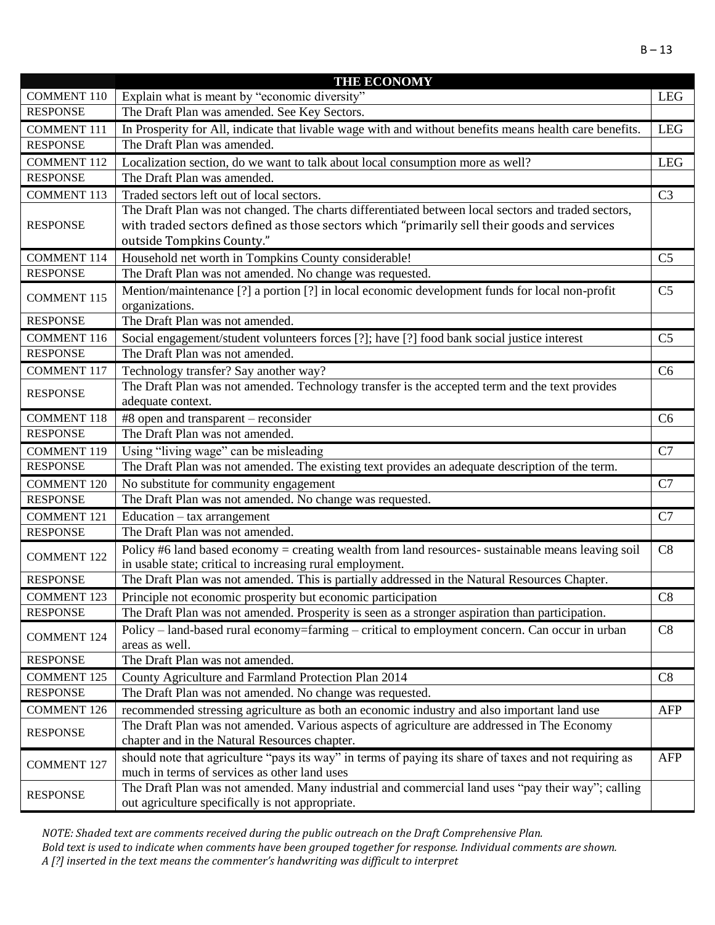|                    | <b>THE ECONOMY</b>                                                                                      |                |
|--------------------|---------------------------------------------------------------------------------------------------------|----------------|
| <b>COMMENT 110</b> | Explain what is meant by "economic diversity"                                                           | <b>LEG</b>     |
| <b>RESPONSE</b>    | The Draft Plan was amended. See Key Sectors.                                                            |                |
| <b>COMMENT 111</b> | In Prosperity for All, indicate that livable wage with and without benefits means health care benefits. | <b>LEG</b>     |
| <b>RESPONSE</b>    | The Draft Plan was amended.                                                                             |                |
| <b>COMMENT 112</b> | Localization section, do we want to talk about local consumption more as well?                          | <b>LEG</b>     |
| <b>RESPONSE</b>    | The Draft Plan was amended.                                                                             |                |
| <b>COMMENT 113</b> | Traded sectors left out of local sectors.                                                               | C <sub>3</sub> |
|                    | The Draft Plan was not changed. The charts differentiated between local sectors and traded sectors,     |                |
| <b>RESPONSE</b>    | with traded sectors defined as those sectors which "primarily sell their goods and services             |                |
|                    | outside Tompkins County."                                                                               |                |
| <b>COMMENT 114</b> | Household net worth in Tompkins County considerable!                                                    | C <sub>5</sub> |
| <b>RESPONSE</b>    | The Draft Plan was not amended. No change was requested.                                                |                |
| <b>COMMENT 115</b> | Mention/maintenance [?] a portion [?] in local economic development funds for local non-profit          | C <sub>5</sub> |
|                    | organizations.                                                                                          |                |
| <b>RESPONSE</b>    | The Draft Plan was not amended.                                                                         |                |
| <b>COMMENT 116</b> | Social engagement/student volunteers forces [?]; have [?] food bank social justice interest             | C <sub>5</sub> |
| <b>RESPONSE</b>    | The Draft Plan was not amended.                                                                         |                |
| <b>COMMENT 117</b> | Technology transfer? Say another way?                                                                   | C <sub>6</sub> |
| <b>RESPONSE</b>    | The Draft Plan was not amended. Technology transfer is the accepted term and the text provides          |                |
|                    | adequate context.                                                                                       |                |
| <b>COMMENT 118</b> | #8 open and transparent – reconsider                                                                    | C <sub>6</sub> |
| <b>RESPONSE</b>    | The Draft Plan was not amended.                                                                         |                |
| <b>COMMENT 119</b> | Using "living wage" can be misleading                                                                   | C7             |
| <b>RESPONSE</b>    | The Draft Plan was not amended. The existing text provides an adequate description of the term.         |                |
| <b>COMMENT 120</b> | No substitute for community engagement                                                                  | C7             |
| <b>RESPONSE</b>    | The Draft Plan was not amended. No change was requested.                                                |                |
| <b>COMMENT 121</b> | Education - tax arrangement                                                                             | C7             |
| <b>RESPONSE</b>    | The Draft Plan was not amended.                                                                         |                |
|                    | Policy #6 land based economy = creating wealth from land resources- sustainable means leaving soil      | C8             |
| <b>COMMENT 122</b> | in usable state; critical to increasing rural employment.                                               |                |
| <b>RESPONSE</b>    | The Draft Plan was not amended. This is partially addressed in the Natural Resources Chapter.           |                |
| <b>COMMENT 123</b> | Principle not economic prosperity but economic participation                                            | C8             |
| <b>RESPONSE</b>    | The Draft Plan was not amended. Prosperity is seen as a stronger aspiration than participation.         |                |
| <b>COMMENT 124</b> | Policy – land-based rural economy=farming – critical to employment concern. Can occur in urban          | C8             |
|                    | areas as well.                                                                                          |                |
| <b>RESPONSE</b>    | The Draft Plan was not amended.                                                                         |                |
| <b>COMMENT 125</b> | County Agriculture and Farmland Protection Plan 2014                                                    | C8             |
| <b>RESPONSE</b>    | The Draft Plan was not amended. No change was requested.                                                |                |
| <b>COMMENT 126</b> | recommended stressing agriculture as both an economic industry and also important land use              | AFP            |
| <b>RESPONSE</b>    | The Draft Plan was not amended. Various aspects of agriculture are addressed in The Economy             |                |
|                    | chapter and in the Natural Resources chapter.                                                           |                |
| <b>COMMENT 127</b> | should note that agriculture "pays its way" in terms of paying its share of taxes and not requiring as  | AFP            |
|                    | much in terms of services as other land uses                                                            |                |
| <b>RESPONSE</b>    | The Draft Plan was not amended. Many industrial and commercial land uses "pay their way"; calling       |                |
|                    | out agriculture specifically is not appropriate.                                                        |                |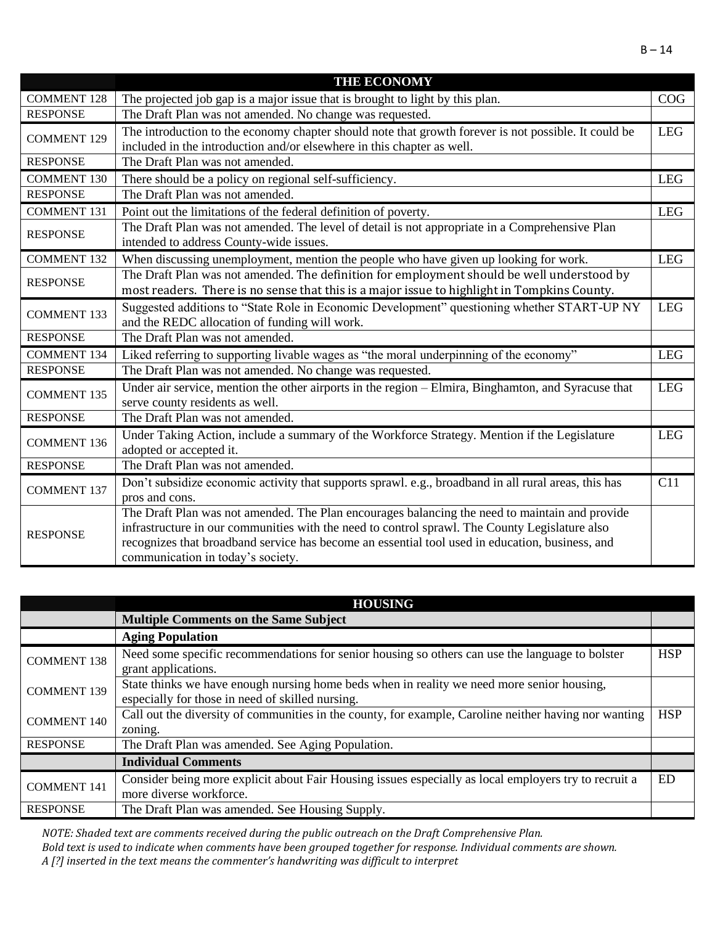|                    | <b>THE ECONOMY</b>                                                                                                                                                                                                                                                                                                                       |            |
|--------------------|------------------------------------------------------------------------------------------------------------------------------------------------------------------------------------------------------------------------------------------------------------------------------------------------------------------------------------------|------------|
| <b>COMMENT 128</b> | The projected job gap is a major issue that is brought to light by this plan.                                                                                                                                                                                                                                                            | COG        |
| <b>RESPONSE</b>    | The Draft Plan was not amended. No change was requested.                                                                                                                                                                                                                                                                                 |            |
| <b>COMMENT 129</b> | The introduction to the economy chapter should note that growth forever is not possible. It could be<br>included in the introduction and/or elsewhere in this chapter as well.                                                                                                                                                           | <b>LEG</b> |
| <b>RESPONSE</b>    | The Draft Plan was not amended.                                                                                                                                                                                                                                                                                                          |            |
| <b>COMMENT 130</b> | There should be a policy on regional self-sufficiency.                                                                                                                                                                                                                                                                                   | <b>LEG</b> |
| <b>RESPONSE</b>    | The Draft Plan was not amended.                                                                                                                                                                                                                                                                                                          |            |
| <b>COMMENT 131</b> | Point out the limitations of the federal definition of poverty.                                                                                                                                                                                                                                                                          | <b>LEG</b> |
| <b>RESPONSE</b>    | The Draft Plan was not amended. The level of detail is not appropriate in a Comprehensive Plan<br>intended to address County-wide issues.                                                                                                                                                                                                |            |
| <b>COMMENT 132</b> | When discussing unemployment, mention the people who have given up looking for work.                                                                                                                                                                                                                                                     | <b>LEG</b> |
| <b>RESPONSE</b>    | The Draft Plan was not amended. The definition for employment should be well understood by<br>most readers. There is no sense that this is a major issue to highlight in Tompkins County.                                                                                                                                                |            |
| <b>COMMENT 133</b> | Suggested additions to "State Role in Economic Development" questioning whether START-UP NY<br>and the REDC allocation of funding will work.                                                                                                                                                                                             | <b>LEG</b> |
| <b>RESPONSE</b>    | The Draft Plan was not amended.                                                                                                                                                                                                                                                                                                          |            |
| <b>COMMENT 134</b> | Liked referring to supporting livable wages as "the moral underpinning of the economy"                                                                                                                                                                                                                                                   | <b>LEG</b> |
| <b>RESPONSE</b>    | The Draft Plan was not amended. No change was requested.                                                                                                                                                                                                                                                                                 |            |
| <b>COMMENT 135</b> | Under air service, mention the other airports in the region – Elmira, Binghamton, and Syracuse that<br>serve county residents as well.                                                                                                                                                                                                   | <b>LEG</b> |
| <b>RESPONSE</b>    | The Draft Plan was not amended.                                                                                                                                                                                                                                                                                                          |            |
| <b>COMMENT 136</b> | Under Taking Action, include a summary of the Workforce Strategy. Mention if the Legislature<br>adopted or accepted it.                                                                                                                                                                                                                  | <b>LEG</b> |
| <b>RESPONSE</b>    | The Draft Plan was not amended.                                                                                                                                                                                                                                                                                                          |            |
| <b>COMMENT 137</b> | Don't subsidize economic activity that supports sprawl. e.g., broadband in all rural areas, this has<br>pros and cons.                                                                                                                                                                                                                   | C11        |
| <b>RESPONSE</b>    | The Draft Plan was not amended. The Plan encourages balancing the need to maintain and provide<br>infrastructure in our communities with the need to control sprawl. The County Legislature also<br>recognizes that broadband service has become an essential tool used in education, business, and<br>communication in today's society. |            |

|                    | <b>HOUSING</b>                                                                                                                                 |            |
|--------------------|------------------------------------------------------------------------------------------------------------------------------------------------|------------|
|                    | <b>Multiple Comments on the Same Subject</b>                                                                                                   |            |
|                    | <b>Aging Population</b>                                                                                                                        |            |
| <b>COMMENT 138</b> | Need some specific recommendations for senior housing so others can use the language to bolster<br>grant applications.                         | <b>HSP</b> |
| <b>COMMENT 139</b> | State thinks we have enough nursing home beds when in reality we need more senior housing,<br>especially for those in need of skilled nursing. |            |
| <b>COMMENT 140</b> | Call out the diversity of communities in the county, for example, Caroline neither having nor wanting<br>zoning.                               | <b>HSP</b> |
| <b>RESPONSE</b>    | The Draft Plan was amended. See Aging Population.                                                                                              |            |
|                    | <b>Individual Comments</b>                                                                                                                     |            |
| <b>COMMENT 141</b> | Consider being more explicit about Fair Housing issues especially as local employers try to recruit a<br>more diverse workforce.               | <b>ED</b>  |
| <b>RESPONSE</b>    | The Draft Plan was amended. See Housing Supply.                                                                                                |            |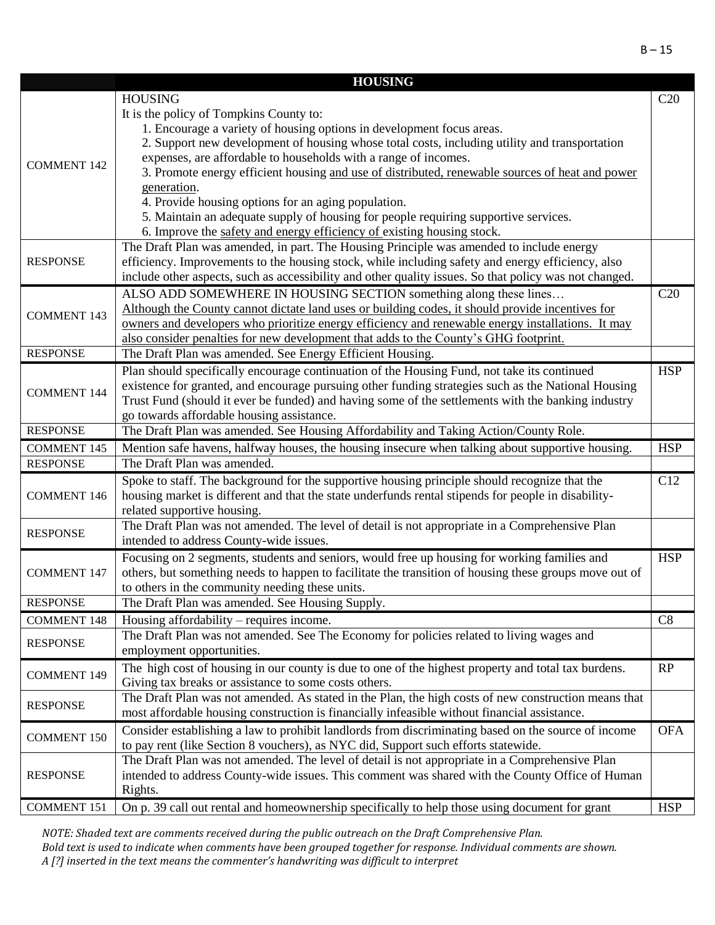|                    | <b>HOUSING</b>                                                                                                                |            |
|--------------------|-------------------------------------------------------------------------------------------------------------------------------|------------|
|                    | <b>HOUSING</b>                                                                                                                | C20        |
|                    | It is the policy of Tompkins County to:                                                                                       |            |
|                    | 1. Encourage a variety of housing options in development focus areas.                                                         |            |
|                    | 2. Support new development of housing whose total costs, including utility and transportation                                 |            |
|                    | expenses, are affordable to households with a range of incomes.                                                               |            |
| <b>COMMENT 142</b> | 3. Promote energy efficient housing and use of distributed, renewable sources of heat and power                               |            |
|                    | generation.                                                                                                                   |            |
|                    | 4. Provide housing options for an aging population.                                                                           |            |
|                    | 5. Maintain an adequate supply of housing for people requiring supportive services.                                           |            |
|                    | 6. Improve the safety and energy efficiency of existing housing stock.                                                        |            |
|                    | The Draft Plan was amended, in part. The Housing Principle was amended to include energy                                      |            |
| <b>RESPONSE</b>    | efficiency. Improvements to the housing stock, while including safety and energy efficiency, also                             |            |
|                    | include other aspects, such as accessibility and other quality issues. So that policy was not changed.                        |            |
|                    | ALSO ADD SOMEWHERE IN HOUSING SECTION something along these lines                                                             | C20        |
|                    | Although the County cannot dictate land uses or building codes, it should provide incentives for                              |            |
| <b>COMMENT 143</b> | owners and developers who prioritize energy efficiency and renewable energy installations. It may                             |            |
|                    | also consider penalties for new development that adds to the County's GHG footprint.                                          |            |
| <b>RESPONSE</b>    | The Draft Plan was amended. See Energy Efficient Housing.                                                                     |            |
|                    | Plan should specifically encourage continuation of the Housing Fund, not take its continued                                   | <b>HSP</b> |
|                    | existence for granted, and encourage pursuing other funding strategies such as the National Housing                           |            |
| <b>COMMENT 144</b> | Trust Fund (should it ever be funded) and having some of the settlements with the banking industry                            |            |
|                    | go towards affordable housing assistance.                                                                                     |            |
| <b>RESPONSE</b>    | The Draft Plan was amended. See Housing Affordability and Taking Action/County Role.                                          |            |
| <b>COMMENT 145</b> | Mention safe havens, halfway houses, the housing insecure when talking about supportive housing.                              | <b>HSP</b> |
| <b>RESPONSE</b>    | The Draft Plan was amended.                                                                                                   |            |
|                    |                                                                                                                               | C12        |
| <b>COMMENT 146</b> | Spoke to staff. The background for the supportive housing principle should recognize that the                                 |            |
|                    | housing market is different and that the state underfunds rental stipends for people in disability-                           |            |
|                    | related supportive housing.<br>The Draft Plan was not amended. The level of detail is not appropriate in a Comprehensive Plan |            |
| <b>RESPONSE</b>    | intended to address County-wide issues.                                                                                       |            |
|                    |                                                                                                                               |            |
|                    | Focusing on 2 segments, students and seniors, would free up housing for working families and                                  | <b>HSP</b> |
| <b>COMMENT 147</b> | others, but something needs to happen to facilitate the transition of housing these groups move out of                        |            |
|                    | to others in the community needing these units.                                                                               |            |
| <b>RESPONSE</b>    | The Draft Plan was amended. See Housing Supply.                                                                               |            |
| <b>COMMENT 148</b> | Housing affordability – requires income.                                                                                      | C8         |
| <b>RESPONSE</b>    | The Draft Plan was not amended. See The Economy for policies related to living wages and                                      |            |
|                    | employment opportunities.                                                                                                     |            |
| <b>COMMENT 149</b> | The high cost of housing in our county is due to one of the highest property and total tax burdens.                           | RP         |
|                    | Giving tax breaks or assistance to some costs others.                                                                         |            |
| <b>RESPONSE</b>    | The Draft Plan was not amended. As stated in the Plan, the high costs of new construction means that                          |            |
|                    | most affordable housing construction is financially infeasible without financial assistance.                                  |            |
| <b>COMMENT 150</b> | Consider establishing a law to prohibit landlords from discriminating based on the source of income                           | <b>OFA</b> |
|                    | to pay rent (like Section 8 vouchers), as NYC did, Support such efforts statewide.                                            |            |
|                    | The Draft Plan was not amended. The level of detail is not appropriate in a Comprehensive Plan                                |            |
| <b>RESPONSE</b>    | intended to address County-wide issues. This comment was shared with the County Office of Human                               |            |
|                    | Rights.                                                                                                                       |            |
| <b>COMMENT 151</b> | On p. 39 call out rental and homeownership specifically to help those using document for grant                                | <b>HSP</b> |

*NOTE: Shaded text are comments received during the public outreach on the Draft Comprehensive Plan.* 

*Bold text is used to indicate when comments have been grouped together for response. Individual comments are shown. A [?] inserted in the text means the commenter's handwriting was difficult to interpret*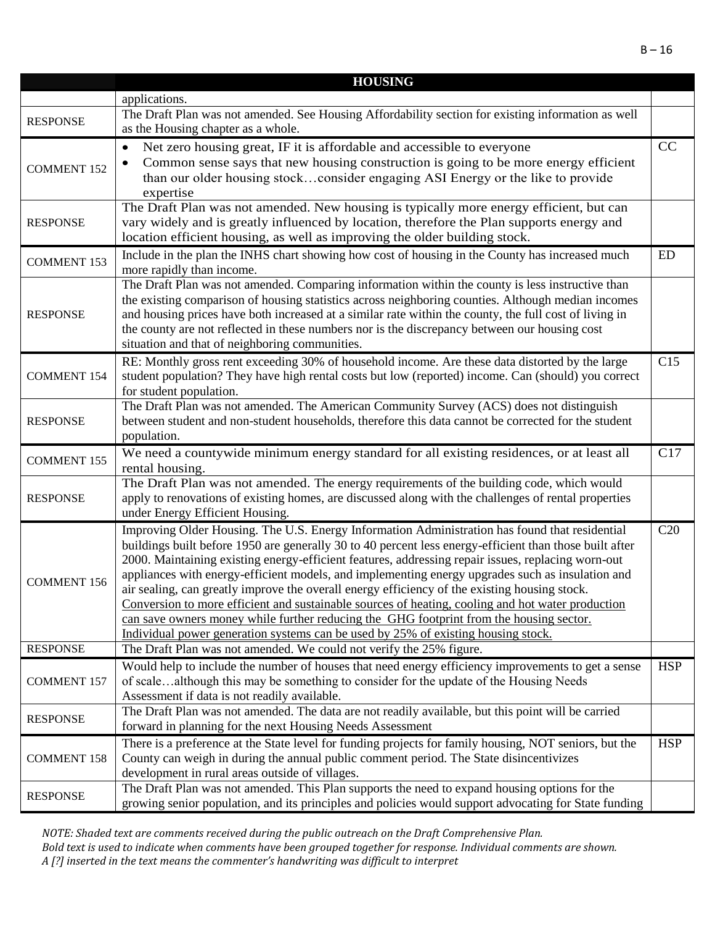|                    | <b>HOUSING</b>                                                                                                                                   |            |
|--------------------|--------------------------------------------------------------------------------------------------------------------------------------------------|------------|
|                    | applications.                                                                                                                                    |            |
| <b>RESPONSE</b>    | The Draft Plan was not amended. See Housing Affordability section for existing information as well                                               |            |
|                    | as the Housing chapter as a whole.                                                                                                               |            |
|                    | Net zero housing great, IF it is affordable and accessible to everyone<br>$\bullet$                                                              | CC         |
| <b>COMMENT 152</b> | Common sense says that new housing construction is going to be more energy efficient<br>$\bullet$                                                |            |
|                    | than our older housing stockconsider engaging ASI Energy or the like to provide                                                                  |            |
|                    | expertise                                                                                                                                        |            |
|                    | The Draft Plan was not amended. New housing is typically more energy efficient, but can                                                          |            |
| <b>RESPONSE</b>    | vary widely and is greatly influenced by location, therefore the Plan supports energy and                                                        |            |
|                    | location efficient housing, as well as improving the older building stock.                                                                       |            |
| <b>COMMENT 153</b> | Include in the plan the INHS chart showing how cost of housing in the County has increased much                                                  | ED         |
|                    | more rapidly than income.                                                                                                                        |            |
|                    | The Draft Plan was not amended. Comparing information within the county is less instructive than                                                 |            |
|                    | the existing comparison of housing statistics across neighboring counties. Although median incomes                                               |            |
| <b>RESPONSE</b>    | and housing prices have both increased at a similar rate within the county, the full cost of living in                                           |            |
|                    | the county are not reflected in these numbers nor is the discrepancy between our housing cost                                                    |            |
|                    | situation and that of neighboring communities.                                                                                                   |            |
|                    | RE: Monthly gross rent exceeding 30% of household income. Are these data distorted by the large                                                  | C15        |
| <b>COMMENT 154</b> | student population? They have high rental costs but low (reported) income. Can (should) you correct                                              |            |
|                    | for student population.<br>The Draft Plan was not amended. The American Community Survey (ACS) does not distinguish                              |            |
| <b>RESPONSE</b>    | between student and non-student households, therefore this data cannot be corrected for the student                                              |            |
|                    | population.                                                                                                                                      |            |
|                    | We need a countywide minimum energy standard for all existing residences, or at least all                                                        | C17        |
| <b>COMMENT 155</b> | rental housing.                                                                                                                                  |            |
|                    | The Draft Plan was not amended. The energy requirements of the building code, which would                                                        |            |
| <b>RESPONSE</b>    | apply to renovations of existing homes, are discussed along with the challenges of rental properties                                             |            |
|                    | under Energy Efficient Housing.                                                                                                                  |            |
|                    | Improving Older Housing. The U.S. Energy Information Administration has found that residential                                                   | C20        |
|                    | buildings built before 1950 are generally 30 to 40 percent less energy-efficient than those built after                                          |            |
|                    | 2000. Maintaining existing energy-efficient features, addressing repair issues, replacing worn-out                                               |            |
| <b>COMMENT 156</b> | appliances with energy-efficient models, and implementing energy upgrades such as insulation and                                                 |            |
|                    | air sealing, can greatly improve the overall energy efficiency of the existing housing stock.                                                    |            |
|                    | Conversion to more efficient and sustainable sources of heating, cooling and hot water production                                                |            |
|                    | can save owners money while further reducing the GHG footprint from the housing sector.                                                          |            |
|                    | Individual power generation systems can be used by 25% of existing housing stock.                                                                |            |
| <b>RESPONSE</b>    | The Draft Plan was not amended. We could not verify the 25% figure.                                                                              |            |
|                    | Would help to include the number of houses that need energy efficiency improvements to get a sense                                               | <b>HSP</b> |
| <b>COMMENT 157</b> | of scalealthough this may be something to consider for the update of the Housing Needs                                                           |            |
|                    | Assessment if data is not readily available.                                                                                                     |            |
| <b>RESPONSE</b>    | The Draft Plan was not amended. The data are not readily available, but this point will be carried                                               |            |
|                    | forward in planning for the next Housing Needs Assessment                                                                                        |            |
|                    | There is a preference at the State level for funding projects for family housing, NOT seniors, but the                                           | <b>HSP</b> |
| <b>COMMENT 158</b> | County can weigh in during the annual public comment period. The State disincentivizes                                                           |            |
|                    | development in rural areas outside of villages.<br>The Draft Plan was not amended. This Plan supports the need to expand housing options for the |            |
| <b>RESPONSE</b>    | growing senior population, and its principles and policies would support advocating for State funding                                            |            |
|                    |                                                                                                                                                  |            |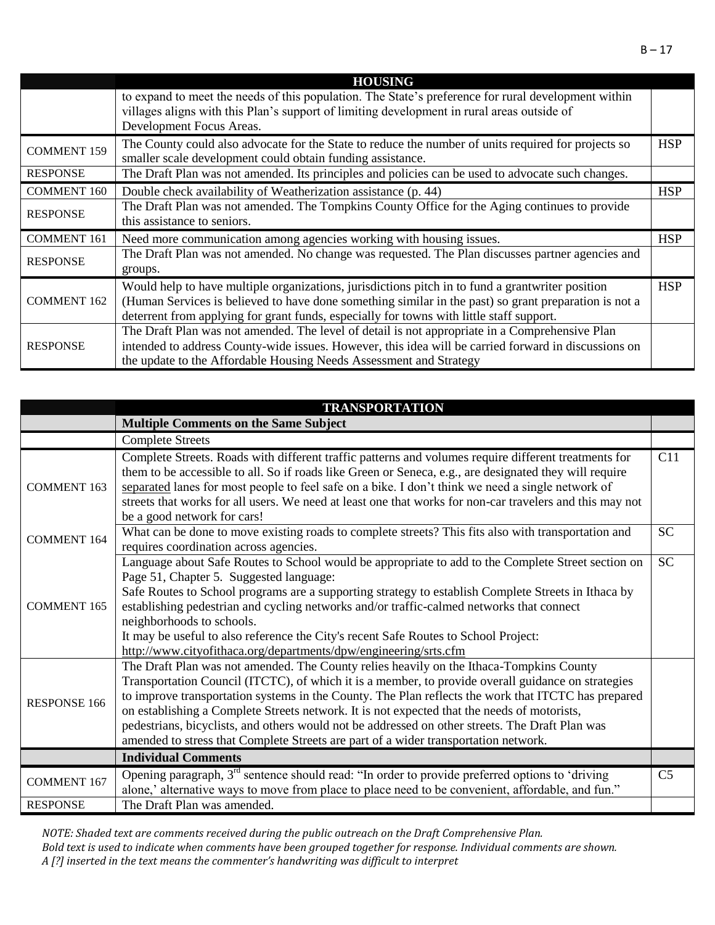|                    | <b>HOUSING</b>                                                                                                                                                                                                                                                                                        |            |
|--------------------|-------------------------------------------------------------------------------------------------------------------------------------------------------------------------------------------------------------------------------------------------------------------------------------------------------|------------|
|                    | to expand to meet the needs of this population. The State's preference for rural development within<br>villages aligns with this Plan's support of limiting development in rural areas outside of                                                                                                     |            |
|                    | Development Focus Areas.                                                                                                                                                                                                                                                                              |            |
| <b>COMMENT 159</b> | The County could also advocate for the State to reduce the number of units required for projects so<br>smaller scale development could obtain funding assistance.                                                                                                                                     | <b>HSP</b> |
| <b>RESPONSE</b>    | The Draft Plan was not amended. Its principles and policies can be used to advocate such changes.                                                                                                                                                                                                     |            |
| <b>COMMENT 160</b> | Double check availability of Weatherization assistance (p. 44)                                                                                                                                                                                                                                        | <b>HSP</b> |
| <b>RESPONSE</b>    | The Draft Plan was not amended. The Tompkins County Office for the Aging continues to provide<br>this assistance to seniors.                                                                                                                                                                          |            |
| <b>COMMENT 161</b> | Need more communication among agencies working with housing issues.                                                                                                                                                                                                                                   | <b>HSP</b> |
| <b>RESPONSE</b>    | The Draft Plan was not amended. No change was requested. The Plan discusses partner agencies and<br>groups.                                                                                                                                                                                           |            |
| <b>COMMENT 162</b> | Would help to have multiple organizations, jurisdictions pitch in to fund a grantwriter position<br>(Human Services is believed to have done something similar in the past) so grant preparation is not a<br>deterrent from applying for grant funds, especially for towns with little staff support. | <b>HSP</b> |
| <b>RESPONSE</b>    | The Draft Plan was not amended. The level of detail is not appropriate in a Comprehensive Plan<br>intended to address County-wide issues. However, this idea will be carried forward in discussions on<br>the update to the Affordable Housing Needs Assessment and Strategy                          |            |

|                     | <b>TRANSPORTATION</b>                                                                                                                                                                                                                                                                                                                                                                                                                                                                                                                                                                         |                |
|---------------------|-----------------------------------------------------------------------------------------------------------------------------------------------------------------------------------------------------------------------------------------------------------------------------------------------------------------------------------------------------------------------------------------------------------------------------------------------------------------------------------------------------------------------------------------------------------------------------------------------|----------------|
|                     | <b>Multiple Comments on the Same Subject</b>                                                                                                                                                                                                                                                                                                                                                                                                                                                                                                                                                  |                |
|                     | <b>Complete Streets</b>                                                                                                                                                                                                                                                                                                                                                                                                                                                                                                                                                                       |                |
| <b>COMMENT 163</b>  | Complete Streets. Roads with different traffic patterns and volumes require different treatments for<br>them to be accessible to all. So if roads like Green or Seneca, e.g., are designated they will require<br>separated lanes for most people to feel safe on a bike. I don't think we need a single network of<br>streets that works for all users. We need at least one that works for non-car travelers and this may not<br>be a good network for cars!                                                                                                                                | C11            |
| <b>COMMENT 164</b>  | What can be done to move existing roads to complete streets? This fits also with transportation and<br>requires coordination across agencies.                                                                                                                                                                                                                                                                                                                                                                                                                                                 | <b>SC</b>      |
| <b>COMMENT 165</b>  | Language about Safe Routes to School would be appropriate to add to the Complete Street section on<br>Page 51, Chapter 5. Suggested language:<br>Safe Routes to School programs are a supporting strategy to establish Complete Streets in Ithaca by<br>establishing pedestrian and cycling networks and/or traffic-calmed networks that connect<br>neighborhoods to schools.<br>It may be useful to also reference the City's recent Safe Routes to School Project:<br>http://www.cityofithaca.org/departments/dpw/engineering/srts.cfm                                                      | <b>SC</b>      |
| <b>RESPONSE 166</b> | The Draft Plan was not amended. The County relies heavily on the Ithaca-Tompkins County<br>Transportation Council (ITCTC), of which it is a member, to provide overall guidance on strategies<br>to improve transportation systems in the County. The Plan reflects the work that ITCTC has prepared<br>on establishing a Complete Streets network. It is not expected that the needs of motorists,<br>pedestrians, bicyclists, and others would not be addressed on other streets. The Draft Plan was<br>amended to stress that Complete Streets are part of a wider transportation network. |                |
|                     | <b>Individual Comments</b>                                                                                                                                                                                                                                                                                                                                                                                                                                                                                                                                                                    |                |
| <b>COMMENT 167</b>  | Opening paragraph, $3rd$ sentence should read: "In order to provide preferred options to 'driving<br>alone,' alternative ways to move from place to place need to be convenient, affordable, and fun."                                                                                                                                                                                                                                                                                                                                                                                        | C <sub>5</sub> |
| <b>RESPONSE</b>     | The Draft Plan was amended.                                                                                                                                                                                                                                                                                                                                                                                                                                                                                                                                                                   |                |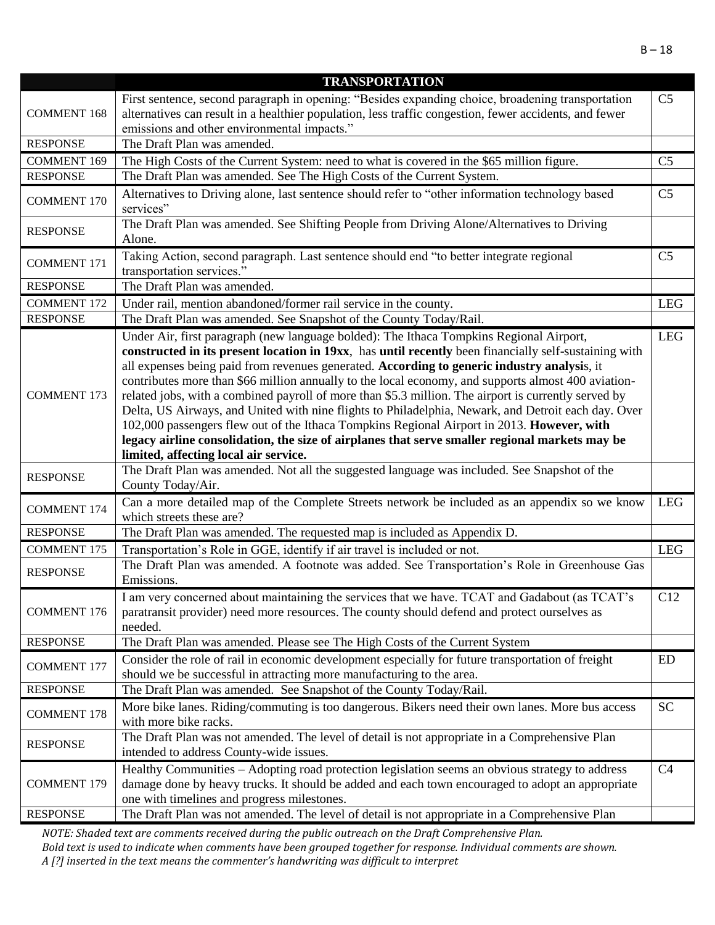|                    | <b>TRANSPORTATION</b>                                                                                                                 |                        |
|--------------------|---------------------------------------------------------------------------------------------------------------------------------------|------------------------|
|                    | First sentence, second paragraph in opening: "Besides expanding choice, broadening transportation                                     | C <sub>5</sub>         |
| <b>COMMENT 168</b> | alternatives can result in a healthier population, less traffic congestion, fewer accidents, and fewer                                |                        |
|                    | emissions and other environmental impacts."                                                                                           |                        |
| <b>RESPONSE</b>    | The Draft Plan was amended.                                                                                                           |                        |
| <b>COMMENT 169</b> | The High Costs of the Current System: need to what is covered in the \$65 million figure.                                             | C <sub>5</sub>         |
| <b>RESPONSE</b>    | The Draft Plan was amended. See The High Costs of the Current System.                                                                 |                        |
| <b>COMMENT 170</b> | Alternatives to Driving alone, last sentence should refer to "other information technology based                                      | $\overline{\text{C5}}$ |
|                    | services"                                                                                                                             |                        |
| <b>RESPONSE</b>    | The Draft Plan was amended. See Shifting People from Driving Alone/Alternatives to Driving                                            |                        |
|                    | Alone.                                                                                                                                |                        |
| <b>COMMENT 171</b> | Taking Action, second paragraph. Last sentence should end "to better integrate regional                                               | C <sub>5</sub>         |
|                    | transportation services."                                                                                                             |                        |
| <b>RESPONSE</b>    | The Draft Plan was amended.                                                                                                           |                        |
| <b>COMMENT 172</b> | Under rail, mention abandoned/former rail service in the county.                                                                      | <b>LEG</b>             |
| <b>RESPONSE</b>    | The Draft Plan was amended. See Snapshot of the County Today/Rail.                                                                    |                        |
|                    | Under Air, first paragraph (new language bolded): The Ithaca Tompkins Regional Airport,                                               | <b>LEG</b>             |
|                    | constructed in its present location in 19xx, has until recently been financially self-sustaining with                                 |                        |
|                    | all expenses being paid from revenues generated. According to generic industry analysis, it                                           |                        |
|                    | contributes more than \$66 million annually to the local economy, and supports almost 400 aviation-                                   |                        |
| <b>COMMENT 173</b> | related jobs, with a combined payroll of more than \$5.3 million. The airport is currently served by                                  |                        |
|                    | Delta, US Airways, and United with nine flights to Philadelphia, Newark, and Detroit each day. Over                                   |                        |
|                    | 102,000 passengers flew out of the Ithaca Tompkins Regional Airport in 2013. However, with                                            |                        |
|                    | legacy airline consolidation, the size of airplanes that serve smaller regional markets may be                                        |                        |
|                    | limited, affecting local air service.<br>The Draft Plan was amended. Not all the suggested language was included. See Snapshot of the |                        |
| <b>RESPONSE</b>    | County Today/Air.                                                                                                                     |                        |
|                    | Can a more detailed map of the Complete Streets network be included as an appendix so we know                                         | <b>LEG</b>             |
| <b>COMMENT 174</b> | which streets these are?                                                                                                              |                        |
| <b>RESPONSE</b>    | The Draft Plan was amended. The requested map is included as Appendix D.                                                              |                        |
| <b>COMMENT 175</b> | Transportation's Role in GGE, identify if air travel is included or not.                                                              | <b>LEG</b>             |
|                    | The Draft Plan was amended. A footnote was added. See Transportation's Role in Greenhouse Gas                                         |                        |
| <b>RESPONSE</b>    | Emissions.                                                                                                                            |                        |
|                    | I am very concerned about maintaining the services that we have. TCAT and Gadabout (as TCAT's                                         | C12                    |
| <b>COMMENT 176</b> | paratransit provider) need more resources. The county should defend and protect ourselves as                                          |                        |
|                    | needed.                                                                                                                               |                        |
| <b>RESPONSE</b>    | The Draft Plan was amended. Please see The High Costs of the Current System                                                           |                        |
| <b>COMMENT 177</b> | Consider the role of rail in economic development especially for future transportation of freight                                     | <b>ED</b>              |
|                    | should we be successful in attracting more manufacturing to the area.                                                                 |                        |
| <b>RESPONSE</b>    | The Draft Plan was amended. See Snapshot of the County Today/Rail.                                                                    |                        |
| <b>COMMENT 178</b> | More bike lanes. Riding/commuting is too dangerous. Bikers need their own lanes. More bus access                                      | <b>SC</b>              |
|                    | with more bike racks.                                                                                                                 |                        |
| <b>RESPONSE</b>    | The Draft Plan was not amended. The level of detail is not appropriate in a Comprehensive Plan                                        |                        |
|                    | intended to address County-wide issues.                                                                                               |                        |
|                    | Healthy Communities - Adopting road protection legislation seems an obvious strategy to address                                       | C4                     |
| <b>COMMENT 179</b> | damage done by heavy trucks. It should be added and each town encouraged to adopt an appropriate                                      |                        |
|                    | one with timelines and progress milestones.                                                                                           |                        |
| <b>RESPONSE</b>    | The Draft Plan was not amended. The level of detail is not appropriate in a Comprehensive Plan                                        |                        |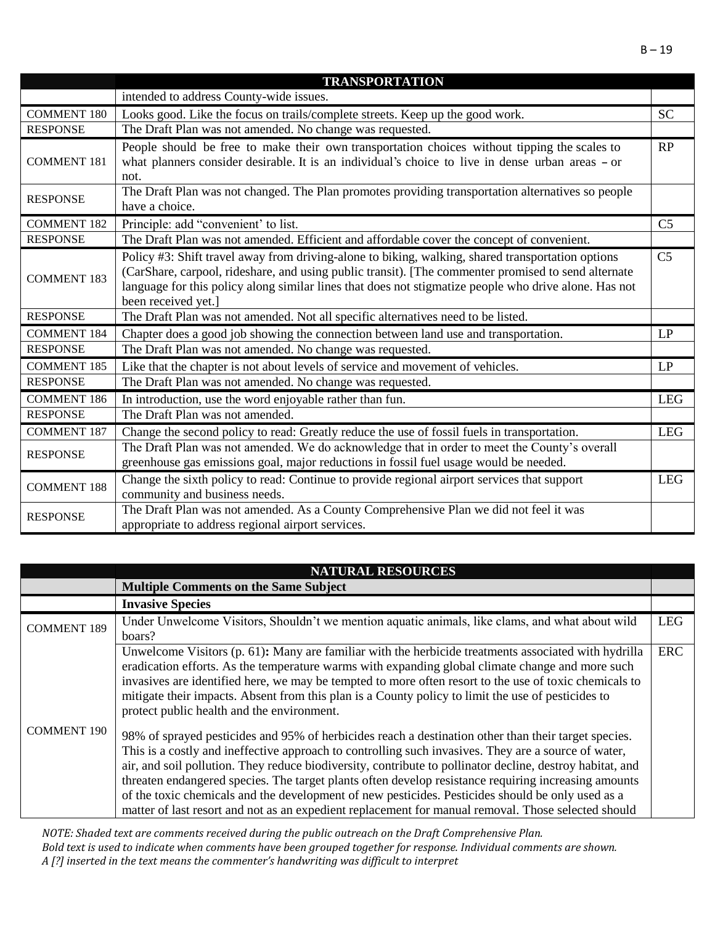|                    | <b>TRANSPORTATION</b>                                                                                                                                                                                                                                                                                                                    |                |
|--------------------|------------------------------------------------------------------------------------------------------------------------------------------------------------------------------------------------------------------------------------------------------------------------------------------------------------------------------------------|----------------|
|                    | intended to address County-wide issues.                                                                                                                                                                                                                                                                                                  |                |
| <b>COMMENT 180</b> | Looks good. Like the focus on trails/complete streets. Keep up the good work.                                                                                                                                                                                                                                                            | <b>SC</b>      |
| <b>RESPONSE</b>    | The Draft Plan was not amended. No change was requested.                                                                                                                                                                                                                                                                                 |                |
| <b>COMMENT 181</b> | People should be free to make their own transportation choices without tipping the scales to<br>what planners consider desirable. It is an individual's choice to live in dense urban areas - or<br>not.                                                                                                                                 | RP             |
| <b>RESPONSE</b>    | The Draft Plan was not changed. The Plan promotes providing transportation alternatives so people<br>have a choice.                                                                                                                                                                                                                      |                |
| <b>COMMENT 182</b> | Principle: add "convenient' to list.                                                                                                                                                                                                                                                                                                     | C <sub>5</sub> |
| <b>RESPONSE</b>    | The Draft Plan was not amended. Efficient and affordable cover the concept of convenient.                                                                                                                                                                                                                                                |                |
| <b>COMMENT 183</b> | Policy #3: Shift travel away from driving-alone to biking, walking, shared transportation options<br>(CarShare, carpool, rideshare, and using public transit). [The commenter promised to send alternate<br>language for this policy along similar lines that does not stigmatize people who drive alone. Has not<br>been received yet.] | C <sub>5</sub> |
| <b>RESPONSE</b>    | The Draft Plan was not amended. Not all specific alternatives need to be listed.                                                                                                                                                                                                                                                         |                |
| <b>COMMENT 184</b> | Chapter does a good job showing the connection between land use and transportation.                                                                                                                                                                                                                                                      | LP             |
| <b>RESPONSE</b>    | The Draft Plan was not amended. No change was requested.                                                                                                                                                                                                                                                                                 |                |
| <b>COMMENT 185</b> | Like that the chapter is not about levels of service and movement of vehicles.                                                                                                                                                                                                                                                           | LP             |
| <b>RESPONSE</b>    | The Draft Plan was not amended. No change was requested.                                                                                                                                                                                                                                                                                 |                |
| <b>COMMENT 186</b> | In introduction, use the word enjoyable rather than fun.                                                                                                                                                                                                                                                                                 | <b>LEG</b>     |
| <b>RESPONSE</b>    | The Draft Plan was not amended.                                                                                                                                                                                                                                                                                                          |                |
| <b>COMMENT 187</b> | Change the second policy to read: Greatly reduce the use of fossil fuels in transportation.                                                                                                                                                                                                                                              | <b>LEG</b>     |
| <b>RESPONSE</b>    | The Draft Plan was not amended. We do acknowledge that in order to meet the County's overall<br>greenhouse gas emissions goal, major reductions in fossil fuel usage would be needed.                                                                                                                                                    |                |
| <b>COMMENT 188</b> | Change the sixth policy to read: Continue to provide regional airport services that support<br>community and business needs.                                                                                                                                                                                                             | <b>LEG</b>     |
| <b>RESPONSE</b>    | The Draft Plan was not amended. As a County Comprehensive Plan we did not feel it was<br>appropriate to address regional airport services.                                                                                                                                                                                               |                |

|                    | <b>NATURAL RESOURCES</b>                                                                                                                                                                                                                                                                                                                                                                                                                                                                                                                                                                                                                      |            |
|--------------------|-----------------------------------------------------------------------------------------------------------------------------------------------------------------------------------------------------------------------------------------------------------------------------------------------------------------------------------------------------------------------------------------------------------------------------------------------------------------------------------------------------------------------------------------------------------------------------------------------------------------------------------------------|------------|
|                    | <b>Multiple Comments on the Same Subject</b>                                                                                                                                                                                                                                                                                                                                                                                                                                                                                                                                                                                                  |            |
|                    | <b>Invasive Species</b>                                                                                                                                                                                                                                                                                                                                                                                                                                                                                                                                                                                                                       |            |
| <b>COMMENT 189</b> | Under Unwelcome Visitors, Shouldn't we mention aquatic animals, like clams, and what about wild<br>boars?                                                                                                                                                                                                                                                                                                                                                                                                                                                                                                                                     | <b>LEG</b> |
|                    | Unwelcome Visitors $(p. 61)$ : Many are familiar with the herbicide treatments associated with hydrilla<br>eradication efforts. As the temperature warms with expanding global climate change and more such<br>invasives are identified here, we may be tempted to more often resort to the use of toxic chemicals to<br>mitigate their impacts. Absent from this plan is a County policy to limit the use of pesticides to<br>protect public health and the environment.                                                                                                                                                                     | <b>ERC</b> |
| <b>COMMENT 190</b> | 98% of sprayed pesticides and 95% of herbicides reach a destination other than their target species.<br>This is a costly and ineffective approach to controlling such invasives. They are a source of water,<br>air, and soil pollution. They reduce biodiversity, contribute to pollinator decline, destroy habitat, and<br>threaten endangered species. The target plants often develop resistance requiring increasing amounts<br>of the toxic chemicals and the development of new pesticides. Pesticides should be only used as a<br>matter of last resort and not as an expedient replacement for manual removal. Those selected should |            |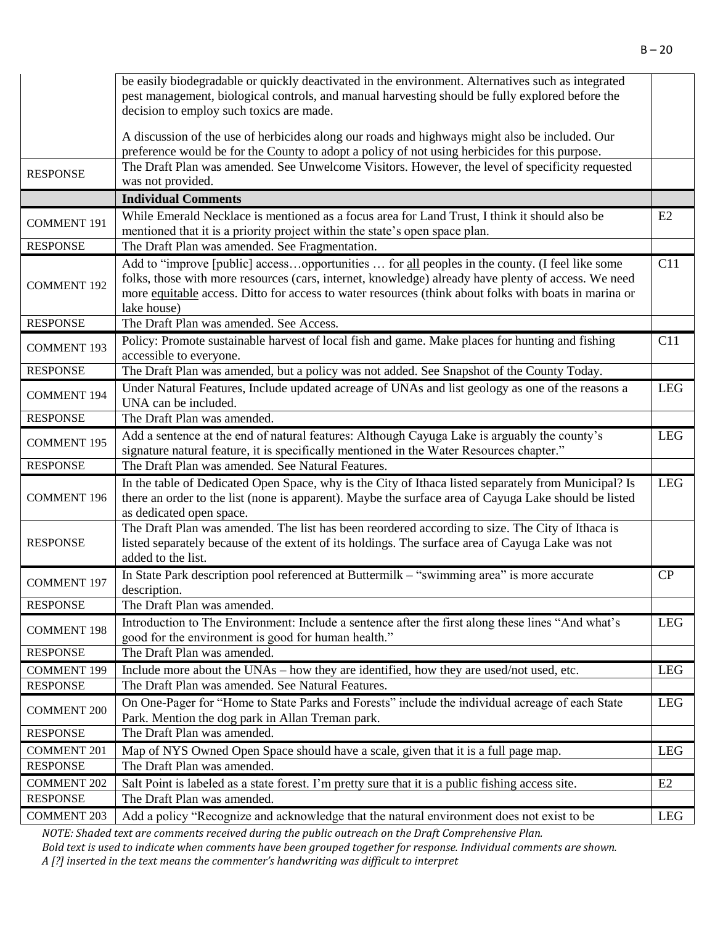|                    | be easily biodegradable or quickly deactivated in the environment. Alternatives such as integrated<br>pest management, biological controls, and manual harvesting should be fully explored before the                                                                                                                         |            |
|--------------------|-------------------------------------------------------------------------------------------------------------------------------------------------------------------------------------------------------------------------------------------------------------------------------------------------------------------------------|------------|
|                    | decision to employ such toxics are made.                                                                                                                                                                                                                                                                                      |            |
|                    | A discussion of the use of herbicides along our roads and highways might also be included. Our<br>preference would be for the County to adopt a policy of not using herbicides for this purpose.                                                                                                                              |            |
| <b>RESPONSE</b>    | The Draft Plan was amended. See Unwelcome Visitors. However, the level of specificity requested<br>was not provided.                                                                                                                                                                                                          |            |
|                    | <b>Individual Comments</b>                                                                                                                                                                                                                                                                                                    |            |
| <b>COMMENT 191</b> | While Emerald Necklace is mentioned as a focus area for Land Trust, I think it should also be<br>mentioned that it is a priority project within the state's open space plan.                                                                                                                                                  | E2         |
| <b>RESPONSE</b>    | The Draft Plan was amended. See Fragmentation.                                                                                                                                                                                                                                                                                |            |
| <b>COMMENT 192</b> | Add to "improve [public] accessopportunities  for all peoples in the county. (I feel like some<br>folks, those with more resources (cars, internet, knowledge) already have plenty of access. We need<br>more equitable access. Ditto for access to water resources (think about folks with boats in marina or<br>lake house) | C11        |
| <b>RESPONSE</b>    | The Draft Plan was amended. See Access.                                                                                                                                                                                                                                                                                       |            |
| <b>COMMENT 193</b> | Policy: Promote sustainable harvest of local fish and game. Make places for hunting and fishing<br>accessible to everyone.                                                                                                                                                                                                    | C11        |
| <b>RESPONSE</b>    | The Draft Plan was amended, but a policy was not added. See Snapshot of the County Today.                                                                                                                                                                                                                                     |            |
| <b>COMMENT 194</b> | Under Natural Features, Include updated acreage of UNAs and list geology as one of the reasons a<br>UNA can be included.                                                                                                                                                                                                      | <b>LEG</b> |
| <b>RESPONSE</b>    | The Draft Plan was amended.                                                                                                                                                                                                                                                                                                   |            |
| <b>COMMENT 195</b> | Add a sentence at the end of natural features: Although Cayuga Lake is arguably the county's<br>signature natural feature, it is specifically mentioned in the Water Resources chapter."                                                                                                                                      | <b>LEG</b> |
| <b>RESPONSE</b>    | The Draft Plan was amended. See Natural Features.                                                                                                                                                                                                                                                                             |            |
| <b>COMMENT 196</b> | In the table of Dedicated Open Space, why is the City of Ithaca listed separately from Municipal? Is<br>there an order to the list (none is apparent). Maybe the surface area of Cayuga Lake should be listed<br>as dedicated open space.                                                                                     | <b>LEG</b> |
| <b>RESPONSE</b>    | The Draft Plan was amended. The list has been reordered according to size. The City of Ithaca is<br>listed separately because of the extent of its holdings. The surface area of Cayuga Lake was not<br>added to the list.                                                                                                    |            |
| <b>COMMENT 197</b> | In State Park description pool referenced at Buttermilk - "swimming area" is more accurate<br>description.                                                                                                                                                                                                                    | CP         |
| <b>RESPONSE</b>    | The Draft Plan was amended.                                                                                                                                                                                                                                                                                                   |            |
| <b>COMMENT 198</b> | Introduction to The Environment: Include a sentence after the first along these lines "And what's<br>good for the environment is good for human health."                                                                                                                                                                      | <b>LEG</b> |
| <b>RESPONSE</b>    | The Draft Plan was amended.                                                                                                                                                                                                                                                                                                   |            |
| <b>COMMENT 199</b> | Include more about the UNAs – how they are identified, how they are used/not used, etc.                                                                                                                                                                                                                                       | <b>LEG</b> |
| <b>RESPONSE</b>    | The Draft Plan was amended. See Natural Features.                                                                                                                                                                                                                                                                             |            |
| <b>COMMENT 200</b> | On One-Pager for "Home to State Parks and Forests" include the individual acreage of each State<br>Park. Mention the dog park in Allan Treman park.                                                                                                                                                                           | <b>LEG</b> |
| <b>RESPONSE</b>    | The Draft Plan was amended.                                                                                                                                                                                                                                                                                                   |            |
| <b>COMMENT 201</b> | Map of NYS Owned Open Space should have a scale, given that it is a full page map.                                                                                                                                                                                                                                            | LEG        |
| <b>RESPONSE</b>    | The Draft Plan was amended.                                                                                                                                                                                                                                                                                                   |            |
| <b>COMMENT 202</b> | Salt Point is labeled as a state forest. I'm pretty sure that it is a public fishing access site.                                                                                                                                                                                                                             | E2         |
| <b>RESPONSE</b>    | The Draft Plan was amended.                                                                                                                                                                                                                                                                                                   |            |
| <b>COMMENT 203</b> | Add a policy "Recognize and acknowledge that the natural environment does not exist to be                                                                                                                                                                                                                                     | LEG        |

*NOTE: Shaded text are comments received during the public outreach on the Draft Comprehensive Plan.* 

*Bold text is used to indicate when comments have been grouped together for response. Individual comments are shown. A [?] inserted in the text means the commenter's handwriting was difficult to interpret*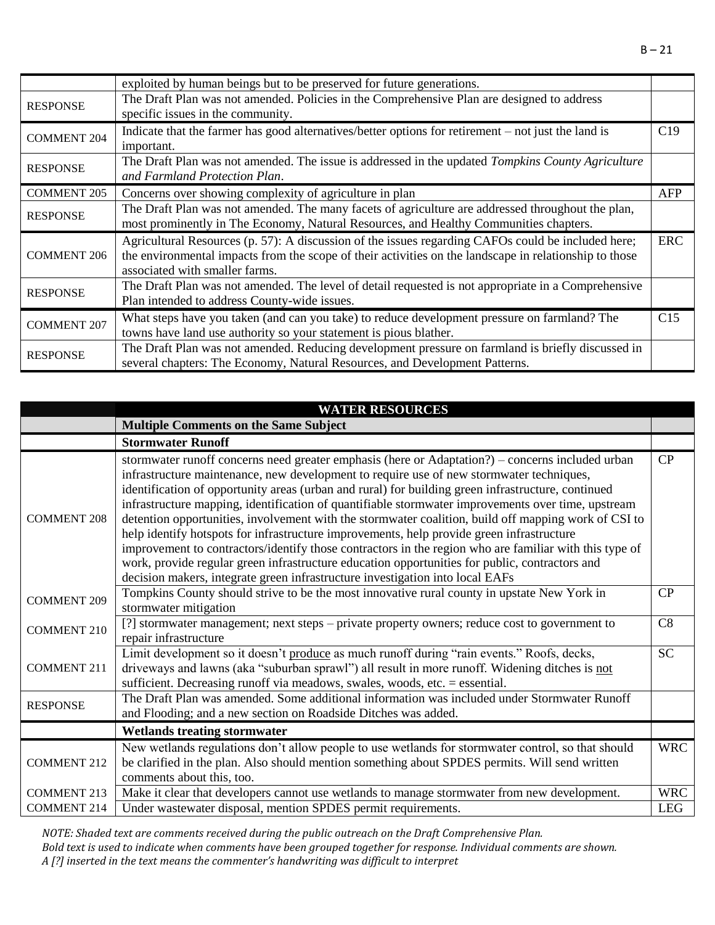exploited by human beings but to be preserved for future generations. RESPONSE The Draft Plan was not amended. Policies in the Comprehensive Plan are designed to address specific issues in the community. COMMENT  $204$  Indicate that the farmer has good alternatives/better options for retirement – not just the land is important.  $C19$ RESPONSE The Draft Plan was not amended. The issue is addressed in the updated *Tompkins County Agriculture* **RESPONSE** *and Farmland Protection Plan*. COMMENT 205 Concerns over showing complexity of agriculture in plan AFP RESPONSE The Draft Plan was not amended. The many facets of agriculture are addressed throughout the plan, most prominently in The Economy, Natural Resources, and Healthy Communities chapters. COMMENT 206 Agricultural Resources (p. 57): A discussion of the issues regarding CAFOs could be included here; the environmental impacts from the scope of their activities on the landscape in relationship to those associated with smaller farms. ERC RESPONSE The Draft Plan was not amended. The level of detail requested is not appropriate in a Comprehensive Plan intended to address County-wide issues. COMMENT 207 What steps have you taken (and can you take) to reduce development pressure on farmland? The towns have land use authority so your statement is pious blather. C15 RESPONSE The Draft Plan was not amended. Reducing development pressure on farmland is briefly discussed in several chapters: The Economy, Natural Resources, and Development Patterns.

|                    | <b>WATER RESOURCES</b>                                                                                                                                                                                                                                                                                                                                                                                                                                                                                                                                                                                                                                                                                                                                                                                                                                                                                     |            |
|--------------------|------------------------------------------------------------------------------------------------------------------------------------------------------------------------------------------------------------------------------------------------------------------------------------------------------------------------------------------------------------------------------------------------------------------------------------------------------------------------------------------------------------------------------------------------------------------------------------------------------------------------------------------------------------------------------------------------------------------------------------------------------------------------------------------------------------------------------------------------------------------------------------------------------------|------------|
|                    | <b>Multiple Comments on the Same Subject</b>                                                                                                                                                                                                                                                                                                                                                                                                                                                                                                                                                                                                                                                                                                                                                                                                                                                               |            |
|                    | <b>Stormwater Runoff</b>                                                                                                                                                                                                                                                                                                                                                                                                                                                                                                                                                                                                                                                                                                                                                                                                                                                                                   |            |
| <b>COMMENT 208</b> | stormwater runoff concerns need greater emphasis (here or Adaptation?) – concerns included urban<br>infrastructure maintenance, new development to require use of new stormwater techniques,<br>identification of opportunity areas (urban and rural) for building green infrastructure, continued<br>infrastructure mapping, identification of quantifiable stormwater improvements over time, upstream<br>detention opportunities, involvement with the stormwater coalition, build off mapping work of CSI to<br>help identify hotspots for infrastructure improvements, help provide green infrastructure<br>improvement to contractors/identify those contractors in the region who are familiar with this type of<br>work, provide regular green infrastructure education opportunities for public, contractors and<br>decision makers, integrate green infrastructure investigation into local EAFs | CP         |
| <b>COMMENT 209</b> | Tompkins County should strive to be the most innovative rural county in upstate New York in<br>stormwater mitigation                                                                                                                                                                                                                                                                                                                                                                                                                                                                                                                                                                                                                                                                                                                                                                                       | CP         |
| <b>COMMENT 210</b> | [?] stormwater management; next steps - private property owners; reduce cost to government to<br>repair infrastructure                                                                                                                                                                                                                                                                                                                                                                                                                                                                                                                                                                                                                                                                                                                                                                                     | C8         |
| <b>COMMENT 211</b> | Limit development so it doesn't produce as much runoff during "rain events." Roofs, decks,<br>driveways and lawns (aka "suburban sprawl") all result in more runoff. Widening ditches is not<br>sufficient. Decreasing runoff via meadows, swales, woods, etc. = essential.                                                                                                                                                                                                                                                                                                                                                                                                                                                                                                                                                                                                                                | <b>SC</b>  |
| <b>RESPONSE</b>    | The Draft Plan was amended. Some additional information was included under Stormwater Runoff<br>and Flooding; and a new section on Roadside Ditches was added.                                                                                                                                                                                                                                                                                                                                                                                                                                                                                                                                                                                                                                                                                                                                             |            |
|                    | <b>Wetlands treating stormwater</b>                                                                                                                                                                                                                                                                                                                                                                                                                                                                                                                                                                                                                                                                                                                                                                                                                                                                        |            |
| <b>COMMENT 212</b> | New wetlands regulations don't allow people to use wetlands for stormwater control, so that should<br>be clarified in the plan. Also should mention something about SPDES permits. Will send written<br>comments about this, too.                                                                                                                                                                                                                                                                                                                                                                                                                                                                                                                                                                                                                                                                          | <b>WRC</b> |
| <b>COMMENT 213</b> | Make it clear that developers cannot use wetlands to manage stormwater from new development.                                                                                                                                                                                                                                                                                                                                                                                                                                                                                                                                                                                                                                                                                                                                                                                                               | <b>WRC</b> |
| <b>COMMENT 214</b> | Under wastewater disposal, mention SPDES permit requirements.                                                                                                                                                                                                                                                                                                                                                                                                                                                                                                                                                                                                                                                                                                                                                                                                                                              | LEG        |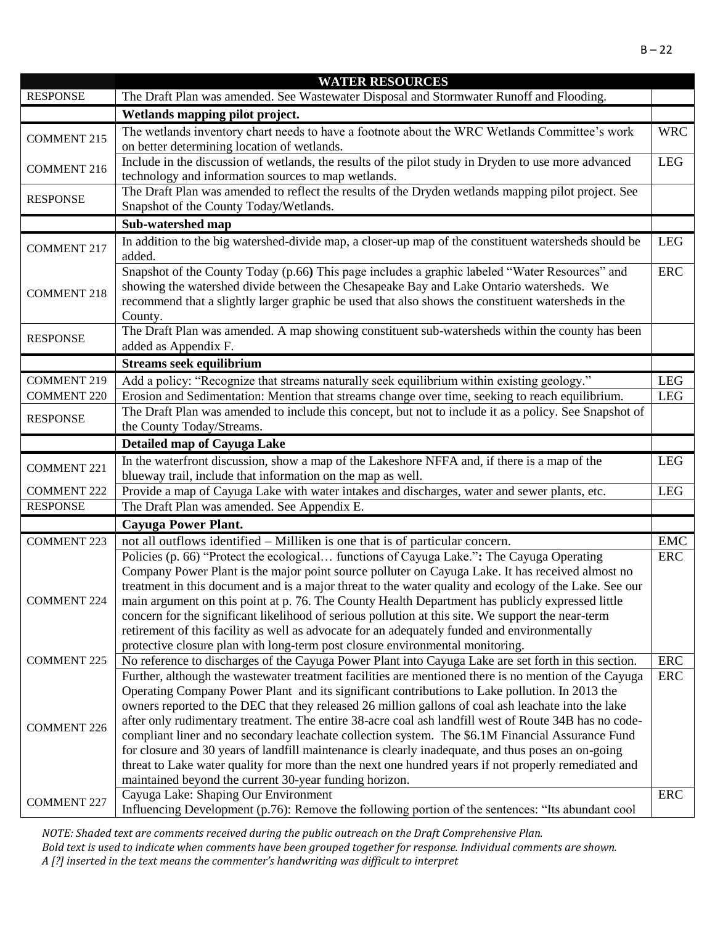|                                       | <b>WATER RESOURCES</b>                                                                                                                                                                                     |            |
|---------------------------------------|------------------------------------------------------------------------------------------------------------------------------------------------------------------------------------------------------------|------------|
| <b>RESPONSE</b>                       | The Draft Plan was amended. See Wastewater Disposal and Stormwater Runoff and Flooding.                                                                                                                    |            |
|                                       | Wetlands mapping pilot project.                                                                                                                                                                            |            |
| <b>COMMENT 215</b>                    | The wetlands inventory chart needs to have a footnote about the WRC Wetlands Committee's work                                                                                                              | <b>WRC</b> |
|                                       | on better determining location of wetlands.                                                                                                                                                                |            |
| <b>COMMENT 216</b>                    | Include in the discussion of wetlands, the results of the pilot study in Dryden to use more advanced                                                                                                       | <b>LEG</b> |
|                                       | technology and information sources to map wetlands.                                                                                                                                                        |            |
| <b>RESPONSE</b>                       | The Draft Plan was amended to reflect the results of the Dryden wetlands mapping pilot project. See                                                                                                        |            |
|                                       | Snapshot of the County Today/Wetlands.                                                                                                                                                                     |            |
|                                       | Sub-watershed map                                                                                                                                                                                          |            |
| <b>COMMENT 217</b>                    | In addition to the big watershed-divide map, a closer-up map of the constituent watersheds should be                                                                                                       | <b>LEG</b> |
|                                       | added.                                                                                                                                                                                                     |            |
|                                       | Snapshot of the County Today (p.66) This page includes a graphic labeled "Water Resources" and                                                                                                             | <b>ERC</b> |
| <b>COMMENT 218</b>                    | showing the watershed divide between the Chesapeake Bay and Lake Ontario watersheds. We                                                                                                                    |            |
|                                       | recommend that a slightly larger graphic be used that also shows the constituent watersheds in the                                                                                                         |            |
|                                       | County.                                                                                                                                                                                                    |            |
| <b>RESPONSE</b>                       | The Draft Plan was amended. A map showing constituent sub-watersheds within the county has been                                                                                                            |            |
|                                       | added as Appendix F.                                                                                                                                                                                       |            |
|                                       | <b>Streams seek equilibrium</b>                                                                                                                                                                            |            |
| <b>COMMENT 219</b>                    | Add a policy: "Recognize that streams naturally seek equilibrium within existing geology."                                                                                                                 | <b>LEG</b> |
| <b>COMMENT 220</b>                    | Erosion and Sedimentation: Mention that streams change over time, seeking to reach equilibrium.                                                                                                            | <b>LEG</b> |
| <b>RESPONSE</b>                       | The Draft Plan was amended to include this concept, but not to include it as a policy. See Snapshot of                                                                                                     |            |
|                                       | the County Today/Streams.                                                                                                                                                                                  |            |
|                                       | <b>Detailed map of Cayuga Lake</b>                                                                                                                                                                         |            |
| <b>COMMENT 221</b>                    | In the waterfront discussion, show a map of the Lakeshore NFFA and, if there is a map of the                                                                                                               | <b>LEG</b> |
|                                       | blueway trail, include that information on the map as well.                                                                                                                                                |            |
| <b>COMMENT 222</b><br><b>RESPONSE</b> | Provide a map of Cayuga Lake with water intakes and discharges, water and sewer plants, etc.<br>The Draft Plan was amended. See Appendix E.                                                                | <b>LEG</b> |
|                                       |                                                                                                                                                                                                            |            |
|                                       | <b>Cayuga Power Plant.</b>                                                                                                                                                                                 |            |
| <b>COMMENT 223</b>                    | not all outflows identified – Milliken is one that is of particular concern.                                                                                                                               | <b>EMC</b> |
|                                       | Policies (p. 66) "Protect the ecological functions of Cayuga Lake.": The Cayuga Operating                                                                                                                  | <b>ERC</b> |
|                                       | Company Power Plant is the major point source polluter on Cayuga Lake. It has received almost no<br>treatment in this document and is a major threat to the water quality and ecology of the Lake. See our |            |
| <b>COMMENT 224</b>                    | main argument on this point at p. 76. The County Health Department has publicly expressed little                                                                                                           |            |
|                                       | concern for the significant likelihood of serious pollution at this site. We support the near-term                                                                                                         |            |
|                                       | retirement of this facility as well as advocate for an adequately funded and environmentally                                                                                                               |            |
|                                       | protective closure plan with long-term post closure environmental monitoring.                                                                                                                              |            |
| <b>COMMENT 225</b>                    | No reference to discharges of the Cayuga Power Plant into Cayuga Lake are set forth in this section.                                                                                                       | <b>ERC</b> |
|                                       | Further, although the wastewater treatment facilities are mentioned there is no mention of the Cayuga                                                                                                      | <b>ERC</b> |
|                                       | Operating Company Power Plant and its significant contributions to Lake pollution. In 2013 the                                                                                                             |            |
|                                       | owners reported to the DEC that they released 26 million gallons of coal ash leachate into the lake                                                                                                        |            |
|                                       | after only rudimentary treatment. The entire 38-acre coal ash landfill west of Route 34B has no code-                                                                                                      |            |
| <b>COMMENT 226</b>                    | compliant liner and no secondary leachate collection system. The \$6.1M Financial Assurance Fund                                                                                                           |            |
|                                       | for closure and 30 years of landfill maintenance is clearly inadequate, and thus poses an on-going                                                                                                         |            |
|                                       | threat to Lake water quality for more than the next one hundred years if not properly remediated and                                                                                                       |            |
|                                       | maintained beyond the current 30-year funding horizon.                                                                                                                                                     |            |
| <b>COMMENT 227</b>                    | Cayuga Lake: Shaping Our Environment                                                                                                                                                                       | <b>ERC</b> |
|                                       | Influencing Development (p.76): Remove the following portion of the sentences: "Its abundant cool                                                                                                          |            |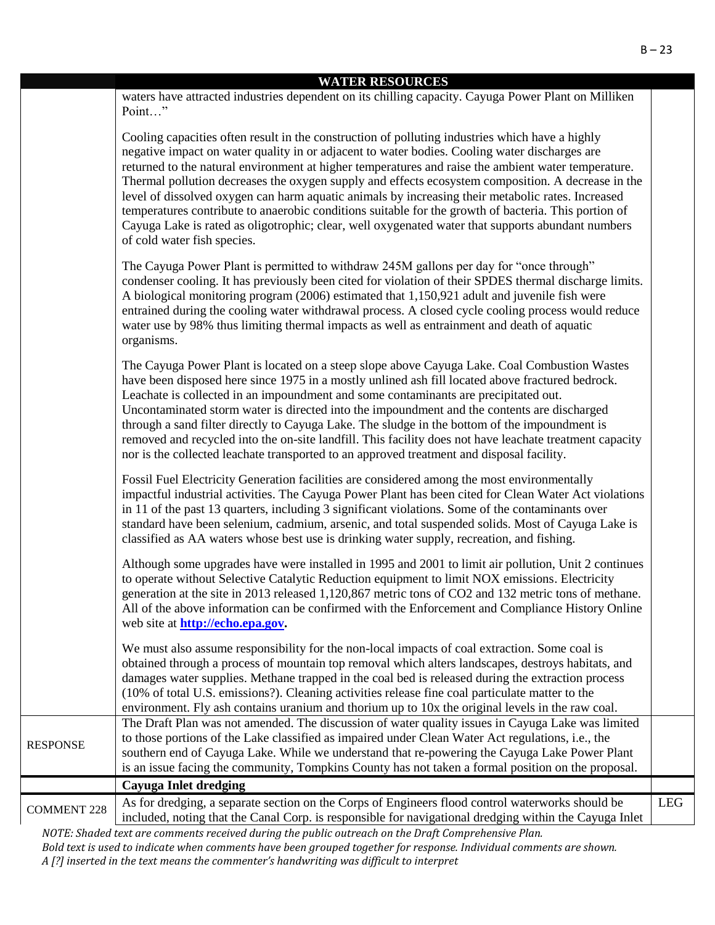|                    | <b>WATER RESOURCES</b><br>waters have attracted industries dependent on its chilling capacity. Cayuga Power Plant on Milliken                                                                                                                                                                                                                                                                                                                                                                                                                                                                                                                                                                                                                                  |            |
|--------------------|----------------------------------------------------------------------------------------------------------------------------------------------------------------------------------------------------------------------------------------------------------------------------------------------------------------------------------------------------------------------------------------------------------------------------------------------------------------------------------------------------------------------------------------------------------------------------------------------------------------------------------------------------------------------------------------------------------------------------------------------------------------|------------|
|                    | Point"                                                                                                                                                                                                                                                                                                                                                                                                                                                                                                                                                                                                                                                                                                                                                         |            |
|                    | Cooling capacities often result in the construction of polluting industries which have a highly<br>negative impact on water quality in or adjacent to water bodies. Cooling water discharges are<br>returned to the natural environment at higher temperatures and raise the ambient water temperature.<br>Thermal pollution decreases the oxygen supply and effects ecosystem composition. A decrease in the<br>level of dissolved oxygen can harm aquatic animals by increasing their metabolic rates. Increased<br>temperatures contribute to anaerobic conditions suitable for the growth of bacteria. This portion of<br>Cayuga Lake is rated as oligotrophic; clear, well oxygenated water that supports abundant numbers<br>of cold water fish species. |            |
|                    | The Cayuga Power Plant is permitted to withdraw 245M gallons per day for "once through"<br>condenser cooling. It has previously been cited for violation of their SPDES thermal discharge limits.<br>A biological monitoring program (2006) estimated that 1,150,921 adult and juvenile fish were<br>entrained during the cooling water withdrawal process. A closed cycle cooling process would reduce<br>water use by 98% thus limiting thermal impacts as well as entrainment and death of aquatic<br>organisms.                                                                                                                                                                                                                                            |            |
|                    | The Cayuga Power Plant is located on a steep slope above Cayuga Lake. Coal Combustion Wastes<br>have been disposed here since 1975 in a mostly unlined ash fill located above fractured bedrock.<br>Leachate is collected in an impoundment and some contaminants are precipitated out.<br>Uncontaminated storm water is directed into the impoundment and the contents are discharged<br>through a sand filter directly to Cayuga Lake. The sludge in the bottom of the impoundment is<br>removed and recycled into the on-site landfill. This facility does not have leachate treatment capacity<br>nor is the collected leachate transported to an approved treatment and disposal facility.                                                                |            |
|                    | Fossil Fuel Electricity Generation facilities are considered among the most environmentally<br>impactful industrial activities. The Cayuga Power Plant has been cited for Clean Water Act violations<br>in 11 of the past 13 quarters, including 3 significant violations. Some of the contaminants over<br>standard have been selenium, cadmium, arsenic, and total suspended solids. Most of Cayuga Lake is<br>classified as AA waters whose best use is drinking water supply, recreation, and fishing.                                                                                                                                                                                                                                                     |            |
|                    | Although some upgrades have were installed in 1995 and 2001 to limit air pollution, Unit 2 continues<br>to operate without Selective Catalytic Reduction equipment to limit NOX emissions. Electricity<br>generation at the site in 2013 released 1,120,867 metric tons of CO2 and 132 metric tons of methane.<br>All of the above information can be confirmed with the Enforcement and Compliance History Online<br>web site at <b>http://echo.epa.gov.</b>                                                                                                                                                                                                                                                                                                  |            |
|                    | We must also assume responsibility for the non-local impacts of coal extraction. Some coal is<br>obtained through a process of mountain top removal which alters landscapes, destroys habitats, and<br>damages water supplies. Methane trapped in the coal bed is released during the extraction process<br>(10% of total U.S. emissions?). Cleaning activities release fine coal particulate matter to the<br>environment. Fly ash contains uranium and thorium up to 10x the original levels in the raw coal.                                                                                                                                                                                                                                                |            |
| <b>RESPONSE</b>    | The Draft Plan was not amended. The discussion of water quality issues in Cayuga Lake was limited<br>to those portions of the Lake classified as impaired under Clean Water Act regulations, i.e., the<br>southern end of Cayuga Lake. While we understand that re-powering the Cayuga Lake Power Plant<br>is an issue facing the community, Tompkins County has not taken a formal position on the proposal.                                                                                                                                                                                                                                                                                                                                                  |            |
|                    | Cayuga Inlet dredging                                                                                                                                                                                                                                                                                                                                                                                                                                                                                                                                                                                                                                                                                                                                          |            |
| <b>COMMENT 228</b> | As for dredging, a separate section on the Corps of Engineers flood control waterworks should be<br>included, noting that the Canal Corp. is responsible for navigational dredging within the Cayuga Inlet                                                                                                                                                                                                                                                                                                                                                                                                                                                                                                                                                     | <b>LEG</b> |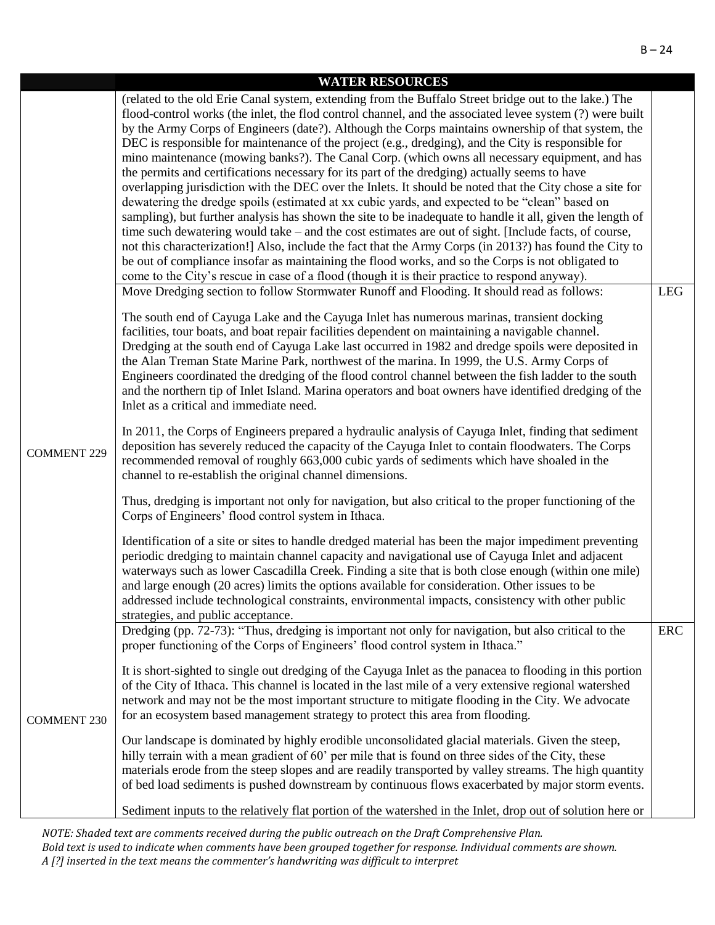|                    | <b>WATER RESOURCES</b>                                                                                                                                                                                                                                                                                                                                                                                                                                                                                                                                                                                                                                                                                                                                                                                                                                                                                                                                                                                                                                                                                                                                                                                                                                                                                                                                                                                                                                                               |            |
|--------------------|--------------------------------------------------------------------------------------------------------------------------------------------------------------------------------------------------------------------------------------------------------------------------------------------------------------------------------------------------------------------------------------------------------------------------------------------------------------------------------------------------------------------------------------------------------------------------------------------------------------------------------------------------------------------------------------------------------------------------------------------------------------------------------------------------------------------------------------------------------------------------------------------------------------------------------------------------------------------------------------------------------------------------------------------------------------------------------------------------------------------------------------------------------------------------------------------------------------------------------------------------------------------------------------------------------------------------------------------------------------------------------------------------------------------------------------------------------------------------------------|------------|
|                    | (related to the old Erie Canal system, extending from the Buffalo Street bridge out to the lake.) The<br>flood-control works (the inlet, the flod control channel, and the associated levee system (?) were built<br>by the Army Corps of Engineers (date?). Although the Corps maintains ownership of that system, the<br>DEC is responsible for maintenance of the project (e.g., dredging), and the City is responsible for<br>mino maintenance (mowing banks?). The Canal Corp. (which owns all necessary equipment, and has<br>the permits and certifications necessary for its part of the dredging) actually seems to have<br>overlapping jurisdiction with the DEC over the Inlets. It should be noted that the City chose a site for<br>dewatering the dredge spoils (estimated at xx cubic yards, and expected to be "clean" based on<br>sampling), but further analysis has shown the site to be inadequate to handle it all, given the length of<br>time such dewatering would take – and the cost estimates are out of sight. [Include facts, of course,<br>not this characterization!] Also, include the fact that the Army Corps (in 2013?) has found the City to<br>be out of compliance insofar as maintaining the flood works, and so the Corps is not obligated to<br>come to the City's rescue in case of a flood (though it is their practice to respond anyway).<br>Move Dredging section to follow Stormwater Runoff and Flooding. It should read as follows: | <b>LEG</b> |
|                    | The south end of Cayuga Lake and the Cayuga Inlet has numerous marinas, transient docking<br>facilities, tour boats, and boat repair facilities dependent on maintaining a navigable channel.<br>Dredging at the south end of Cayuga Lake last occurred in 1982 and dredge spoils were deposited in<br>the Alan Treman State Marine Park, northwest of the marina. In 1999, the U.S. Army Corps of<br>Engineers coordinated the dredging of the flood control channel between the fish ladder to the south<br>and the northern tip of Inlet Island. Marina operators and boat owners have identified dredging of the<br>Inlet as a critical and immediate need.                                                                                                                                                                                                                                                                                                                                                                                                                                                                                                                                                                                                                                                                                                                                                                                                                      |            |
| <b>COMMENT 229</b> | In 2011, the Corps of Engineers prepared a hydraulic analysis of Cayuga Inlet, finding that sediment<br>deposition has severely reduced the capacity of the Cayuga Inlet to contain floodwaters. The Corps<br>recommended removal of roughly 663,000 cubic yards of sediments which have shoaled in the<br>channel to re-establish the original channel dimensions.<br>Thus, dredging is important not only for navigation, but also critical to the proper functioning of the<br>Corps of Engineers' flood control system in Ithaca.                                                                                                                                                                                                                                                                                                                                                                                                                                                                                                                                                                                                                                                                                                                                                                                                                                                                                                                                                |            |
|                    | Identification of a site or sites to handle dredged material has been the major impediment preventing<br>periodic dredging to maintain channel capacity and navigational use of Cayuga Inlet and adjacent<br>waterways such as lower Cascadilla Creek. Finding a site that is both close enough (within one mile)<br>and large enough (20 acres) limits the options available for consideration. Other issues to be<br>addressed include technological constraints, environmental impacts, consistency with other public<br>strategies, and public acceptance.                                                                                                                                                                                                                                                                                                                                                                                                                                                                                                                                                                                                                                                                                                                                                                                                                                                                                                                       |            |
|                    | Dredging (pp. 72-73): "Thus, dredging is important not only for navigation, but also critical to the<br>proper functioning of the Corps of Engineers' flood control system in Ithaca."<br>It is short-sighted to single out dredging of the Cayuga Inlet as the panacea to flooding in this portion<br>of the City of Ithaca. This channel is located in the last mile of a very extensive regional watershed                                                                                                                                                                                                                                                                                                                                                                                                                                                                                                                                                                                                                                                                                                                                                                                                                                                                                                                                                                                                                                                                        | <b>ERC</b> |
| <b>COMMENT 230</b> | network and may not be the most important structure to mitigate flooding in the City. We advocate<br>for an ecosystem based management strategy to protect this area from flooding.<br>Our landscape is dominated by highly erodible unconsolidated glacial materials. Given the steep,<br>hilly terrain with a mean gradient of 60' per mile that is found on three sides of the City, these<br>materials erode from the steep slopes and are readily transported by valley streams. The high quantity<br>of bed load sediments is pushed downstream by continuous flows exacerbated by major storm events.                                                                                                                                                                                                                                                                                                                                                                                                                                                                                                                                                                                                                                                                                                                                                                                                                                                                         |            |
|                    | Sediment inputs to the relatively flat portion of the watershed in the Inlet, drop out of solution here or                                                                                                                                                                                                                                                                                                                                                                                                                                                                                                                                                                                                                                                                                                                                                                                                                                                                                                                                                                                                                                                                                                                                                                                                                                                                                                                                                                           |            |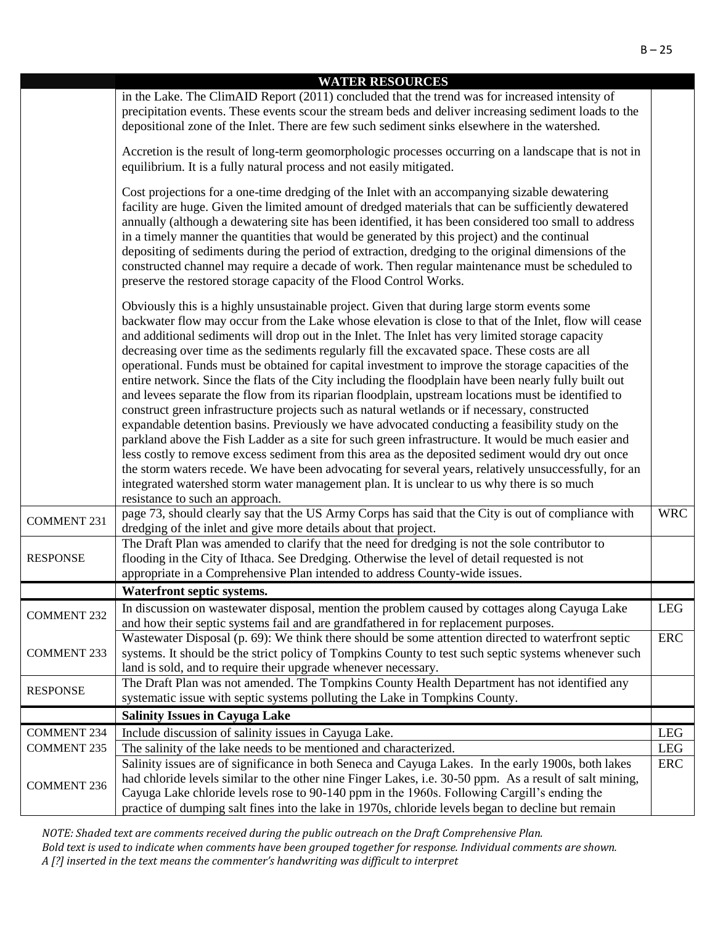|                    | <b>WATER RESOURCES</b><br>in the Lake. The ClimAID Report (2011) concluded that the trend was for increased intensity of<br>precipitation events. These events scour the stream beds and deliver increasing sediment loads to the<br>depositional zone of the Inlet. There are few such sediment sinks elsewhere in the watershed.<br>Accretion is the result of long-term geomorphologic processes occurring on a landscape that is not in<br>equilibrium. It is a fully natural process and not easily mitigated.<br>Cost projections for a one-time dredging of the Inlet with an accompanying sizable dewatering<br>facility are huge. Given the limited amount of dredged materials that can be sufficiently dewatered<br>annually (although a dewatering site has been identified, it has been considered too small to address<br>in a timely manner the quantities that would be generated by this project) and the continual<br>depositing of sediments during the period of extraction, dredging to the original dimensions of the<br>constructed channel may require a decade of work. Then regular maintenance must be scheduled to<br>preserve the restored storage capacity of the Flood Control Works.<br>Obviously this is a highly unsustainable project. Given that during large storm events some<br>backwater flow may occur from the Lake whose elevation is close to that of the Inlet, flow will cease |            |
|--------------------|------------------------------------------------------------------------------------------------------------------------------------------------------------------------------------------------------------------------------------------------------------------------------------------------------------------------------------------------------------------------------------------------------------------------------------------------------------------------------------------------------------------------------------------------------------------------------------------------------------------------------------------------------------------------------------------------------------------------------------------------------------------------------------------------------------------------------------------------------------------------------------------------------------------------------------------------------------------------------------------------------------------------------------------------------------------------------------------------------------------------------------------------------------------------------------------------------------------------------------------------------------------------------------------------------------------------------------------------------------------------------------------------------------------------------|------------|
|                    | and additional sediments will drop out in the Inlet. The Inlet has very limited storage capacity<br>decreasing over time as the sediments regularly fill the excavated space. These costs are all<br>operational. Funds must be obtained for capital investment to improve the storage capacities of the<br>entire network. Since the flats of the City including the floodplain have been nearly fully built out<br>and levees separate the flow from its riparian floodplain, upstream locations must be identified to<br>construct green infrastructure projects such as natural wetlands or if necessary, constructed<br>expandable detention basins. Previously we have advocated conducting a feasibility study on the<br>parkland above the Fish Ladder as a site for such green infrastructure. It would be much easier and<br>less costly to remove excess sediment from this area as the deposited sediment would dry out once<br>the storm waters recede. We have been advocating for several years, relatively unsuccessfully, for an<br>integrated watershed storm water management plan. It is unclear to us why there is so much<br>resistance to such an approach.                                                                                                                                                                                                                                           |            |
| <b>COMMENT 231</b> | page 73, should clearly say that the US Army Corps has said that the City is out of compliance with<br>dredging of the inlet and give more details about that project.                                                                                                                                                                                                                                                                                                                                                                                                                                                                                                                                                                                                                                                                                                                                                                                                                                                                                                                                                                                                                                                                                                                                                                                                                                                       | <b>WRC</b> |
| <b>RESPONSE</b>    | The Draft Plan was amended to clarify that the need for dredging is not the sole contributor to<br>flooding in the City of Ithaca. See Dredging. Otherwise the level of detail requested is not<br>appropriate in a Comprehensive Plan intended to address County-wide issues.                                                                                                                                                                                                                                                                                                                                                                                                                                                                                                                                                                                                                                                                                                                                                                                                                                                                                                                                                                                                                                                                                                                                               |            |
|                    | Waterfront septic systems.                                                                                                                                                                                                                                                                                                                                                                                                                                                                                                                                                                                                                                                                                                                                                                                                                                                                                                                                                                                                                                                                                                                                                                                                                                                                                                                                                                                                   |            |
| <b>COMMENT 232</b> | In discussion on was tewater disposal, mention the problem caused by cottages along Cayuga Lake<br>and how their septic systems fail and are grandfathered in for replacement purposes.                                                                                                                                                                                                                                                                                                                                                                                                                                                                                                                                                                                                                                                                                                                                                                                                                                                                                                                                                                                                                                                                                                                                                                                                                                      | <b>LEG</b> |
| <b>COMMENT 233</b> | Wastewater Disposal (p. 69): We think there should be some attention directed to waterfront septic<br>systems. It should be the strict policy of Tompkins County to test such septic systems whenever such<br>land is sold, and to require their upgrade whenever necessary.                                                                                                                                                                                                                                                                                                                                                                                                                                                                                                                                                                                                                                                                                                                                                                                                                                                                                                                                                                                                                                                                                                                                                 | <b>ERC</b> |
| <b>RESPONSE</b>    | The Draft Plan was not amended. The Tompkins County Health Department has not identified any<br>systematic issue with septic systems polluting the Lake in Tompkins County.                                                                                                                                                                                                                                                                                                                                                                                                                                                                                                                                                                                                                                                                                                                                                                                                                                                                                                                                                                                                                                                                                                                                                                                                                                                  |            |
|                    | <b>Salinity Issues in Cayuga Lake</b>                                                                                                                                                                                                                                                                                                                                                                                                                                                                                                                                                                                                                                                                                                                                                                                                                                                                                                                                                                                                                                                                                                                                                                                                                                                                                                                                                                                        |            |
| <b>COMMENT 234</b> | Include discussion of salinity issues in Cayuga Lake.                                                                                                                                                                                                                                                                                                                                                                                                                                                                                                                                                                                                                                                                                                                                                                                                                                                                                                                                                                                                                                                                                                                                                                                                                                                                                                                                                                        | <b>LEG</b> |
| <b>COMMENT 235</b> | The salinity of the lake needs to be mentioned and characterized.                                                                                                                                                                                                                                                                                                                                                                                                                                                                                                                                                                                                                                                                                                                                                                                                                                                                                                                                                                                                                                                                                                                                                                                                                                                                                                                                                            | <b>LEG</b> |
| <b>COMMENT 236</b> | Salinity issues are of significance in both Seneca and Cayuga Lakes. In the early 1900s, both lakes<br>had chloride levels similar to the other nine Finger Lakes, i.e. 30-50 ppm. As a result of salt mining,<br>Cayuga Lake chloride levels rose to 90-140 ppm in the 1960s. Following Cargill's ending the<br>practice of dumping salt fines into the lake in 1970s, chloride levels began to decline but remain                                                                                                                                                                                                                                                                                                                                                                                                                                                                                                                                                                                                                                                                                                                                                                                                                                                                                                                                                                                                          | ERC        |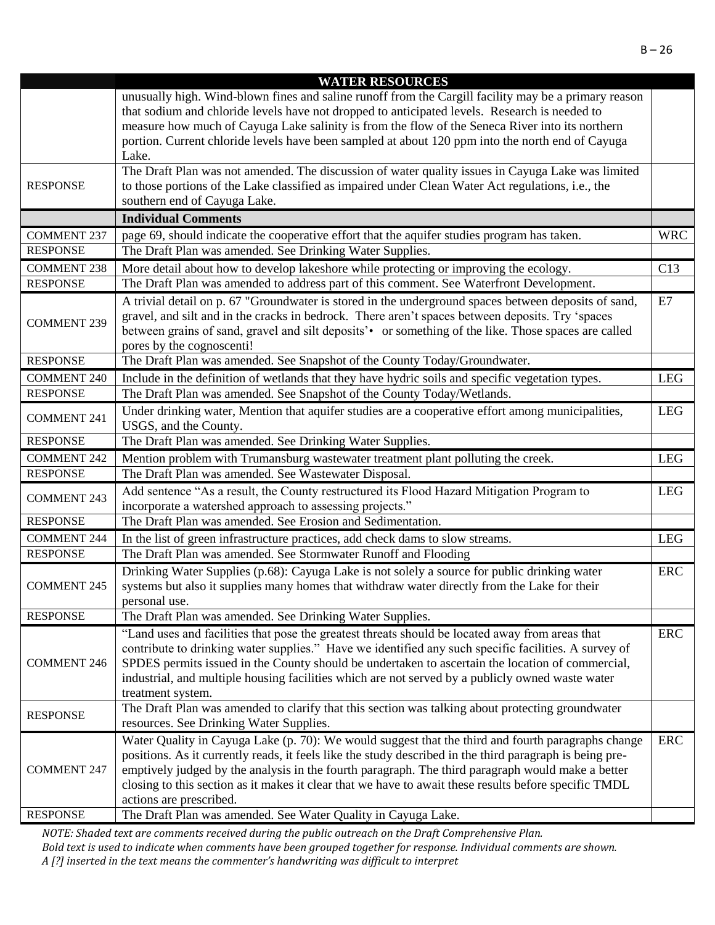|                    | <b>WATER RESOURCES</b>                                                                                   |            |
|--------------------|----------------------------------------------------------------------------------------------------------|------------|
|                    | unusually high. Wind-blown fines and saline runoff from the Cargill facility may be a primary reason     |            |
|                    | that sodium and chloride levels have not dropped to anticipated levels. Research is needed to            |            |
|                    | measure how much of Cayuga Lake salinity is from the flow of the Seneca River into its northern          |            |
|                    | portion. Current chloride levels have been sampled at about 120 ppm into the north end of Cayuga         |            |
|                    | Lake.                                                                                                    |            |
|                    | The Draft Plan was not amended. The discussion of water quality issues in Cayuga Lake was limited        |            |
| <b>RESPONSE</b>    | to those portions of the Lake classified as impaired under Clean Water Act regulations, i.e., the        |            |
|                    | southern end of Cayuga Lake.                                                                             |            |
|                    | <b>Individual Comments</b>                                                                               |            |
| <b>COMMENT 237</b> | page 69, should indicate the cooperative effort that the aquifer studies program has taken.              | <b>WRC</b> |
| <b>RESPONSE</b>    | The Draft Plan was amended. See Drinking Water Supplies.                                                 |            |
| <b>COMMENT 238</b> | More detail about how to develop lakeshore while protecting or improving the ecology.                    | C13        |
| <b>RESPONSE</b>    | The Draft Plan was amended to address part of this comment. See Waterfront Development.                  |            |
|                    | A trivial detail on p. 67 "Groundwater is stored in the underground spaces between deposits of sand,     | E7         |
|                    | gravel, and silt and in the cracks in bedrock. There aren't spaces between deposits. Try 'spaces         |            |
| <b>COMMENT 239</b> | between grains of sand, gravel and silt deposits' • or something of the like. Those spaces are called    |            |
|                    | pores by the cognoscenti!                                                                                |            |
| <b>RESPONSE</b>    | The Draft Plan was amended. See Snapshot of the County Today/Groundwater.                                |            |
| <b>COMMENT 240</b> | Include in the definition of wetlands that they have hydric soils and specific vegetation types.         | <b>LEG</b> |
| <b>RESPONSE</b>    | The Draft Plan was amended. See Snapshot of the County Today/Wetlands.                                   |            |
|                    | Under drinking water, Mention that aquifer studies are a cooperative effort among municipalities,        | <b>LEG</b> |
| <b>COMMENT 241</b> | USGS, and the County.                                                                                    |            |
| <b>RESPONSE</b>    | The Draft Plan was amended. See Drinking Water Supplies.                                                 |            |
| <b>COMMENT 242</b> | Mention problem with Trumansburg wastewater treatment plant polluting the creek.                         | <b>LEG</b> |
| <b>RESPONSE</b>    | The Draft Plan was amended. See Wastewater Disposal.                                                     |            |
| <b>COMMENT 243</b> | Add sentence "As a result, the County restructured its Flood Hazard Mitigation Program to                | <b>LEG</b> |
|                    | incorporate a watershed approach to assessing projects."                                                 |            |
| <b>RESPONSE</b>    | The Draft Plan was amended. See Erosion and Sedimentation.                                               |            |
| <b>COMMENT 244</b> | In the list of green infrastructure practices, add check dams to slow streams.                           | <b>LEG</b> |
| <b>RESPONSE</b>    | The Draft Plan was amended. See Stormwater Runoff and Flooding                                           |            |
|                    | Drinking Water Supplies (p.68): Cayuga Lake is not solely a source for public drinking water             | <b>ERC</b> |
| <b>COMMENT 245</b> | systems but also it supplies many homes that withdraw water directly from the Lake for their             |            |
|                    | personal use.                                                                                            |            |
| <b>RESPONSE</b>    | The Draft Plan was amended. See Drinking Water Supplies.                                                 |            |
|                    | "Land uses and facilities that pose the greatest threats should be located away from areas that          | ERC        |
|                    | contribute to drinking water supplies." Have we identified any such specific facilities. A survey of     |            |
| <b>COMMENT 246</b> | SPDES permits issued in the County should be undertaken to ascertain the location of commercial,         |            |
|                    | industrial, and multiple housing facilities which are not served by a publicly owned waste water         |            |
|                    | treatment system.                                                                                        |            |
| <b>RESPONSE</b>    | The Draft Plan was amended to clarify that this section was talking about protecting groundwater         |            |
|                    | resources. See Drinking Water Supplies.                                                                  |            |
|                    | Water Quality in Cayuga Lake (p. 70): We would suggest that the third and fourth paragraphs change       | ERC        |
|                    | positions. As it currently reads, it feels like the study described in the third paragraph is being pre- |            |
| <b>COMMENT 247</b> | emptively judged by the analysis in the fourth paragraph. The third paragraph would make a better        |            |
|                    | closing to this section as it makes it clear that we have to await these results before specific TMDL    |            |
|                    | actions are prescribed.                                                                                  |            |
| <b>RESPONSE</b>    | The Draft Plan was amended. See Water Quality in Cayuga Lake.                                            |            |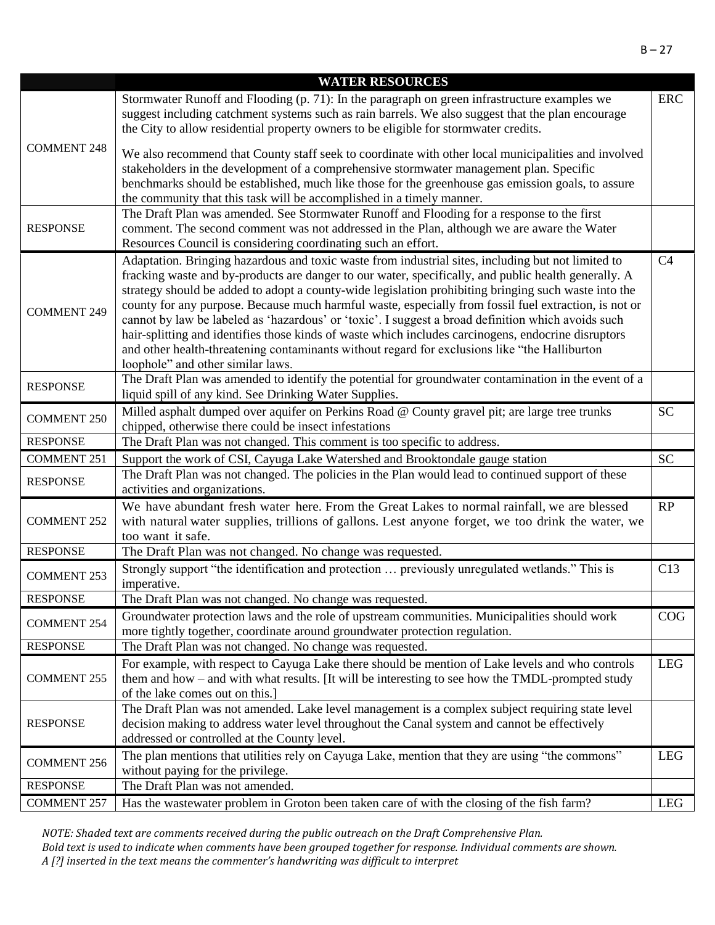|                    | <b>WATER RESOURCES</b>                                                                                                                                                                                                                                                                                                                                                                                                                                                                                                                                                                                                                                                                                                                                                         |                |
|--------------------|--------------------------------------------------------------------------------------------------------------------------------------------------------------------------------------------------------------------------------------------------------------------------------------------------------------------------------------------------------------------------------------------------------------------------------------------------------------------------------------------------------------------------------------------------------------------------------------------------------------------------------------------------------------------------------------------------------------------------------------------------------------------------------|----------------|
|                    | Stormwater Runoff and Flooding (p. 71): In the paragraph on green infrastructure examples we<br>suggest including catchment systems such as rain barrels. We also suggest that the plan encourage<br>the City to allow residential property owners to be eligible for stormwater credits.                                                                                                                                                                                                                                                                                                                                                                                                                                                                                      | <b>ERC</b>     |
| <b>COMMENT 248</b> | We also recommend that County staff seek to coordinate with other local municipalities and involved<br>stakeholders in the development of a comprehensive stormwater management plan. Specific<br>benchmarks should be established, much like those for the greenhouse gas emission goals, to assure<br>the community that this task will be accomplished in a timely manner.                                                                                                                                                                                                                                                                                                                                                                                                  |                |
| <b>RESPONSE</b>    | The Draft Plan was amended. See Stormwater Runoff and Flooding for a response to the first<br>comment. The second comment was not addressed in the Plan, although we are aware the Water<br>Resources Council is considering coordinating such an effort.                                                                                                                                                                                                                                                                                                                                                                                                                                                                                                                      |                |
| <b>COMMENT 249</b> | Adaptation. Bringing hazardous and toxic waste from industrial sites, including but not limited to<br>fracking waste and by-products are danger to our water, specifically, and public health generally. A<br>strategy should be added to adopt a county-wide legislation prohibiting bringing such waste into the<br>county for any purpose. Because much harmful waste, especially from fossil fuel extraction, is not or<br>cannot by law be labeled as 'hazardous' or 'toxic'. I suggest a broad definition which avoids such<br>hair-splitting and identifies those kinds of waste which includes carcinogens, endocrine disruptors<br>and other health-threatening contaminants without regard for exclusions like "the Halliburton<br>loophole" and other similar laws. | C <sub>4</sub> |
| <b>RESPONSE</b>    | The Draft Plan was amended to identify the potential for groundwater contamination in the event of a<br>liquid spill of any kind. See Drinking Water Supplies.                                                                                                                                                                                                                                                                                                                                                                                                                                                                                                                                                                                                                 |                |
| <b>COMMENT 250</b> | Milled asphalt dumped over aquifer on Perkins Road @ County gravel pit; are large tree trunks<br>chipped, otherwise there could be insect infestations                                                                                                                                                                                                                                                                                                                                                                                                                                                                                                                                                                                                                         | <b>SC</b>      |
| <b>RESPONSE</b>    | The Draft Plan was not changed. This comment is too specific to address.                                                                                                                                                                                                                                                                                                                                                                                                                                                                                                                                                                                                                                                                                                       |                |
| <b>COMMENT 251</b> | Support the work of CSI, Cayuga Lake Watershed and Brooktondale gauge station                                                                                                                                                                                                                                                                                                                                                                                                                                                                                                                                                                                                                                                                                                  | <b>SC</b>      |
| <b>RESPONSE</b>    | The Draft Plan was not changed. The policies in the Plan would lead to continued support of these<br>activities and organizations.                                                                                                                                                                                                                                                                                                                                                                                                                                                                                                                                                                                                                                             |                |
| <b>COMMENT 252</b> | We have abundant fresh water here. From the Great Lakes to normal rainfall, we are blessed<br>with natural water supplies, trillions of gallons. Lest anyone forget, we too drink the water, we<br>too want it safe.                                                                                                                                                                                                                                                                                                                                                                                                                                                                                                                                                           | RP             |
| <b>RESPONSE</b>    | The Draft Plan was not changed. No change was requested.                                                                                                                                                                                                                                                                                                                                                                                                                                                                                                                                                                                                                                                                                                                       |                |
| <b>COMMENT 253</b> | Strongly support "the identification and protection  previously unregulated wetlands." This is<br>imperative.                                                                                                                                                                                                                                                                                                                                                                                                                                                                                                                                                                                                                                                                  | C13            |
| <b>RESPONSE</b>    | The Draft Plan was not changed. No change was requested.                                                                                                                                                                                                                                                                                                                                                                                                                                                                                                                                                                                                                                                                                                                       |                |
| <b>COMMENT 254</b> | Groundwater protection laws and the role of upstream communities. Municipalities should work                                                                                                                                                                                                                                                                                                                                                                                                                                                                                                                                                                                                                                                                                   | COG            |
|                    | more tightly together, coordinate around groundwater protection regulation.                                                                                                                                                                                                                                                                                                                                                                                                                                                                                                                                                                                                                                                                                                    |                |
| <b>RESPONSE</b>    | The Draft Plan was not changed. No change was requested.                                                                                                                                                                                                                                                                                                                                                                                                                                                                                                                                                                                                                                                                                                                       |                |
| <b>COMMENT 255</b> | For example, with respect to Cayuga Lake there should be mention of Lake levels and who controls<br>them and how – and with what results. [It will be interesting to see how the TMDL-prompted study<br>of the lake comes out on this.]                                                                                                                                                                                                                                                                                                                                                                                                                                                                                                                                        | <b>LEG</b>     |
| <b>RESPONSE</b>    | The Draft Plan was not amended. Lake level management is a complex subject requiring state level<br>decision making to address water level throughout the Canal system and cannot be effectively<br>addressed or controlled at the County level.                                                                                                                                                                                                                                                                                                                                                                                                                                                                                                                               |                |
| <b>COMMENT 256</b> | The plan mentions that utilities rely on Cayuga Lake, mention that they are using "the commons"<br>without paying for the privilege.                                                                                                                                                                                                                                                                                                                                                                                                                                                                                                                                                                                                                                           | <b>LEG</b>     |
| <b>RESPONSE</b>    | The Draft Plan was not amended.                                                                                                                                                                                                                                                                                                                                                                                                                                                                                                                                                                                                                                                                                                                                                |                |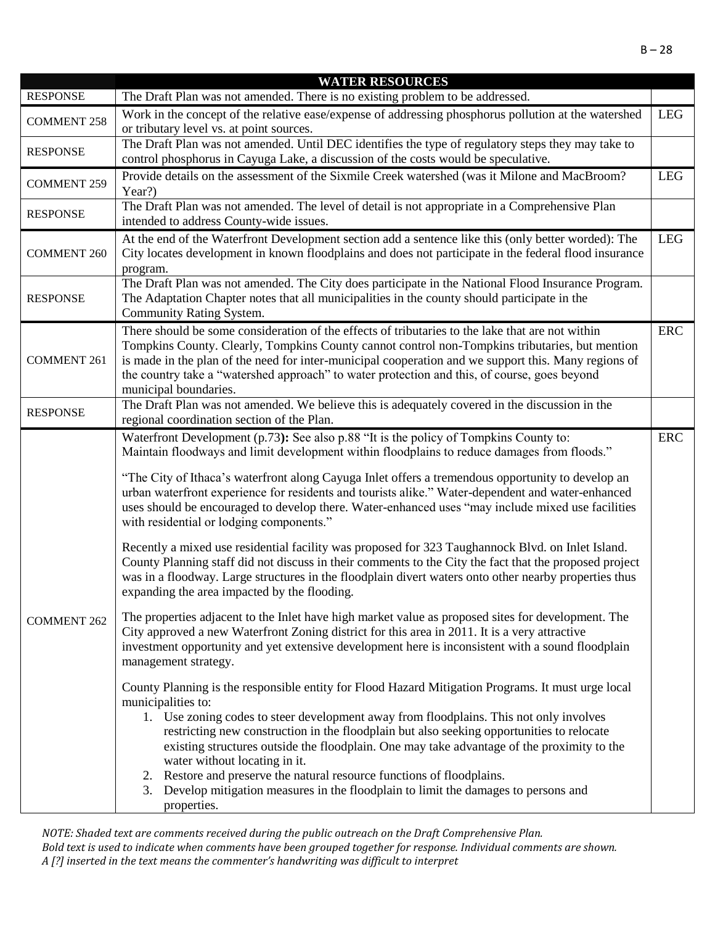|                    | <b>WATER RESOURCES</b>                                                                                                                                                                                                                                                                                                                                                                                                                                                                                                                                                                                                                                                                                                                                                                                                                                                                                                                                                                                                                                                                                                                                                                                                                                                                                                                                                                                                                                                                                                                                                                                                                                                                                                                                                                                                                                                                            |            |
|--------------------|---------------------------------------------------------------------------------------------------------------------------------------------------------------------------------------------------------------------------------------------------------------------------------------------------------------------------------------------------------------------------------------------------------------------------------------------------------------------------------------------------------------------------------------------------------------------------------------------------------------------------------------------------------------------------------------------------------------------------------------------------------------------------------------------------------------------------------------------------------------------------------------------------------------------------------------------------------------------------------------------------------------------------------------------------------------------------------------------------------------------------------------------------------------------------------------------------------------------------------------------------------------------------------------------------------------------------------------------------------------------------------------------------------------------------------------------------------------------------------------------------------------------------------------------------------------------------------------------------------------------------------------------------------------------------------------------------------------------------------------------------------------------------------------------------------------------------------------------------------------------------------------------------|------------|
| <b>RESPONSE</b>    | The Draft Plan was not amended. There is no existing problem to be addressed.                                                                                                                                                                                                                                                                                                                                                                                                                                                                                                                                                                                                                                                                                                                                                                                                                                                                                                                                                                                                                                                                                                                                                                                                                                                                                                                                                                                                                                                                                                                                                                                                                                                                                                                                                                                                                     |            |
| <b>COMMENT 258</b> | Work in the concept of the relative ease/expense of addressing phosphorus pollution at the watershed<br>or tributary level vs. at point sources.                                                                                                                                                                                                                                                                                                                                                                                                                                                                                                                                                                                                                                                                                                                                                                                                                                                                                                                                                                                                                                                                                                                                                                                                                                                                                                                                                                                                                                                                                                                                                                                                                                                                                                                                                  | <b>LEG</b> |
| <b>RESPONSE</b>    | The Draft Plan was not amended. Until DEC identifies the type of regulatory steps they may take to<br>control phosphorus in Cayuga Lake, a discussion of the costs would be speculative.                                                                                                                                                                                                                                                                                                                                                                                                                                                                                                                                                                                                                                                                                                                                                                                                                                                                                                                                                                                                                                                                                                                                                                                                                                                                                                                                                                                                                                                                                                                                                                                                                                                                                                          |            |
| <b>COMMENT 259</b> | Provide details on the assessment of the Sixmile Creek watershed (was it Milone and MacBroom?                                                                                                                                                                                                                                                                                                                                                                                                                                                                                                                                                                                                                                                                                                                                                                                                                                                                                                                                                                                                                                                                                                                                                                                                                                                                                                                                                                                                                                                                                                                                                                                                                                                                                                                                                                                                     | <b>LEG</b> |
| <b>RESPONSE</b>    | Year?)<br>The Draft Plan was not amended. The level of detail is not appropriate in a Comprehensive Plan<br>intended to address County-wide issues.                                                                                                                                                                                                                                                                                                                                                                                                                                                                                                                                                                                                                                                                                                                                                                                                                                                                                                                                                                                                                                                                                                                                                                                                                                                                                                                                                                                                                                                                                                                                                                                                                                                                                                                                               |            |
| <b>COMMENT 260</b> | At the end of the Waterfront Development section add a sentence like this (only better worded): The<br>City locates development in known floodplains and does not participate in the federal flood insurance<br>program.                                                                                                                                                                                                                                                                                                                                                                                                                                                                                                                                                                                                                                                                                                                                                                                                                                                                                                                                                                                                                                                                                                                                                                                                                                                                                                                                                                                                                                                                                                                                                                                                                                                                          | <b>LEG</b> |
| <b>RESPONSE</b>    | The Draft Plan was not amended. The City does participate in the National Flood Insurance Program.<br>The Adaptation Chapter notes that all municipalities in the county should participate in the<br>Community Rating System.                                                                                                                                                                                                                                                                                                                                                                                                                                                                                                                                                                                                                                                                                                                                                                                                                                                                                                                                                                                                                                                                                                                                                                                                                                                                                                                                                                                                                                                                                                                                                                                                                                                                    |            |
| <b>COMMENT 261</b> | There should be some consideration of the effects of tributaries to the lake that are not within<br>Tompkins County. Clearly, Tompkins County cannot control non-Tompkins tributaries, but mention<br>is made in the plan of the need for inter-municipal cooperation and we support this. Many regions of<br>the country take a "watershed approach" to water protection and this, of course, goes beyond<br>municipal boundaries.                                                                                                                                                                                                                                                                                                                                                                                                                                                                                                                                                                                                                                                                                                                                                                                                                                                                                                                                                                                                                                                                                                                                                                                                                                                                                                                                                                                                                                                               | <b>ERC</b> |
| <b>RESPONSE</b>    | The Draft Plan was not amended. We believe this is adequately covered in the discussion in the<br>regional coordination section of the Plan.                                                                                                                                                                                                                                                                                                                                                                                                                                                                                                                                                                                                                                                                                                                                                                                                                                                                                                                                                                                                                                                                                                                                                                                                                                                                                                                                                                                                                                                                                                                                                                                                                                                                                                                                                      |            |
| <b>COMMENT 262</b> | Waterfront Development (p.73): See also p.88 "It is the policy of Tompkins County to:<br>Maintain floodways and limit development within floodplains to reduce damages from floods."<br>"The City of Ithaca's waterfront along Cayuga Inlet offers a tremendous opportunity to develop an<br>urban waterfront experience for residents and tourists alike." Water-dependent and water-enhanced<br>uses should be encouraged to develop there. Water-enhanced uses "may include mixed use facilities<br>with residential or lodging components."<br>Recently a mixed use residential facility was proposed for 323 Taughannock Blvd. on Inlet Island.<br>County Planning staff did not discuss in their comments to the City the fact that the proposed project<br>was in a floodway. Large structures in the floodplain divert waters onto other nearby properties thus<br>expanding the area impacted by the flooding.<br>The properties adjacent to the Inlet have high market value as proposed sites for development. The<br>City approved a new Waterfront Zoning district for this area in 2011. It is a very attractive<br>investment opportunity and yet extensive development here is inconsistent with a sound floodplain<br>management strategy.<br>County Planning is the responsible entity for Flood Hazard Mitigation Programs. It must urge local<br>municipalities to:<br>1. Use zoning codes to steer development away from floodplains. This not only involves<br>restricting new construction in the floodplain but also seeking opportunities to relocate<br>existing structures outside the floodplain. One may take advantage of the proximity to the<br>water without locating in it.<br>2. Restore and preserve the natural resource functions of floodplains.<br>Develop mitigation measures in the floodplain to limit the damages to persons and<br>3.<br>properties. | <b>ERC</b> |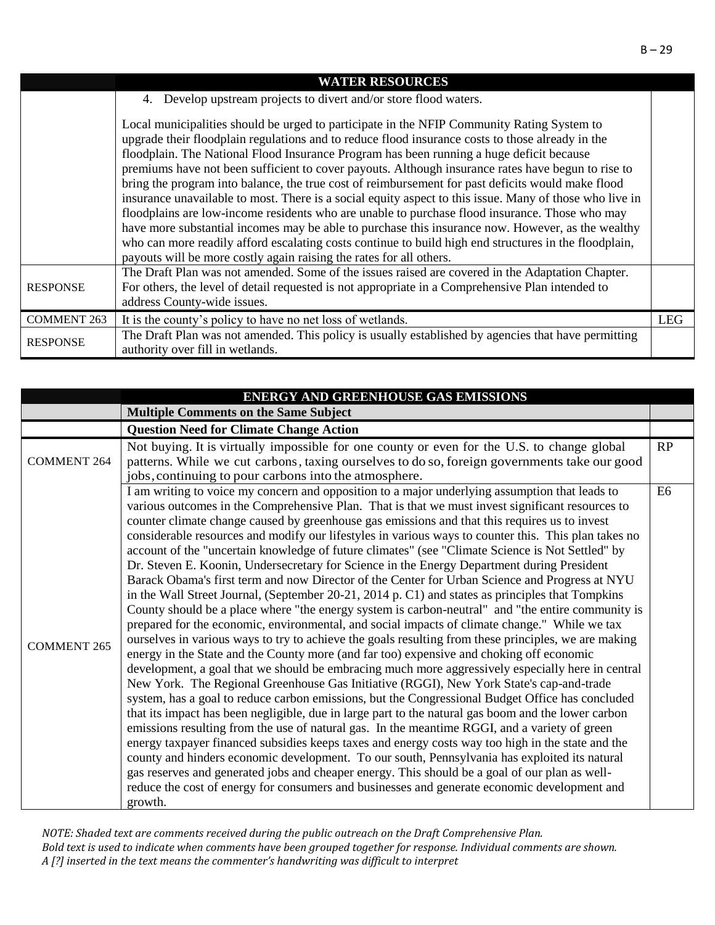|                    | <b>WATER RESOURCES</b>                                                                                                                                                                                                                                                                                                                                                                                                                                                                                                                                                                                                                                                                                                                                                                                                                                                                                                                                                                                  |            |
|--------------------|---------------------------------------------------------------------------------------------------------------------------------------------------------------------------------------------------------------------------------------------------------------------------------------------------------------------------------------------------------------------------------------------------------------------------------------------------------------------------------------------------------------------------------------------------------------------------------------------------------------------------------------------------------------------------------------------------------------------------------------------------------------------------------------------------------------------------------------------------------------------------------------------------------------------------------------------------------------------------------------------------------|------------|
|                    | Develop upstream projects to divert and/or store flood waters.<br>4.                                                                                                                                                                                                                                                                                                                                                                                                                                                                                                                                                                                                                                                                                                                                                                                                                                                                                                                                    |            |
|                    | Local municipalities should be urged to participate in the NFIP Community Rating System to<br>upgrade their floodplain regulations and to reduce flood insurance costs to those already in the<br>floodplain. The National Flood Insurance Program has been running a huge deficit because<br>premiums have not been sufficient to cover payouts. Although insurance rates have begun to rise to<br>bring the program into balance, the true cost of reimbursement for past deficits would make flood<br>insurance unavailable to most. There is a social equity aspect to this issue. Many of those who live in<br>floodplains are low-income residents who are unable to purchase flood insurance. Those who may<br>have more substantial incomes may be able to purchase this insurance now. However, as the wealthy<br>who can more readily afford escalating costs continue to build high end structures in the floodplain,<br>payouts will be more costly again raising the rates for all others. |            |
| <b>RESPONSE</b>    | The Draft Plan was not amended. Some of the issues raised are covered in the Adaptation Chapter.<br>For others, the level of detail requested is not appropriate in a Comprehensive Plan intended to<br>address County-wide issues.                                                                                                                                                                                                                                                                                                                                                                                                                                                                                                                                                                                                                                                                                                                                                                     |            |
| <b>COMMENT 263</b> | It is the county's policy to have no net loss of wetlands.                                                                                                                                                                                                                                                                                                                                                                                                                                                                                                                                                                                                                                                                                                                                                                                                                                                                                                                                              | <b>LEG</b> |
| <b>RESPONSE</b>    | The Draft Plan was not amended. This policy is usually established by agencies that have permitting<br>authority over fill in wetlands.                                                                                                                                                                                                                                                                                                                                                                                                                                                                                                                                                                                                                                                                                                                                                                                                                                                                 |            |

|                    | <b>ENERGY AND GREENHOUSE GAS EMISSIONS</b>                                                                                                                                                                                                                                                                                                                                                                                                                                                                                                                                                                                                                                                                                                                                                                                                                                                                                                                                                                                                                                                                                                                                                                                                                                                                                                                                                                                                                                                                                                                                                                                                                                                                                                                                                                                                                                                                                                                                                                                                                                                                                                                   |                |
|--------------------|--------------------------------------------------------------------------------------------------------------------------------------------------------------------------------------------------------------------------------------------------------------------------------------------------------------------------------------------------------------------------------------------------------------------------------------------------------------------------------------------------------------------------------------------------------------------------------------------------------------------------------------------------------------------------------------------------------------------------------------------------------------------------------------------------------------------------------------------------------------------------------------------------------------------------------------------------------------------------------------------------------------------------------------------------------------------------------------------------------------------------------------------------------------------------------------------------------------------------------------------------------------------------------------------------------------------------------------------------------------------------------------------------------------------------------------------------------------------------------------------------------------------------------------------------------------------------------------------------------------------------------------------------------------------------------------------------------------------------------------------------------------------------------------------------------------------------------------------------------------------------------------------------------------------------------------------------------------------------------------------------------------------------------------------------------------------------------------------------------------------------------------------------------------|----------------|
|                    | <b>Multiple Comments on the Same Subject</b>                                                                                                                                                                                                                                                                                                                                                                                                                                                                                                                                                                                                                                                                                                                                                                                                                                                                                                                                                                                                                                                                                                                                                                                                                                                                                                                                                                                                                                                                                                                                                                                                                                                                                                                                                                                                                                                                                                                                                                                                                                                                                                                 |                |
|                    | <b>Question Need for Climate Change Action</b>                                                                                                                                                                                                                                                                                                                                                                                                                                                                                                                                                                                                                                                                                                                                                                                                                                                                                                                                                                                                                                                                                                                                                                                                                                                                                                                                                                                                                                                                                                                                                                                                                                                                                                                                                                                                                                                                                                                                                                                                                                                                                                               |                |
| <b>COMMENT 264</b> | Not buying. It is virtually impossible for one county or even for the U.S. to change global<br>patterns. While we cut carbons, taxing ourselves to do so, foreign governments take our good                                                                                                                                                                                                                                                                                                                                                                                                                                                                                                                                                                                                                                                                                                                                                                                                                                                                                                                                                                                                                                                                                                                                                                                                                                                                                                                                                                                                                                                                                                                                                                                                                                                                                                                                                                                                                                                                                                                                                                  | RP             |
|                    | jobs, continuing to pour carbons into the atmosphere.                                                                                                                                                                                                                                                                                                                                                                                                                                                                                                                                                                                                                                                                                                                                                                                                                                                                                                                                                                                                                                                                                                                                                                                                                                                                                                                                                                                                                                                                                                                                                                                                                                                                                                                                                                                                                                                                                                                                                                                                                                                                                                        |                |
| <b>COMMENT 265</b> | I am writing to voice my concern and opposition to a major underlying assumption that leads to<br>various outcomes in the Comprehensive Plan. That is that we must invest significant resources to<br>counter climate change caused by greenhouse gas emissions and that this requires us to invest<br>considerable resources and modify our lifestyles in various ways to counter this. This plan takes no<br>account of the "uncertain knowledge of future climates" (see "Climate Science is Not Settled" by<br>Dr. Steven E. Koonin, Undersecretary for Science in the Energy Department during President<br>Barack Obama's first term and now Director of the Center for Urban Science and Progress at NYU<br>in the Wall Street Journal, (September 20-21, 2014 p. C1) and states as principles that Tompkins<br>County should be a place where "the energy system is carbon-neutral" and "the entire community is<br>prepared for the economic, environmental, and social impacts of climate change." While we tax<br>ourselves in various ways to try to achieve the goals resulting from these principles, we are making<br>energy in the State and the County more (and far too) expensive and choking off economic<br>development, a goal that we should be embracing much more aggressively especially here in central<br>New York. The Regional Greenhouse Gas Initiative (RGGI), New York State's cap-and-trade<br>system, has a goal to reduce carbon emissions, but the Congressional Budget Office has concluded<br>that its impact has been negligible, due in large part to the natural gas boom and the lower carbon<br>emissions resulting from the use of natural gas. In the meantime RGGI, and a variety of green<br>energy taxpayer financed subsidies keeps taxes and energy costs way too high in the state and the<br>county and hinders economic development. To our south, Pennsylvania has exploited its natural<br>gas reserves and generated jobs and cheaper energy. This should be a goal of our plan as well-<br>reduce the cost of energy for consumers and businesses and generate economic development and<br>growth. | E <sub>6</sub> |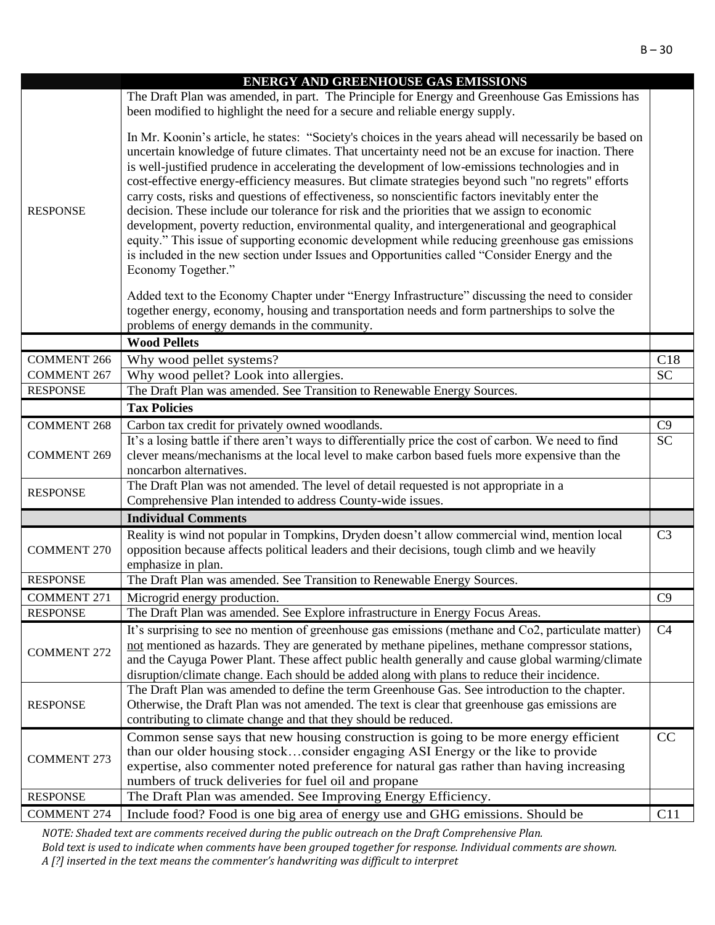|                                       | <b>ENERGY AND GREENHOUSE GAS EMISSIONS</b>                                                                                                                                                      |                |
|---------------------------------------|-------------------------------------------------------------------------------------------------------------------------------------------------------------------------------------------------|----------------|
|                                       | The Draft Plan was amended, in part. The Principle for Energy and Greenhouse Gas Emissions has                                                                                                  |                |
|                                       | been modified to highlight the need for a secure and reliable energy supply.                                                                                                                    |                |
|                                       |                                                                                                                                                                                                 |                |
|                                       | In Mr. Koonin's article, he states: "Society's choices in the years ahead will necessarily be based on                                                                                          |                |
|                                       | uncertain knowledge of future climates. That uncertainty need not be an excuse for inaction. There                                                                                              |                |
|                                       | is well-justified prudence in accelerating the development of low-emissions technologies and in                                                                                                 |                |
|                                       | cost-effective energy-efficiency measures. But climate strategies beyond such "no regrets" efforts                                                                                              |                |
|                                       | carry costs, risks and questions of effectiveness, so nonscientific factors inevitably enter the                                                                                                |                |
| <b>RESPONSE</b>                       | decision. These include our tolerance for risk and the priorities that we assign to economic                                                                                                    |                |
|                                       | development, poverty reduction, environmental quality, and intergenerational and geographical                                                                                                   |                |
|                                       | equity." This issue of supporting economic development while reducing greenhouse gas emissions<br>is included in the new section under Issues and Opportunities called "Consider Energy and the |                |
|                                       | Economy Together."                                                                                                                                                                              |                |
|                                       |                                                                                                                                                                                                 |                |
|                                       | Added text to the Economy Chapter under "Energy Infrastructure" discussing the need to consider                                                                                                 |                |
|                                       | together energy, economy, housing and transportation needs and form partnerships to solve the                                                                                                   |                |
|                                       | problems of energy demands in the community.                                                                                                                                                    |                |
|                                       | <b>Wood Pellets</b>                                                                                                                                                                             |                |
| <b>COMMENT 266</b>                    | Why wood pellet systems?                                                                                                                                                                        | C18            |
| <b>COMMENT 267</b>                    | Why wood pellet? Look into allergies.                                                                                                                                                           | <b>SC</b>      |
| <b>RESPONSE</b>                       | The Draft Plan was amended. See Transition to Renewable Energy Sources.                                                                                                                         |                |
|                                       | <b>Tax Policies</b>                                                                                                                                                                             |                |
| <b>COMMENT 268</b>                    | Carbon tax credit for privately owned woodlands.                                                                                                                                                | C9             |
|                                       | It's a losing battle if there aren't ways to differentially price the cost of carbon. We need to find                                                                                           | <b>SC</b>      |
| <b>COMMENT 269</b>                    | clever means/mechanisms at the local level to make carbon based fuels more expensive than the                                                                                                   |                |
|                                       |                                                                                                                                                                                                 |                |
|                                       | noncarbon alternatives.                                                                                                                                                                         |                |
| <b>RESPONSE</b>                       | The Draft Plan was not amended. The level of detail requested is not appropriate in a                                                                                                           |                |
|                                       | Comprehensive Plan intended to address County-wide issues.                                                                                                                                      |                |
|                                       | <b>Individual Comments</b>                                                                                                                                                                      |                |
|                                       | Reality is wind not popular in Tompkins, Dryden doesn't allow commercial wind, mention local                                                                                                    | C <sub>3</sub> |
| <b>COMMENT 270</b>                    | opposition because affects political leaders and their decisions, tough climb and we heavily                                                                                                    |                |
|                                       | emphasize in plan.                                                                                                                                                                              |                |
| <b>RESPONSE</b>                       | The Draft Plan was amended. See Transition to Renewable Energy Sources.                                                                                                                         |                |
| <b>COMMENT 271</b>                    | Microgrid energy production.                                                                                                                                                                    | C9             |
| <b>RESPONSE</b>                       | The Draft Plan was amended. See Explore infrastructure in Energy Focus Areas.                                                                                                                   |                |
|                                       | It's surprising to see no mention of greenhouse gas emissions (methane and Co2, particulate matter)                                                                                             | C <sub>4</sub> |
| <b>COMMENT 272</b>                    | not mentioned as hazards. They are generated by methane pipelines, methane compressor stations,                                                                                                 |                |
|                                       | and the Cayuga Power Plant. These affect public health generally and cause global warming/climate                                                                                               |                |
|                                       | disruption/climate change. Each should be added along with plans to reduce their incidence.                                                                                                     |                |
| <b>RESPONSE</b>                       | The Draft Plan was amended to define the term Greenhouse Gas. See introduction to the chapter.                                                                                                  |                |
|                                       | Otherwise, the Draft Plan was not amended. The text is clear that greenhouse gas emissions are<br>contributing to climate change and that they should be reduced.                               |                |
|                                       | Common sense says that new housing construction is going to be more energy efficient                                                                                                            | CC             |
|                                       | than our older housing stockconsider engaging ASI Energy or the like to provide                                                                                                                 |                |
| <b>COMMENT 273</b>                    | expertise, also commenter noted preference for natural gas rather than having increasing                                                                                                        |                |
|                                       | numbers of truck deliveries for fuel oil and propane                                                                                                                                            |                |
| <b>RESPONSE</b><br><b>COMMENT 274</b> | The Draft Plan was amended. See Improving Energy Efficiency.<br>Include food? Food is one big area of energy use and GHG emissions. Should be                                                   | C11            |

*NOTE: Shaded text are comments received during the public outreach on the Draft Comprehensive Plan.* 

*Bold text is used to indicate when comments have been grouped together for response. Individual comments are shown. A [?] inserted in the text means the commenter's handwriting was difficult to interpret*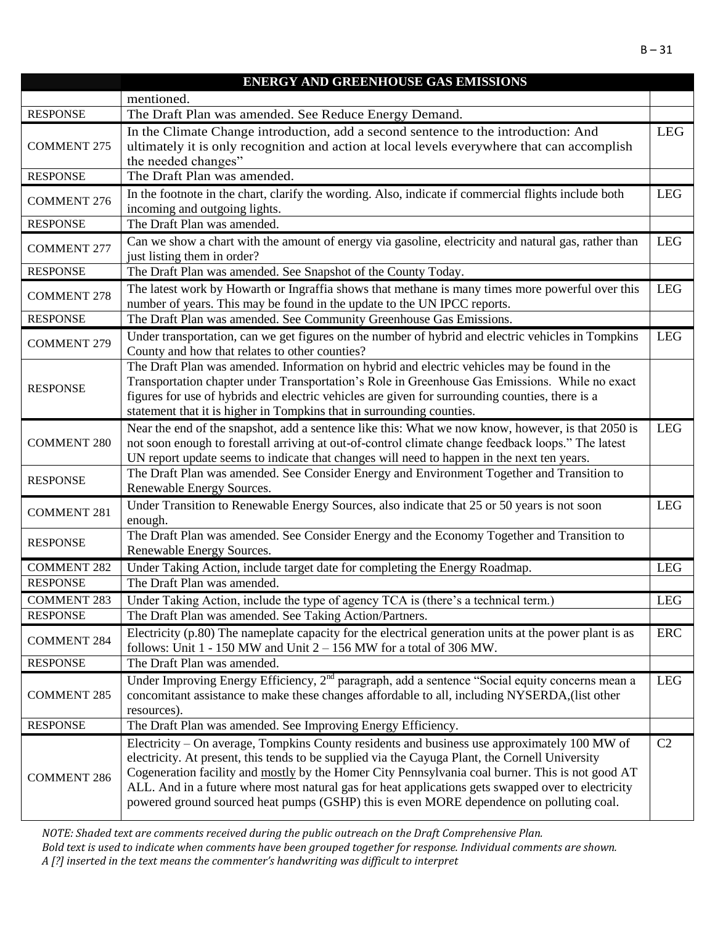|                    | <b>ENERGY AND GREENHOUSE GAS EMISSIONS</b>                                                                                                                                                                                                                                                                                                                                                                                                                                                            |            |
|--------------------|-------------------------------------------------------------------------------------------------------------------------------------------------------------------------------------------------------------------------------------------------------------------------------------------------------------------------------------------------------------------------------------------------------------------------------------------------------------------------------------------------------|------------|
|                    | mentioned.                                                                                                                                                                                                                                                                                                                                                                                                                                                                                            |            |
| <b>RESPONSE</b>    | The Draft Plan was amended. See Reduce Energy Demand.                                                                                                                                                                                                                                                                                                                                                                                                                                                 |            |
| <b>COMMENT 275</b> | In the Climate Change introduction, add a second sentence to the introduction: And<br>ultimately it is only recognition and action at local levels everywhere that can accomplish<br>the needed changes"                                                                                                                                                                                                                                                                                              | <b>LEG</b> |
| <b>RESPONSE</b>    | The Draft Plan was amended.                                                                                                                                                                                                                                                                                                                                                                                                                                                                           |            |
| <b>COMMENT 276</b> | In the footnote in the chart, clarify the wording. Also, indicate if commercial flights include both<br>incoming and outgoing lights.                                                                                                                                                                                                                                                                                                                                                                 | <b>LEG</b> |
| <b>RESPONSE</b>    | The Draft Plan was amended.                                                                                                                                                                                                                                                                                                                                                                                                                                                                           |            |
| <b>COMMENT 277</b> | Can we show a chart with the amount of energy via gasoline, electricity and natural gas, rather than<br>just listing them in order?                                                                                                                                                                                                                                                                                                                                                                   | <b>LEG</b> |
| <b>RESPONSE</b>    | The Draft Plan was amended. See Snapshot of the County Today.                                                                                                                                                                                                                                                                                                                                                                                                                                         |            |
| <b>COMMENT 278</b> | The latest work by Howarth or Ingraffia shows that methane is many times more powerful over this<br>number of years. This may be found in the update to the UN IPCC reports.                                                                                                                                                                                                                                                                                                                          | <b>LEG</b> |
| <b>RESPONSE</b>    | The Draft Plan was amended. See Community Greenhouse Gas Emissions.                                                                                                                                                                                                                                                                                                                                                                                                                                   |            |
| <b>COMMENT 279</b> | Under transportation, can we get figures on the number of hybrid and electric vehicles in Tompkins<br>County and how that relates to other counties?                                                                                                                                                                                                                                                                                                                                                  | <b>LEG</b> |
| <b>RESPONSE</b>    | The Draft Plan was amended. Information on hybrid and electric vehicles may be found in the<br>Transportation chapter under Transportation's Role in Greenhouse Gas Emissions. While no exact<br>figures for use of hybrids and electric vehicles are given for surrounding counties, there is a<br>statement that it is higher in Tompkins that in surrounding counties.                                                                                                                             |            |
| <b>COMMENT 280</b> | Near the end of the snapshot, add a sentence like this: What we now know, however, is that 2050 is<br>not soon enough to forestall arriving at out-of-control climate change feedback loops." The latest<br>UN report update seems to indicate that changes will need to happen in the next ten years.                                                                                                                                                                                                | <b>LEG</b> |
| <b>RESPONSE</b>    | The Draft Plan was amended. See Consider Energy and Environment Together and Transition to<br>Renewable Energy Sources.                                                                                                                                                                                                                                                                                                                                                                               |            |
| <b>COMMENT 281</b> | Under Transition to Renewable Energy Sources, also indicate that 25 or 50 years is not soon<br>enough.                                                                                                                                                                                                                                                                                                                                                                                                | <b>LEG</b> |
| <b>RESPONSE</b>    | The Draft Plan was amended. See Consider Energy and the Economy Together and Transition to<br>Renewable Energy Sources.                                                                                                                                                                                                                                                                                                                                                                               |            |
| <b>COMMENT 282</b> | Under Taking Action, include target date for completing the Energy Roadmap.                                                                                                                                                                                                                                                                                                                                                                                                                           | <b>LEG</b> |
| <b>RESPONSE</b>    | The Draft Plan was amended.                                                                                                                                                                                                                                                                                                                                                                                                                                                                           |            |
| <b>COMMENT 283</b> | Under Taking Action, include the type of agency TCA is (there's a technical term.)                                                                                                                                                                                                                                                                                                                                                                                                                    | <b>LEG</b> |
| <b>RESPONSE</b>    | The Draft Plan was amended. See Taking Action/Partners.                                                                                                                                                                                                                                                                                                                                                                                                                                               |            |
| <b>COMMENT 284</b> | Electricity ( $p.80$ ) The nameplate capacity for the electrical generation units at the power plant is as<br>follows: Unit $1 - 150$ MW and Unit $2 - 156$ MW for a total of 306 MW.                                                                                                                                                                                                                                                                                                                 | <b>ERC</b> |
| <b>RESPONSE</b>    | The Draft Plan was amended.                                                                                                                                                                                                                                                                                                                                                                                                                                                                           |            |
| <b>COMMENT 285</b> | Under Improving Energy Efficiency, 2 <sup>nd</sup> paragraph, add a sentence "Social equity concerns mean a<br>concomitant assistance to make these changes affordable to all, including NYSERDA, (list other<br>resources).                                                                                                                                                                                                                                                                          | <b>LEG</b> |
| <b>RESPONSE</b>    | The Draft Plan was amended. See Improving Energy Efficiency.                                                                                                                                                                                                                                                                                                                                                                                                                                          |            |
| <b>COMMENT 286</b> | Electricity – On average, Tompkins County residents and business use approximately 100 MW of<br>electricity. At present, this tends to be supplied via the Cayuga Plant, the Cornell University<br>Cogeneration facility and mostly by the Homer City Pennsylvania coal burner. This is not good AT<br>ALL. And in a future where most natural gas for heat applications gets swapped over to electricity<br>powered ground sourced heat pumps (GSHP) this is even MORE dependence on polluting coal. | C2         |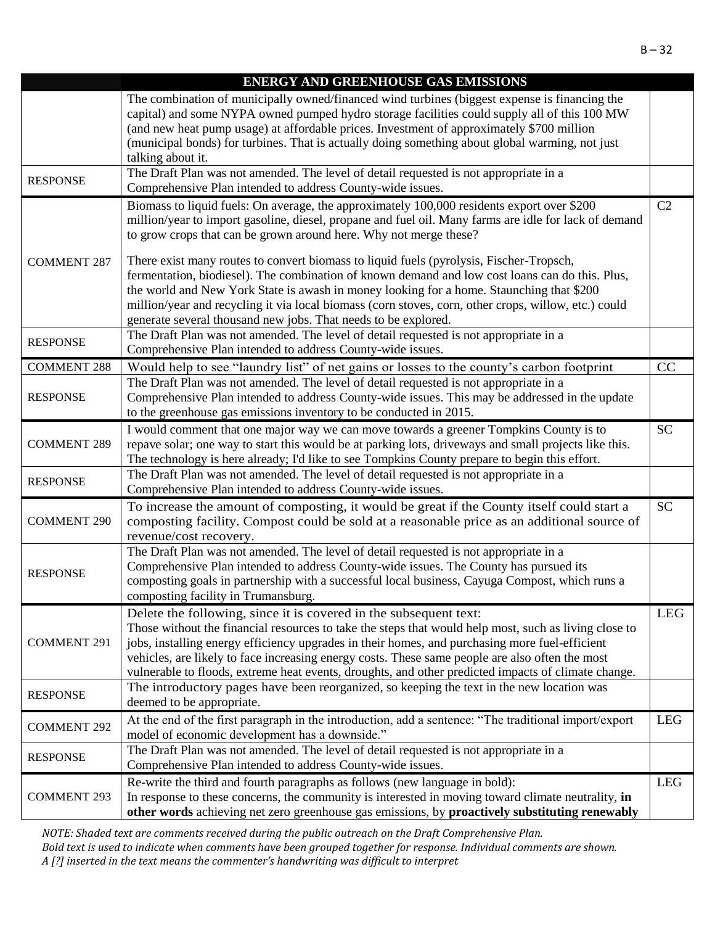|                    | <b>ENERGY AND GREENHOUSE GAS EMISSIONS</b>                                                            |            |
|--------------------|-------------------------------------------------------------------------------------------------------|------------|
|                    | The combination of municipally owned/financed wind turbines (biggest expense is financing the         |            |
|                    | capital) and some NYPA owned pumped hydro storage facilities could supply all of this 100 MW          |            |
|                    | (and new heat pump usage) at affordable prices. Investment of approximately \$700 million             |            |
|                    | (municipal bonds) for turbines. That is actually doing something about global warming, not just       |            |
|                    | talking about it.                                                                                     |            |
|                    | The Draft Plan was not amended. The level of detail requested is not appropriate in a                 |            |
| <b>RESPONSE</b>    | Comprehensive Plan intended to address County-wide issues.                                            |            |
|                    | Biomass to liquid fuels: On average, the approximately 100,000 residents export over \$200            | C2         |
|                    | million/year to import gasoline, diesel, propane and fuel oil. Many farms are idle for lack of demand |            |
|                    | to grow crops that can be grown around here. Why not merge these?                                     |            |
|                    |                                                                                                       |            |
| <b>COMMENT 287</b> | There exist many routes to convert biomass to liquid fuels (pyrolysis, Fischer-Tropsch,               |            |
|                    | fermentation, biodiesel). The combination of known demand and low cost loans can do this. Plus,       |            |
|                    | the world and New York State is awash in money looking for a home. Staunching that \$200              |            |
|                    | million/year and recycling it via local biomass (corn stoves, corn, other crops, willow, etc.) could  |            |
|                    | generate several thousand new jobs. That needs to be explored.                                        |            |
| <b>RESPONSE</b>    | The Draft Plan was not amended. The level of detail requested is not appropriate in a                 |            |
|                    | Comprehensive Plan intended to address County-wide issues.                                            |            |
| <b>COMMENT 288</b> | Would help to see "laundry list" of net gains or losses to the county's carbon footprint              | CC         |
|                    | The Draft Plan was not amended. The level of detail requested is not appropriate in a                 |            |
| <b>RESPONSE</b>    | Comprehensive Plan intended to address County-wide issues. This may be addressed in the update        |            |
|                    | to the greenhouse gas emissions inventory to be conducted in 2015.                                    |            |
|                    | I would comment that one major way we can move towards a greener Tompkins County is to                | <b>SC</b>  |
| <b>COMMENT 289</b> | repave solar; one way to start this would be at parking lots, driveways and small projects like this. |            |
|                    | The technology is here already; I'd like to see Tompkins County prepare to begin this effort.         |            |
| <b>RESPONSE</b>    | The Draft Plan was not amended. The level of detail requested is not appropriate in a                 |            |
|                    | Comprehensive Plan intended to address County-wide issues.                                            |            |
|                    | To increase the amount of composting, it would be great if the County itself could start a            | <b>SC</b>  |
| <b>COMMENT 290</b> | composting facility. Compost could be sold at a reasonable price as an additional source of           |            |
|                    | revenue/cost recovery.                                                                                |            |
|                    | The Draft Plan was not amended. The level of detail requested is not appropriate in a                 |            |
| <b>RESPONSE</b>    | Comprehensive Plan intended to address County-wide issues. The County has pursued its                 |            |
|                    | composting goals in partnership with a successful local business, Cayuga Compost, which runs a        |            |
|                    | composting facility in Trumansburg.                                                                   |            |
|                    | Delete the following, since it is covered in the subsequent text:                                     | LEG        |
|                    | Those without the financial resources to take the steps that would help most, such as living close to |            |
| <b>COMMENT 291</b> | jobs, installing energy efficiency upgrades in their homes, and purchasing more fuel-efficient        |            |
|                    | vehicles, are likely to face increasing energy costs. These same people are also often the most       |            |
|                    | vulnerable to floods, extreme heat events, droughts, and other predicted impacts of climate change.   |            |
| <b>RESPONSE</b>    | The introductory pages have been reorganized, so keeping the text in the new location was             |            |
|                    | deemed to be appropriate.                                                                             |            |
| <b>COMMENT 292</b> | At the end of the first paragraph in the introduction, add a sentence: "The traditional import/export | <b>LEG</b> |
|                    | model of economic development has a downside."                                                        |            |
|                    | The Draft Plan was not amended. The level of detail requested is not appropriate in a                 |            |
| <b>RESPONSE</b>    | Comprehensive Plan intended to address County-wide issues.                                            |            |
|                    | Re-write the third and fourth paragraphs as follows (new language in bold):                           | <b>LEG</b> |
| <b>COMMENT 293</b> | In response to these concerns, the community is interested in moving toward climate neutrality, in    |            |
|                    | other words achieving net zero greenhouse gas emissions, by proactively substituting renewably        |            |
|                    |                                                                                                       |            |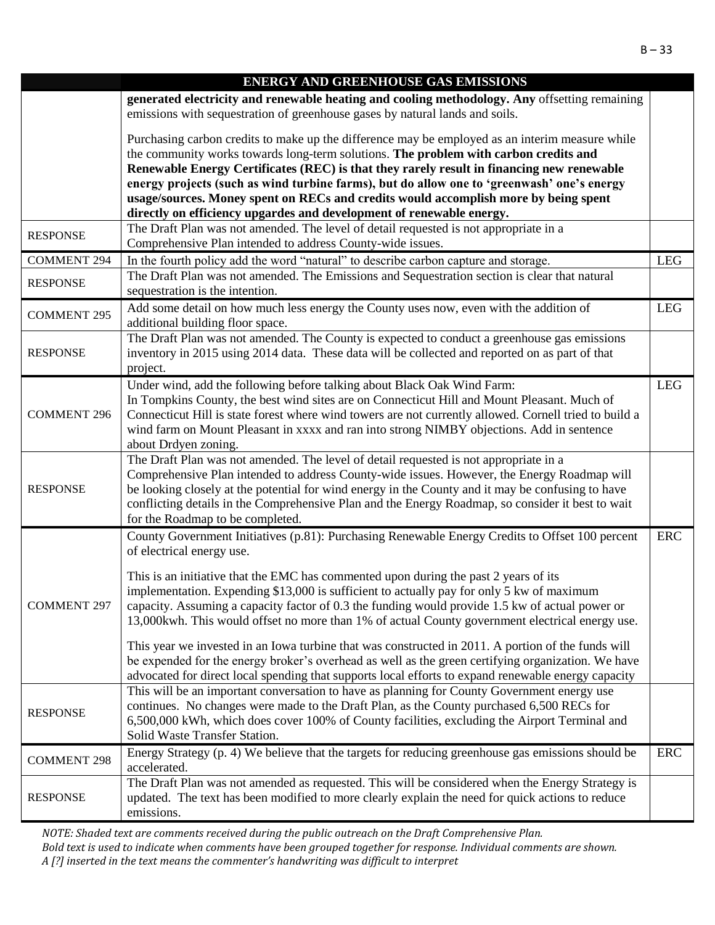|                    | <b>ENERGY AND GREENHOUSE GAS EMISSIONS</b>                                                                                                                                                                  |            |
|--------------------|-------------------------------------------------------------------------------------------------------------------------------------------------------------------------------------------------------------|------------|
|                    | generated electricity and renewable heating and cooling methodology. Any offsetting remaining<br>emissions with sequestration of greenhouse gases by natural lands and soils.                               |            |
|                    | Purchasing carbon credits to make up the difference may be employed as an interim measure while<br>the community works towards long-term solutions. The problem with carbon credits and                     |            |
|                    | Renewable Energy Certificates (REC) is that they rarely result in financing new renewable<br>energy projects (such as wind turbine farms), but do allow one to 'greenwash' one's energy                     |            |
|                    | usage/sources. Money spent on RECs and credits would accomplish more by being spent                                                                                                                         |            |
|                    | directly on efficiency upgardes and development of renewable energy.                                                                                                                                        |            |
| <b>RESPONSE</b>    | The Draft Plan was not amended. The level of detail requested is not appropriate in a                                                                                                                       |            |
|                    | Comprehensive Plan intended to address County-wide issues.                                                                                                                                                  |            |
| <b>COMMENT 294</b> | In the fourth policy add the word "natural" to describe carbon capture and storage.                                                                                                                         | <b>LEG</b> |
| <b>RESPONSE</b>    | The Draft Plan was not amended. The Emissions and Sequestration section is clear that natural<br>sequestration is the intention.                                                                            |            |
| <b>COMMENT 295</b> | Add some detail on how much less energy the County uses now, even with the addition of<br>additional building floor space.                                                                                  | <b>LEG</b> |
| <b>RESPONSE</b>    | The Draft Plan was not amended. The County is expected to conduct a greenhouse gas emissions<br>inventory in 2015 using 2014 data. These data will be collected and reported on as part of that<br>project. |            |
|                    | Under wind, add the following before talking about Black Oak Wind Farm:                                                                                                                                     | LEG        |
|                    | In Tompkins County, the best wind sites are on Connecticut Hill and Mount Pleasant. Much of                                                                                                                 |            |
| <b>COMMENT 296</b> | Connecticut Hill is state forest where wind towers are not currently allowed. Cornell tried to build a                                                                                                      |            |
|                    | wind farm on Mount Pleasant in xxxx and ran into strong NIMBY objections. Add in sentence<br>about Drdyen zoning.                                                                                           |            |
|                    | The Draft Plan was not amended. The level of detail requested is not appropriate in a                                                                                                                       |            |
|                    | Comprehensive Plan intended to address County-wide issues. However, the Energy Roadmap will                                                                                                                 |            |
| <b>RESPONSE</b>    | be looking closely at the potential for wind energy in the County and it may be confusing to have                                                                                                           |            |
|                    | conflicting details in the Comprehensive Plan and the Energy Roadmap, so consider it best to wait                                                                                                           |            |
|                    | for the Roadmap to be completed.                                                                                                                                                                            |            |
|                    | County Government Initiatives (p.81): Purchasing Renewable Energy Credits to Offset 100 percent<br>of electrical energy use.                                                                                | ERC        |
|                    | This is an initiative that the EMC has commented upon during the past 2 years of its                                                                                                                        |            |
|                    | implementation. Expending \$13,000 is sufficient to actually pay for only 5 kw of maximum                                                                                                                   |            |
| <b>COMMENT 297</b> | capacity. Assuming a capacity factor of 0.3 the funding would provide 1.5 kw of actual power or                                                                                                             |            |
|                    | 13,000kwh. This would offset no more than 1% of actual County government electrical energy use.                                                                                                             |            |
|                    | This year we invested in an Iowa turbine that was constructed in 2011. A portion of the funds will                                                                                                          |            |
|                    | be expended for the energy broker's overhead as well as the green certifying organization. We have                                                                                                          |            |
|                    | advocated for direct local spending that supports local efforts to expand renewable energy capacity                                                                                                         |            |
|                    | This will be an important conversation to have as planning for County Government energy use<br>continues. No changes were made to the Draft Plan, as the County purchased 6,500 RECs for                    |            |
| <b>RESPONSE</b>    | 6,500,000 kWh, which does cover 100% of County facilities, excluding the Airport Terminal and                                                                                                               |            |
|                    | Solid Waste Transfer Station.                                                                                                                                                                               |            |
| <b>COMMENT 298</b> | Energy Strategy (p. 4) We believe that the targets for reducing greenhouse gas emissions should be<br>accelerated.                                                                                          | ERC        |
|                    | The Draft Plan was not amended as requested. This will be considered when the Energy Strategy is                                                                                                            |            |
| <b>RESPONSE</b>    | updated. The text has been modified to more clearly explain the need for quick actions to reduce                                                                                                            |            |
|                    | emissions.                                                                                                                                                                                                  |            |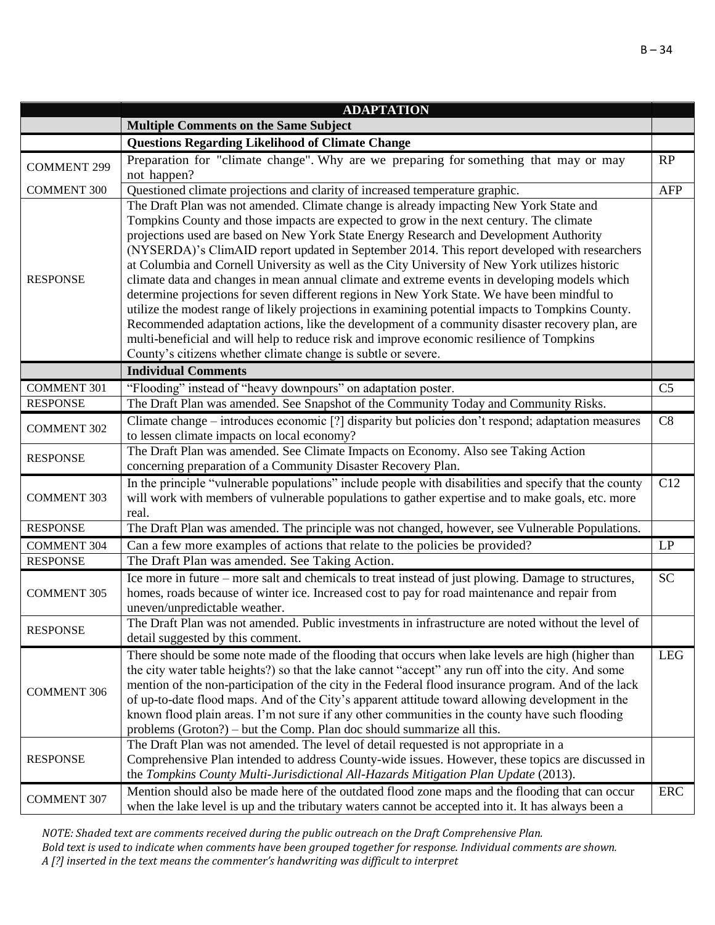|                    | <b>ADAPTATION</b>                                                                                                                                                                                                                                                                                                                                                                                                                                                                                                                                                                                                                                                                                                                                                                                                                                                                                                                                                                                                                                     |                |
|--------------------|-------------------------------------------------------------------------------------------------------------------------------------------------------------------------------------------------------------------------------------------------------------------------------------------------------------------------------------------------------------------------------------------------------------------------------------------------------------------------------------------------------------------------------------------------------------------------------------------------------------------------------------------------------------------------------------------------------------------------------------------------------------------------------------------------------------------------------------------------------------------------------------------------------------------------------------------------------------------------------------------------------------------------------------------------------|----------------|
|                    | <b>Multiple Comments on the Same Subject</b>                                                                                                                                                                                                                                                                                                                                                                                                                                                                                                                                                                                                                                                                                                                                                                                                                                                                                                                                                                                                          |                |
|                    | <b>Questions Regarding Likelihood of Climate Change</b>                                                                                                                                                                                                                                                                                                                                                                                                                                                                                                                                                                                                                                                                                                                                                                                                                                                                                                                                                                                               |                |
| <b>COMMENT 299</b> | Preparation for "climate change". Why are we preparing for something that may or may<br>not happen?                                                                                                                                                                                                                                                                                                                                                                                                                                                                                                                                                                                                                                                                                                                                                                                                                                                                                                                                                   | RP             |
| <b>COMMENT 300</b> | Questioned climate projections and clarity of increased temperature graphic.                                                                                                                                                                                                                                                                                                                                                                                                                                                                                                                                                                                                                                                                                                                                                                                                                                                                                                                                                                          | <b>AFP</b>     |
| <b>RESPONSE</b>    | The Draft Plan was not amended. Climate change is already impacting New York State and<br>Tompkins County and those impacts are expected to grow in the next century. The climate<br>projections used are based on New York State Energy Research and Development Authority<br>(NYSERDA)'s ClimAID report updated in September 2014. This report developed with researchers<br>at Columbia and Cornell University as well as the City University of New York utilizes historic<br>climate data and changes in mean annual climate and extreme events in developing models which<br>determine projections for seven different regions in New York State. We have been mindful to<br>utilize the modest range of likely projections in examining potential impacts to Tompkins County.<br>Recommended adaptation actions, like the development of a community disaster recovery plan, are<br>multi-beneficial and will help to reduce risk and improve economic resilience of Tompkins<br>County's citizens whether climate change is subtle or severe. |                |
|                    | <b>Individual Comments</b>                                                                                                                                                                                                                                                                                                                                                                                                                                                                                                                                                                                                                                                                                                                                                                                                                                                                                                                                                                                                                            |                |
| <b>COMMENT 301</b> | "Flooding" instead of "heavy downpours" on adaptation poster.                                                                                                                                                                                                                                                                                                                                                                                                                                                                                                                                                                                                                                                                                                                                                                                                                                                                                                                                                                                         | C <sub>5</sub> |
| <b>RESPONSE</b>    | The Draft Plan was amended. See Snapshot of the Community Today and Community Risks.                                                                                                                                                                                                                                                                                                                                                                                                                                                                                                                                                                                                                                                                                                                                                                                                                                                                                                                                                                  |                |
| <b>COMMENT 302</b> | Climate change – introduces economic [?] disparity but policies don't respond; adaptation measures<br>to lessen climate impacts on local economy?                                                                                                                                                                                                                                                                                                                                                                                                                                                                                                                                                                                                                                                                                                                                                                                                                                                                                                     | C8             |
| <b>RESPONSE</b>    | The Draft Plan was amended. See Climate Impacts on Economy. Also see Taking Action<br>concerning preparation of a Community Disaster Recovery Plan.                                                                                                                                                                                                                                                                                                                                                                                                                                                                                                                                                                                                                                                                                                                                                                                                                                                                                                   |                |
| <b>COMMENT 303</b> | In the principle "vulnerable populations" include people with disabilities and specify that the county<br>will work with members of vulnerable populations to gather expertise and to make goals, etc. more<br>real.                                                                                                                                                                                                                                                                                                                                                                                                                                                                                                                                                                                                                                                                                                                                                                                                                                  | C12            |
| <b>RESPONSE</b>    | The Draft Plan was amended. The principle was not changed, however, see Vulnerable Populations.                                                                                                                                                                                                                                                                                                                                                                                                                                                                                                                                                                                                                                                                                                                                                                                                                                                                                                                                                       |                |
| <b>COMMENT 304</b> | Can a few more examples of actions that relate to the policies be provided?                                                                                                                                                                                                                                                                                                                                                                                                                                                                                                                                                                                                                                                                                                                                                                                                                                                                                                                                                                           | LP             |
| <b>RESPONSE</b>    | The Draft Plan was amended. See Taking Action.                                                                                                                                                                                                                                                                                                                                                                                                                                                                                                                                                                                                                                                                                                                                                                                                                                                                                                                                                                                                        |                |
| <b>COMMENT 305</b> | Ice more in future – more salt and chemicals to treat instead of just plowing. Damage to structures,<br>homes, roads because of winter ice. Increased cost to pay for road maintenance and repair from<br>uneven/unpredictable weather.                                                                                                                                                                                                                                                                                                                                                                                                                                                                                                                                                                                                                                                                                                                                                                                                               | <b>SC</b>      |
| <b>RESPONSE</b>    | The Draft Plan was not amended. Public investments in infrastructure are noted without the level of<br>detail suggested by this comment.                                                                                                                                                                                                                                                                                                                                                                                                                                                                                                                                                                                                                                                                                                                                                                                                                                                                                                              |                |
| <b>COMMENT 306</b> | There should be some note made of the flooding that occurs when lake levels are high (higher than<br>the city water table heights?) so that the lake cannot "accept" any run off into the city. And some<br>mention of the non-participation of the city in the Federal flood insurance program. And of the lack<br>of up-to-date flood maps. And of the City's apparent attitude toward allowing development in the<br>known flood plain areas. I'm not sure if any other communities in the county have such flooding<br>problems (Groton?) – but the Comp. Plan doc should summarize all this.                                                                                                                                                                                                                                                                                                                                                                                                                                                     | <b>LEG</b>     |
| <b>RESPONSE</b>    | The Draft Plan was not amended. The level of detail requested is not appropriate in a<br>Comprehensive Plan intended to address County-wide issues. However, these topics are discussed in<br>the Tompkins County Multi-Jurisdictional All-Hazards Mitigation Plan Update (2013).                                                                                                                                                                                                                                                                                                                                                                                                                                                                                                                                                                                                                                                                                                                                                                     |                |
| <b>COMMENT 307</b> | Mention should also be made here of the outdated flood zone maps and the flooding that can occur<br>when the lake level is up and the tributary waters cannot be accepted into it. It has always been a                                                                                                                                                                                                                                                                                                                                                                                                                                                                                                                                                                                                                                                                                                                                                                                                                                               | <b>ERC</b>     |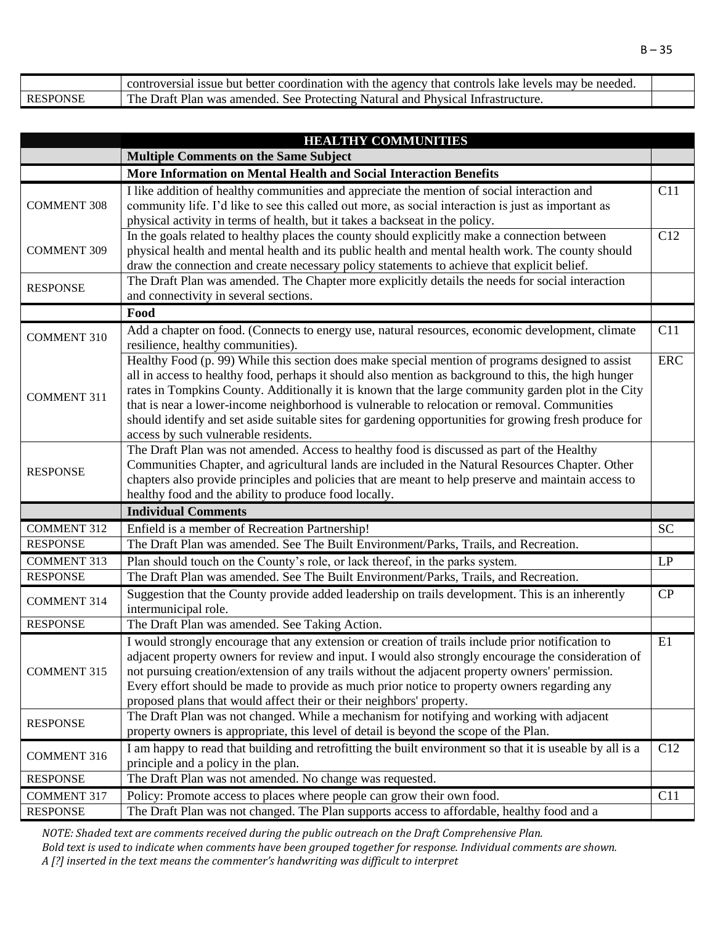|                 | controversial issue but better coordination with the agency that controls lake levels may be needed. |  |
|-----------------|------------------------------------------------------------------------------------------------------|--|
| <b>RESPONSE</b> | The Draft Plan was amended. See Protecting Natural and Physical Infrastructure.                      |  |

|                    | <b>HEALTHY COMMUNITIES</b>                                                                                                                                                                                                                                                                                                                                                                                                                                                                                                                                        |            |
|--------------------|-------------------------------------------------------------------------------------------------------------------------------------------------------------------------------------------------------------------------------------------------------------------------------------------------------------------------------------------------------------------------------------------------------------------------------------------------------------------------------------------------------------------------------------------------------------------|------------|
|                    | <b>Multiple Comments on the Same Subject</b>                                                                                                                                                                                                                                                                                                                                                                                                                                                                                                                      |            |
|                    | More Information on Mental Health and Social Interaction Benefits                                                                                                                                                                                                                                                                                                                                                                                                                                                                                                 |            |
| <b>COMMENT 308</b> | I like addition of healthy communities and appreciate the mention of social interaction and<br>community life. I'd like to see this called out more, as social interaction is just as important as<br>physical activity in terms of health, but it takes a backseat in the policy.                                                                                                                                                                                                                                                                                | C11        |
| <b>COMMENT 309</b> | In the goals related to healthy places the county should explicitly make a connection between<br>physical health and mental health and its public health and mental health work. The county should<br>draw the connection and create necessary policy statements to achieve that explicit belief.                                                                                                                                                                                                                                                                 | C12        |
| <b>RESPONSE</b>    | The Draft Plan was amended. The Chapter more explicitly details the needs for social interaction<br>and connectivity in several sections.                                                                                                                                                                                                                                                                                                                                                                                                                         |            |
|                    | Food                                                                                                                                                                                                                                                                                                                                                                                                                                                                                                                                                              |            |
| <b>COMMENT 310</b> | Add a chapter on food. (Connects to energy use, natural resources, economic development, climate<br>resilience, healthy communities).                                                                                                                                                                                                                                                                                                                                                                                                                             | C11        |
| <b>COMMENT 311</b> | Healthy Food (p. 99) While this section does make special mention of programs designed to assist<br>all in access to healthy food, perhaps it should also mention as background to this, the high hunger<br>rates in Tompkins County. Additionally it is known that the large community garden plot in the City<br>that is near a lower-income neighborhood is vulnerable to relocation or removal. Communities<br>should identify and set aside suitable sites for gardening opportunities for growing fresh produce for<br>access by such vulnerable residents. | <b>ERC</b> |
| <b>RESPONSE</b>    | The Draft Plan was not amended. Access to healthy food is discussed as part of the Healthy<br>Communities Chapter, and agricultural lands are included in the Natural Resources Chapter. Other<br>chapters also provide principles and policies that are meant to help preserve and maintain access to<br>healthy food and the ability to produce food locally.                                                                                                                                                                                                   |            |
|                    | <b>Individual Comments</b>                                                                                                                                                                                                                                                                                                                                                                                                                                                                                                                                        |            |
| <b>COMMENT 312</b> | Enfield is a member of Recreation Partnership!                                                                                                                                                                                                                                                                                                                                                                                                                                                                                                                    | <b>SC</b>  |
| <b>RESPONSE</b>    | The Draft Plan was amended. See The Built Environment/Parks, Trails, and Recreation.                                                                                                                                                                                                                                                                                                                                                                                                                                                                              |            |
| <b>COMMENT 313</b> | Plan should touch on the County's role, or lack thereof, in the parks system.                                                                                                                                                                                                                                                                                                                                                                                                                                                                                     | LP         |
| <b>RESPONSE</b>    | The Draft Plan was amended. See The Built Environment/Parks, Trails, and Recreation.                                                                                                                                                                                                                                                                                                                                                                                                                                                                              |            |
| <b>COMMENT 314</b> | Suggestion that the County provide added leadership on trails development. This is an inherently<br>intermunicipal role.                                                                                                                                                                                                                                                                                                                                                                                                                                          | CP         |
| <b>RESPONSE</b>    | The Draft Plan was amended. See Taking Action.                                                                                                                                                                                                                                                                                                                                                                                                                                                                                                                    |            |
| <b>COMMENT 315</b> | I would strongly encourage that any extension or creation of trails include prior notification to<br>adjacent property owners for review and input. I would also strongly encourage the consideration of<br>not pursuing creation/extension of any trails without the adjacent property owners' permission.<br>Every effort should be made to provide as much prior notice to property owners regarding any<br>proposed plans that would affect their or their neighbors' property.                                                                               | E1         |
| <b>RESPONSE</b>    | The Draft Plan was not changed. While a mechanism for notifying and working with adjacent<br>property owners is appropriate, this level of detail is beyond the scope of the Plan.                                                                                                                                                                                                                                                                                                                                                                                |            |
| <b>COMMENT 316</b> | I am happy to read that building and retrofitting the built environment so that it is useable by all is a<br>principle and a policy in the plan.                                                                                                                                                                                                                                                                                                                                                                                                                  | C12        |
| <b>RESPONSE</b>    | The Draft Plan was not amended. No change was requested.                                                                                                                                                                                                                                                                                                                                                                                                                                                                                                          |            |
| <b>COMMENT 317</b> | Policy: Promote access to places where people can grow their own food.                                                                                                                                                                                                                                                                                                                                                                                                                                                                                            | C11        |
| <b>RESPONSE</b>    | The Draft Plan was not changed. The Plan supports access to affordable, healthy food and a                                                                                                                                                                                                                                                                                                                                                                                                                                                                        |            |

*NOTE: Shaded text are comments received during the public outreach on the Draft Comprehensive Plan.* 

*Bold text is used to indicate when comments have been grouped together for response. Individual comments are shown. A [?] inserted in the text means the commenter's handwriting was difficult to interpret*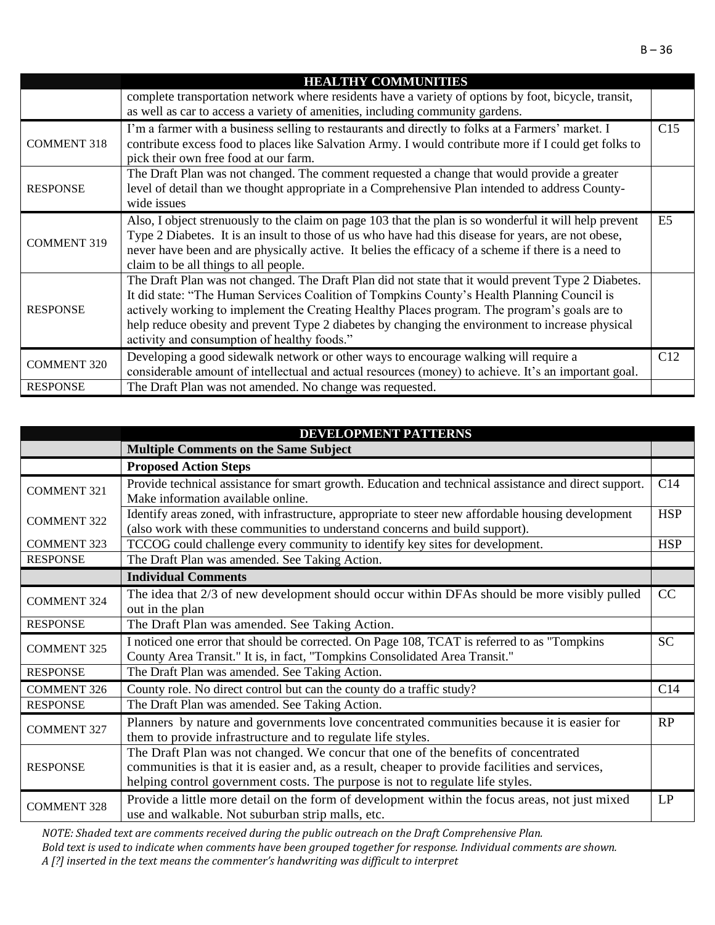|                    | <b>HEALTHY COMMUNITIES</b>                                                                                                                                                                                                                                                                                                                                                                                                                             |                |
|--------------------|--------------------------------------------------------------------------------------------------------------------------------------------------------------------------------------------------------------------------------------------------------------------------------------------------------------------------------------------------------------------------------------------------------------------------------------------------------|----------------|
|                    | complete transportation network where residents have a variety of options by foot, bicycle, transit,<br>as well as car to access a variety of amenities, including community gardens.                                                                                                                                                                                                                                                                  |                |
| <b>COMMENT 318</b> | I'm a farmer with a business selling to restaurants and directly to folks at a Farmers' market. I<br>contribute excess food to places like Salvation Army. I would contribute more if I could get folks to<br>pick their own free food at our farm.                                                                                                                                                                                                    | C15            |
| <b>RESPONSE</b>    | The Draft Plan was not changed. The comment requested a change that would provide a greater<br>level of detail than we thought appropriate in a Comprehensive Plan intended to address County-<br>wide issues                                                                                                                                                                                                                                          |                |
| <b>COMMENT 319</b> | Also, I object strenuously to the claim on page 103 that the plan is so wonderful it will help prevent<br>Type 2 Diabetes. It is an insult to those of us who have had this disease for years, are not obese,<br>never have been and are physically active. It belies the efficacy of a scheme if there is a need to<br>claim to be all things to all people.                                                                                          | E <sub>5</sub> |
| <b>RESPONSE</b>    | The Draft Plan was not changed. The Draft Plan did not state that it would prevent Type 2 Diabetes.<br>It did state: "The Human Services Coalition of Tompkins County's Health Planning Council is<br>actively working to implement the Creating Healthy Places program. The program's goals are to<br>help reduce obesity and prevent Type 2 diabetes by changing the environment to increase physical<br>activity and consumption of healthy foods." |                |
| <b>COMMENT 320</b> | Developing a good sidewalk network or other ways to encourage walking will require a<br>considerable amount of intellectual and actual resources (money) to achieve. It's an important goal.                                                                                                                                                                                                                                                           | C12            |
| <b>RESPONSE</b>    | The Draft Plan was not amended. No change was requested.                                                                                                                                                                                                                                                                                                                                                                                               |                |

|                    | <b>DEVELOPMENT PATTERNS</b>                                                                                                                                                                                                                                           |            |
|--------------------|-----------------------------------------------------------------------------------------------------------------------------------------------------------------------------------------------------------------------------------------------------------------------|------------|
|                    | <b>Multiple Comments on the Same Subject</b>                                                                                                                                                                                                                          |            |
|                    | <b>Proposed Action Steps</b>                                                                                                                                                                                                                                          |            |
| <b>COMMENT 321</b> | Provide technical assistance for smart growth. Education and technical assistance and direct support.<br>Make information available online.                                                                                                                           | C14        |
| <b>COMMENT 322</b> | Identify areas zoned, with infrastructure, appropriate to steer new affordable housing development<br>(also work with these communities to understand concerns and build support).                                                                                    | <b>HSP</b> |
| <b>COMMENT 323</b> | TCCOG could challenge every community to identify key sites for development.                                                                                                                                                                                          | <b>HSP</b> |
| <b>RESPONSE</b>    | The Draft Plan was amended. See Taking Action.                                                                                                                                                                                                                        |            |
|                    | <b>Individual Comments</b>                                                                                                                                                                                                                                            |            |
| <b>COMMENT 324</b> | The idea that 2/3 of new development should occur within DFAs should be more visibly pulled<br>out in the plan                                                                                                                                                        | CC         |
| <b>RESPONSE</b>    | The Draft Plan was amended. See Taking Action.                                                                                                                                                                                                                        |            |
| <b>COMMENT 325</b> | I noticed one error that should be corrected. On Page 108, TCAT is referred to as "Tompkins<br>County Area Transit." It is, in fact, "Tompkins Consolidated Area Transit."                                                                                            | <b>SC</b>  |
| <b>RESPONSE</b>    | The Draft Plan was amended. See Taking Action.                                                                                                                                                                                                                        |            |
| <b>COMMENT 326</b> | County role. No direct control but can the county do a traffic study?                                                                                                                                                                                                 | C14        |
| <b>RESPONSE</b>    | The Draft Plan was amended. See Taking Action.                                                                                                                                                                                                                        |            |
| <b>COMMENT 327</b> | Planners by nature and governments love concentrated communities because it is easier for<br>them to provide infrastructure and to regulate life styles.                                                                                                              | RP         |
| <b>RESPONSE</b>    | The Draft Plan was not changed. We concur that one of the benefits of concentrated<br>communities is that it is easier and, as a result, cheaper to provide facilities and services,<br>helping control government costs. The purpose is not to regulate life styles. |            |
| <b>COMMENT 328</b> | Provide a little more detail on the form of development within the focus areas, not just mixed<br>use and walkable. Not suburban strip malls, etc.                                                                                                                    | LP         |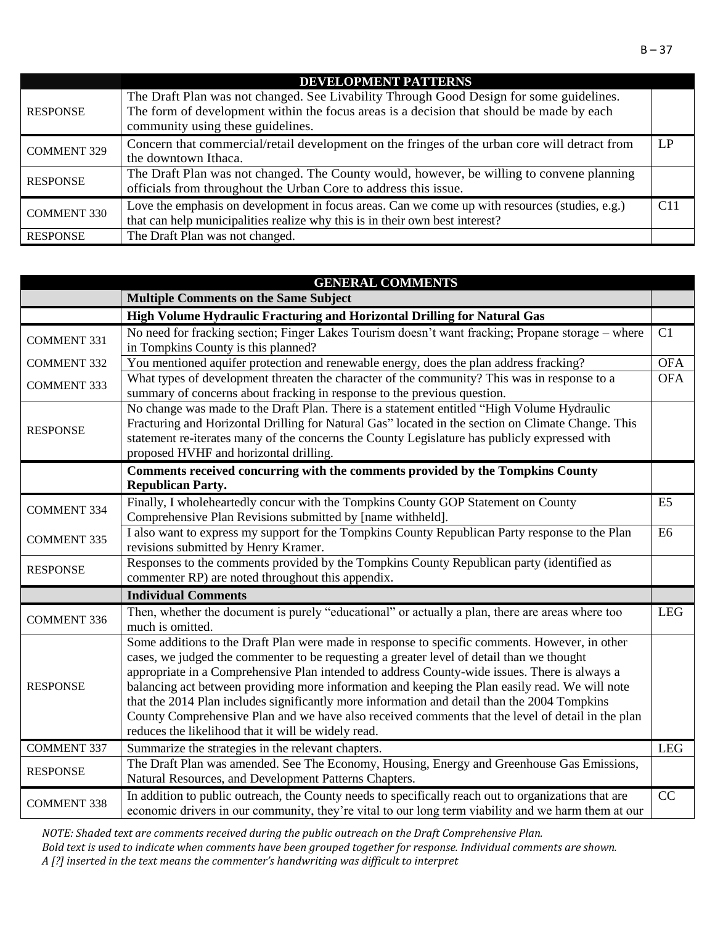|                    | <b>DEVELOPMENT PATTERNS</b>                                                                                                                                                                                              |             |
|--------------------|--------------------------------------------------------------------------------------------------------------------------------------------------------------------------------------------------------------------------|-------------|
| <b>RESPONSE</b>    | The Draft Plan was not changed. See Livability Through Good Design for some guidelines.<br>The form of development within the focus areas is a decision that should be made by each<br>community using these guidelines. |             |
| <b>COMMENT 329</b> | Concern that commercial/retail development on the fringes of the urban core will detract from<br>the downtown Ithaca.                                                                                                    | $L_{\rm P}$ |
| <b>RESPONSE</b>    | The Draft Plan was not changed. The County would, however, be willing to convene planning<br>officials from throughout the Urban Core to address this issue.                                                             |             |
| <b>COMMENT 330</b> | Love the emphasis on development in focus areas. Can we come up with resources (studies, e.g.)<br>that can help municipalities realize why this is in their own best interest?                                           | C11         |
| <b>RESPONSE</b>    | The Draft Plan was not changed.                                                                                                                                                                                          |             |

|                    | <b>GENERAL COMMENTS</b>                                                                                                                                                                                                                                                                                                                                                                                                                                                                                                                                                                                                                                     |                |
|--------------------|-------------------------------------------------------------------------------------------------------------------------------------------------------------------------------------------------------------------------------------------------------------------------------------------------------------------------------------------------------------------------------------------------------------------------------------------------------------------------------------------------------------------------------------------------------------------------------------------------------------------------------------------------------------|----------------|
|                    | <b>Multiple Comments on the Same Subject</b>                                                                                                                                                                                                                                                                                                                                                                                                                                                                                                                                                                                                                |                |
|                    | High Volume Hydraulic Fracturing and Horizontal Drilling for Natural Gas                                                                                                                                                                                                                                                                                                                                                                                                                                                                                                                                                                                    |                |
| <b>COMMENT 331</b> | No need for fracking section; Finger Lakes Tourism doesn't want fracking; Propane storage – where<br>in Tompkins County is this planned?                                                                                                                                                                                                                                                                                                                                                                                                                                                                                                                    | C1             |
| <b>COMMENT 332</b> | You mentioned aquifer protection and renewable energy, does the plan address fracking?                                                                                                                                                                                                                                                                                                                                                                                                                                                                                                                                                                      | <b>OFA</b>     |
| <b>COMMENT 333</b> | What types of development threaten the character of the community? This was in response to a<br>summary of concerns about fracking in response to the previous question.                                                                                                                                                                                                                                                                                                                                                                                                                                                                                    | <b>OFA</b>     |
| <b>RESPONSE</b>    | No change was made to the Draft Plan. There is a statement entitled "High Volume Hydraulic<br>Fracturing and Horizontal Drilling for Natural Gas" located in the section on Climate Change. This<br>statement re-iterates many of the concerns the County Legislature has publicly expressed with<br>proposed HVHF and horizontal drilling.                                                                                                                                                                                                                                                                                                                 |                |
|                    | Comments received concurring with the comments provided by the Tompkins County<br><b>Republican Party.</b>                                                                                                                                                                                                                                                                                                                                                                                                                                                                                                                                                  |                |
| <b>COMMENT 334</b> | Finally, I wholeheartedly concur with the Tompkins County GOP Statement on County<br>Comprehensive Plan Revisions submitted by [name withheld].                                                                                                                                                                                                                                                                                                                                                                                                                                                                                                             | E <sub>5</sub> |
| <b>COMMENT 335</b> | I also want to express my support for the Tompkins County Republican Party response to the Plan<br>revisions submitted by Henry Kramer.                                                                                                                                                                                                                                                                                                                                                                                                                                                                                                                     | E <sub>6</sub> |
| <b>RESPONSE</b>    | Responses to the comments provided by the Tompkins County Republican party (identified as<br>commenter RP) are noted throughout this appendix.                                                                                                                                                                                                                                                                                                                                                                                                                                                                                                              |                |
|                    | <b>Individual Comments</b>                                                                                                                                                                                                                                                                                                                                                                                                                                                                                                                                                                                                                                  |                |
| <b>COMMENT 336</b> | Then, whether the document is purely "educational" or actually a plan, there are areas where too<br>much is omitted.                                                                                                                                                                                                                                                                                                                                                                                                                                                                                                                                        | <b>LEG</b>     |
| <b>RESPONSE</b>    | Some additions to the Draft Plan were made in response to specific comments. However, in other<br>cases, we judged the commenter to be requesting a greater level of detail than we thought<br>appropriate in a Comprehensive Plan intended to address County-wide issues. There is always a<br>balancing act between providing more information and keeping the Plan easily read. We will note<br>that the 2014 Plan includes significantly more information and detail than the 2004 Tompkins<br>County Comprehensive Plan and we have also received comments that the level of detail in the plan<br>reduces the likelihood that it will be widely read. |                |
| <b>COMMENT 337</b> | Summarize the strategies in the relevant chapters.                                                                                                                                                                                                                                                                                                                                                                                                                                                                                                                                                                                                          | <b>LEG</b>     |
| <b>RESPONSE</b>    | The Draft Plan was amended. See The Economy, Housing, Energy and Greenhouse Gas Emissions,<br>Natural Resources, and Development Patterns Chapters.                                                                                                                                                                                                                                                                                                                                                                                                                                                                                                         |                |
| <b>COMMENT 338</b> | In addition to public outreach, the County needs to specifically reach out to organizations that are<br>economic drivers in our community, they're vital to our long term viability and we harm them at our                                                                                                                                                                                                                                                                                                                                                                                                                                                 | CC             |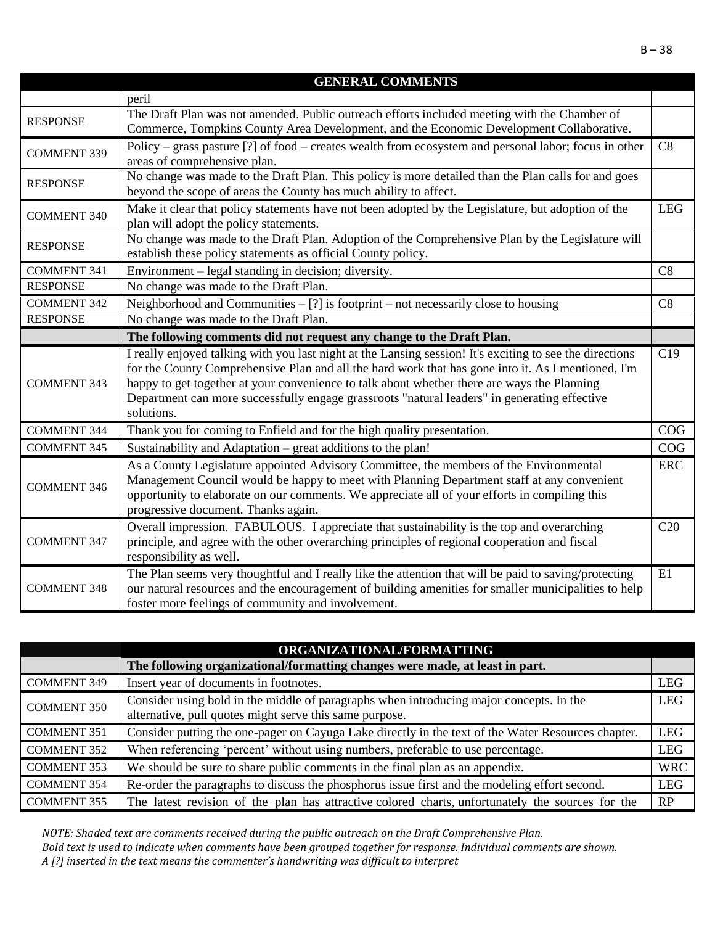|                    | <b>GENERAL COMMENTS</b>                                                                                                                                    |                 |
|--------------------|------------------------------------------------------------------------------------------------------------------------------------------------------------|-----------------|
|                    | peril                                                                                                                                                      |                 |
| <b>RESPONSE</b>    | The Draft Plan was not amended. Public outreach efforts included meeting with the Chamber of                                                               |                 |
|                    | Commerce, Tompkins County Area Development, and the Economic Development Collaborative.                                                                    |                 |
| <b>COMMENT 339</b> | Policy – grass pasture [?] of food – creates wealth from ecosystem and personal labor; focus in other                                                      | C8              |
|                    | areas of comprehensive plan.                                                                                                                               |                 |
| <b>RESPONSE</b>    | No change was made to the Draft Plan. This policy is more detailed than the Plan calls for and goes                                                        |                 |
|                    | beyond the scope of areas the County has much ability to affect.                                                                                           |                 |
| <b>COMMENT 340</b> | Make it clear that policy statements have not been adopted by the Legislature, but adoption of the                                                         | <b>LEG</b>      |
|                    | plan will adopt the policy statements.                                                                                                                     |                 |
| <b>RESPONSE</b>    | No change was made to the Draft Plan. Adoption of the Comprehensive Plan by the Legislature will                                                           |                 |
|                    | establish these policy statements as official County policy.                                                                                               |                 |
| <b>COMMENT 341</b> | Environment - legal standing in decision; diversity.                                                                                                       | C8              |
| <b>RESPONSE</b>    | No change was made to the Draft Plan.                                                                                                                      |                 |
| <b>COMMENT 342</b> | Neighborhood and Communities $-$ [?] is footprint $-$ not necessarily close to housing                                                                     | C8              |
| <b>RESPONSE</b>    | No change was made to the Draft Plan.                                                                                                                      |                 |
|                    | The following comments did not request any change to the Draft Plan.                                                                                       |                 |
|                    | I really enjoyed talking with you last night at the Lansing session! It's exciting to see the directions                                                   | C19             |
|                    |                                                                                                                                                            |                 |
|                    | for the County Comprehensive Plan and all the hard work that has gone into it. As I mentioned, I'm                                                         |                 |
| <b>COMMENT 343</b> | happy to get together at your convenience to talk about whether there are ways the Planning                                                                |                 |
|                    | Department can more successfully engage grassroots "natural leaders" in generating effective                                                               |                 |
|                    | solutions.                                                                                                                                                 |                 |
| <b>COMMENT 344</b> | Thank you for coming to Enfield and for the high quality presentation.                                                                                     | COG             |
| <b>COMMENT 345</b> | Sustainability and Adaptation – great additions to the plan!                                                                                               | COG             |
|                    | As a County Legislature appointed Advisory Committee, the members of the Environmental                                                                     | <b>ERC</b>      |
| <b>COMMENT 346</b> | Management Council would be happy to meet with Planning Department staff at any convenient                                                                 |                 |
|                    | opportunity to elaborate on our comments. We appreciate all of your efforts in compiling this                                                              |                 |
|                    | progressive document. Thanks again.                                                                                                                        |                 |
|                    | Overall impression. FABULOUS. I appreciate that sustainability is the top and overarching                                                                  | C <sub>20</sub> |
| <b>COMMENT 347</b> | principle, and agree with the other overarching principles of regional cooperation and fiscal                                                              |                 |
|                    | responsibility as well.                                                                                                                                    |                 |
|                    | The Plan seems very thoughtful and I really like the attention that will be paid to saving/protecting                                                      | E1              |
| <b>COMMENT 348</b> | our natural resources and the encouragement of building amenities for smaller municipalities to help<br>foster more feelings of community and involvement. |                 |

|                    | ORGANIZATIONAL/FORMATTING                                                                                                                          |            |
|--------------------|----------------------------------------------------------------------------------------------------------------------------------------------------|------------|
|                    | The following organizational/formatting changes were made, at least in part.                                                                       |            |
| <b>COMMENT 349</b> | Insert year of documents in footnotes.                                                                                                             | <b>LEG</b> |
| <b>COMMENT 350</b> | Consider using bold in the middle of paragraphs when introducing major concepts. In the<br>alternative, pull quotes might serve this same purpose. | <b>LEG</b> |
| <b>COMMENT 351</b> | Consider putting the one-pager on Cayuga Lake directly in the text of the Water Resources chapter.                                                 | <b>LEG</b> |
| <b>COMMENT 352</b> | When referencing 'percent' without using numbers, preferable to use percentage.                                                                    | <b>LEG</b> |
| <b>COMMENT 353</b> | We should be sure to share public comments in the final plan as an appendix.                                                                       | <b>WRC</b> |
| <b>COMMENT 354</b> | Re-order the paragraphs to discuss the phosphorus issue first and the modeling effort second.                                                      | <b>LEG</b> |
| <b>COMMENT 355</b> | The latest revision of the plan has attractive colored charts, unfortunately the sources for the                                                   | RP         |